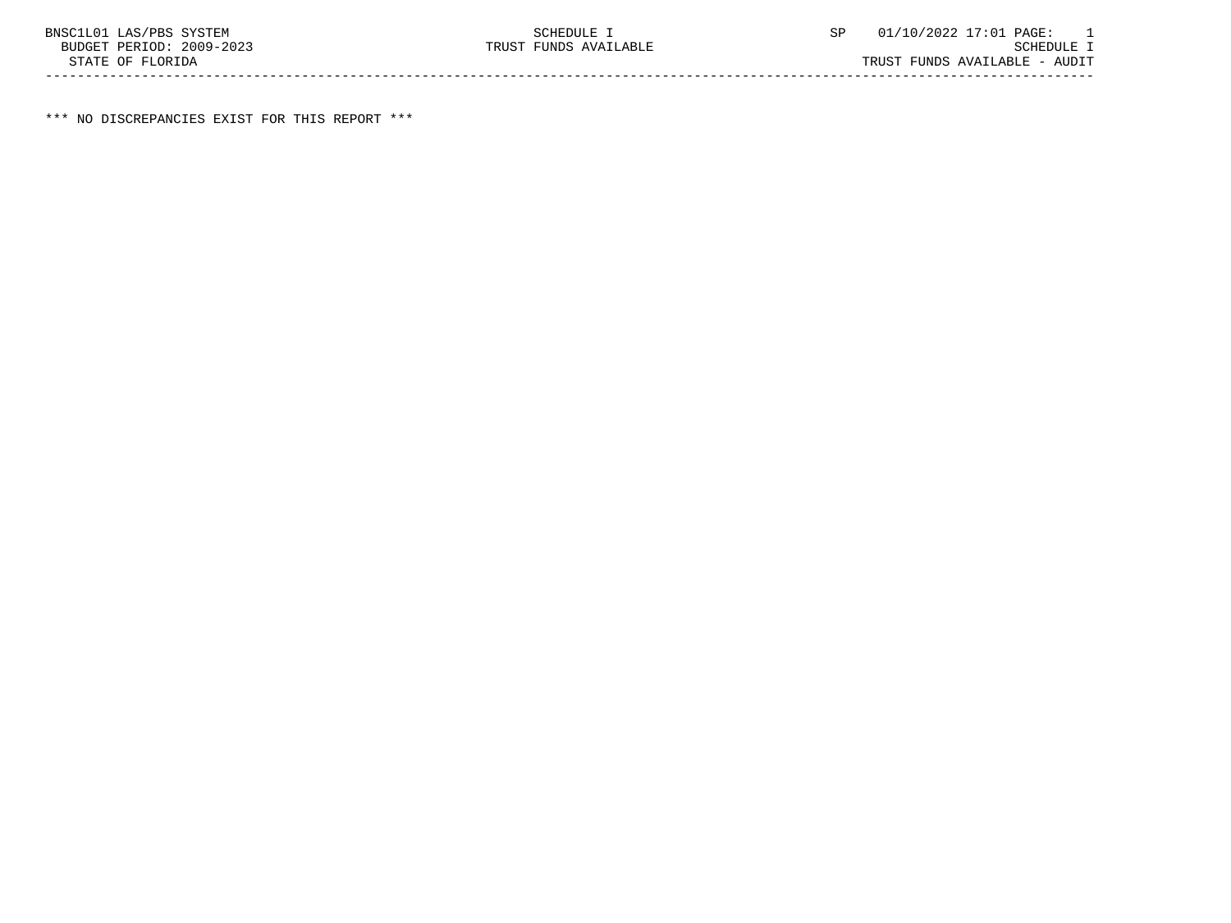\*\*\* NO DISCREPANCIES EXIST FOR THIS REPORT \*\*\*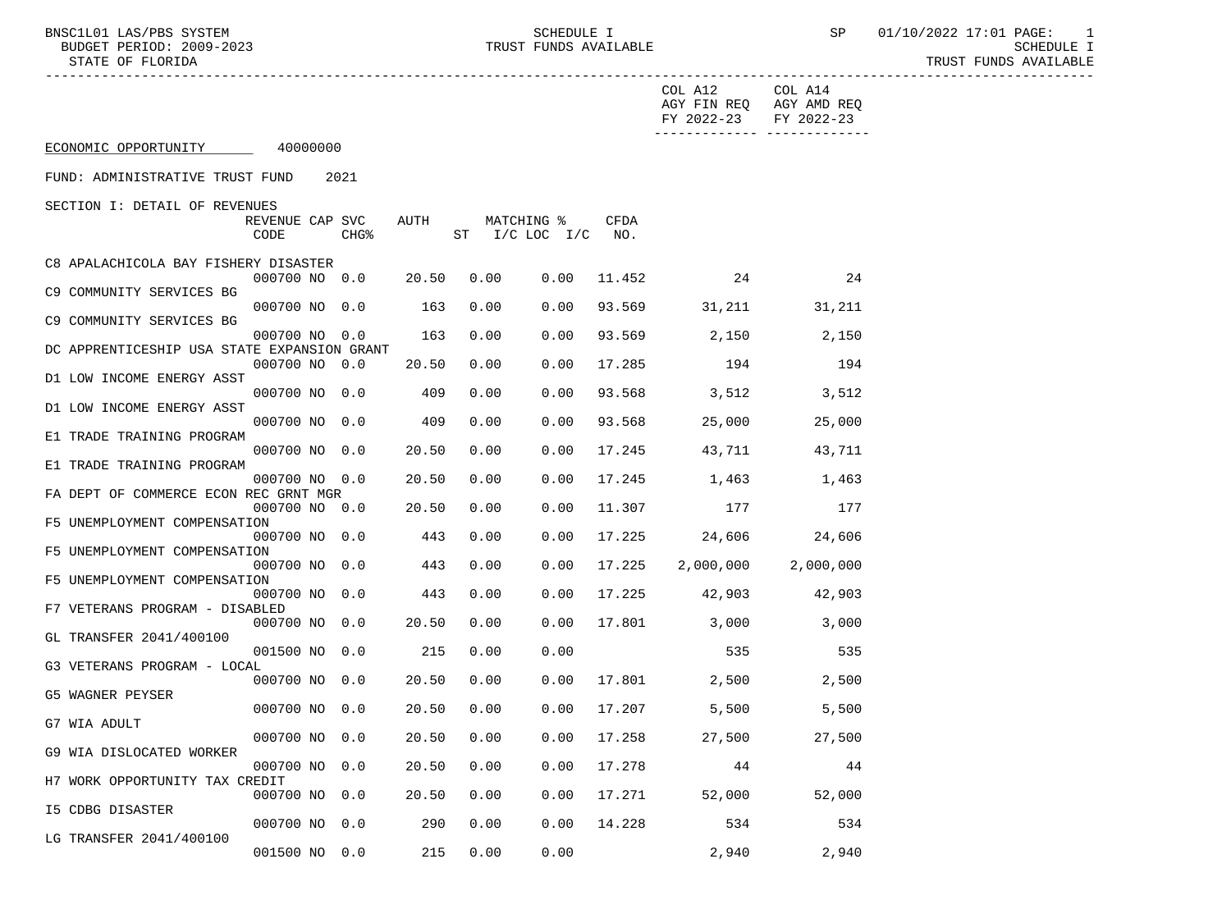|                                             |                         |                  |       |      |                                  |               | COL A12<br>FY 2022-23 FY 2022-23 | COL A14<br>AGY FIN REQ AGY AMD REQ |
|---------------------------------------------|-------------------------|------------------|-------|------|----------------------------------|---------------|----------------------------------|------------------------------------|
| ECONOMIC OPPORTUNITY 40000000               |                         |                  |       |      |                                  |               |                                  | _______________________________    |
| FUND: ADMINISTRATIVE TRUST FUND             |                         | 2021             |       |      |                                  |               |                                  |                                    |
| SECTION I: DETAIL OF REVENUES               |                         |                  |       |      |                                  |               |                                  |                                    |
|                                             | REVENUE CAP SVC<br>CODE | CHG <sup>8</sup> | AUTH  |      | MATCHING %<br>ST I/C LOC I/C NO. | CFDA          |                                  |                                    |
| C8 APALACHICOLA BAY FISHERY DISASTER        |                         |                  |       |      |                                  |               |                                  |                                    |
| C9 COMMUNITY SERVICES BG                    | 000700 NO 0.0           |                  | 20.50 | 0.00 | 0.00                             | 11.452        | $\sim$ 24                        | 24                                 |
| C9 COMMUNITY SERVICES BG                    | 000700 NO 0.0           |                  | 163   | 0.00 | 0.00                             |               | 93.569 31,211 31,211             |                                    |
|                                             | 000700 NO 0.0           |                  | 163   | 0.00 | 0.00                             |               | 93.569 2,150                     | 2,150                              |
| DC APPRENTICESHIP USA STATE EXPANSION GRANT | 000700 NO 0.0           |                  | 20.50 | 0.00 | 0.00                             | 17.285        | 194                              | 194                                |
| D1 LOW INCOME ENERGY ASST                   | 000700 NO 0.0           |                  | 409   | 0.00 | 0.00                             | 93.568        | 3,512                            | 3,512                              |
| D1 LOW INCOME ENERGY ASST                   |                         |                  |       |      |                                  |               |                                  |                                    |
| E1 TRADE TRAINING PROGRAM                   | 000700 NO 0.0           |                  | 409   | 0.00 | 0.00                             | 93.568        | 25,000                           | 25,000                             |
| E1 TRADE TRAINING PROGRAM                   | 000700 NO 0.0           |                  | 20.50 | 0.00 | 0.00                             |               | 17.245 43,711 43,711             |                                    |
| FA DEPT OF COMMERCE ECON REC GRNT MGR       | 000700 NO 0.0           |                  | 20.50 | 0.00 | 0.00                             |               | 17.245 1,463                     | 1,463                              |
|                                             | 000700 NO 0.0           |                  | 20.50 | 0.00 | 0.00                             | 11.307        | 177                              | 177                                |
| F5 UNEMPLOYMENT COMPENSATION                | 000700 NO 0.0           |                  | 443   | 0.00 | 0.00                             | 17.225        |                                  | 24,606 24,606                      |
| F5 UNEMPLOYMENT COMPENSATION                | 000700 NO 0.0           |                  | 443   | 0.00 | 0.00                             | 17.225        |                                  | 2,000,000 2,000,000                |
| F5 UNEMPLOYMENT COMPENSATION                |                         |                  |       |      |                                  |               |                                  |                                    |
| F7 VETERANS PROGRAM - DISABLED              | 000700 NO 0.0           |                  | 443   | 0.00 | 0.00                             |               | 17.225 42,903 42,903             |                                    |
| GL TRANSFER 2041/400100                     | 000700 NO 0.0           |                  | 20.50 | 0.00 | 0.00                             |               | 17.801 3,000                     | 3,000                              |
|                                             | 001500 NO 0.0           |                  | 215   | 0.00 | 0.00                             |               | 535                              | 535                                |
| G3 VETERANS PROGRAM - LOCAL                 | 000700 NO 0.0           |                  | 20.50 | 0.00 | 0.00                             |               | 17.801 2,500                     | 2,500                              |
| G5 WAGNER PEYSER                            | 000700 NO 0.0           |                  | 20.50 | 0.00 |                                  | $0.00$ 17.207 | 5,500                            | 5,500                              |
| G7 WIA ADULT                                |                         |                  |       |      |                                  |               |                                  |                                    |
| G9 WIA DISLOCATED WORKER                    | 000700 NO 0.0           |                  |       |      | 20.50  0.00  0.00  17.258        |               | 27,500                           | 27,500                             |
| H7 WORK OPPORTUNITY TAX CREDIT              | 000700 NO 0.0           |                  | 20.50 | 0.00 | 0.00                             | 17.278        | 44                               | 44                                 |
| <b>I5 CDBG DISASTER</b>                     | 000700 NO 0.0           |                  | 20.50 | 0.00 | 0.00                             | 17.271        | 52,000                           | 52,000                             |
|                                             | 000700 NO 0.0           |                  | 290   | 0.00 | 0.00                             | 14.228        | 534                              | 534                                |
| LG TRANSFER 2041/400100                     | 001500 NO 0.0           |                  | 215   | 0.00 | 0.00                             |               | 2,940                            | 2,940                              |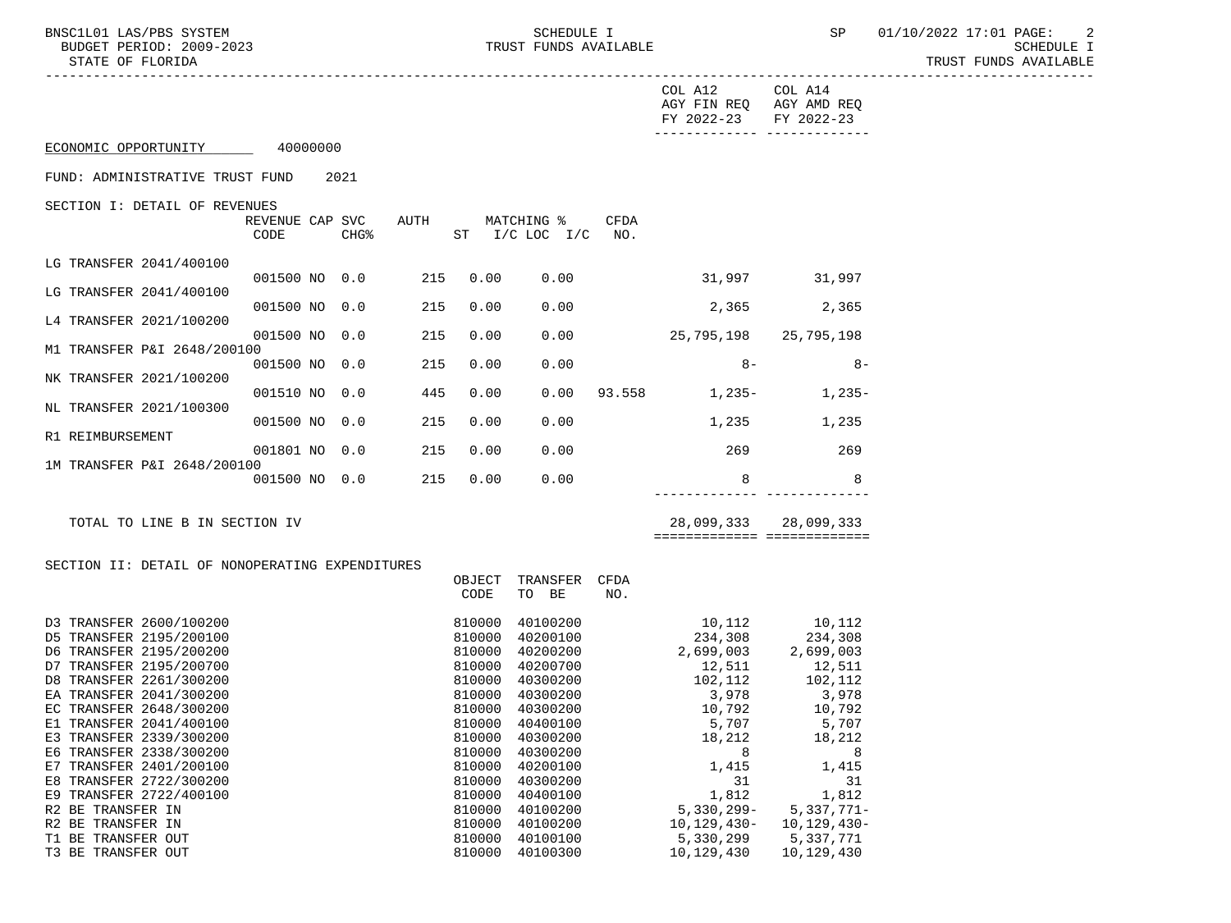|                                                    |                         |      |                   |                  |                                  |      | COL A12                                          | COL A14                    |
|----------------------------------------------------|-------------------------|------|-------------------|------------------|----------------------------------|------|--------------------------------------------------|----------------------------|
|                                                    |                         |      |                   |                  |                                  |      | AGY FIN REQ AGY AMD REQ<br>FY 2022-23 FY 2022-23 |                            |
| ECONOMIC OPPORTUNITY 40000000                      |                         |      |                   |                  |                                  |      | ------------- -------------                      |                            |
| FUND: ADMINISTRATIVE TRUST FUND                    |                         | 2021 |                   |                  |                                  |      |                                                  |                            |
| SECTION I: DETAIL OF REVENUES                      | REVENUE CAP SVC<br>CODE | CHG% | AUTH              |                  | MATCHING %<br>ST I/C LOC I/C NO. | CFDA |                                                  |                            |
| LG TRANSFER 2041/400100                            |                         |      |                   |                  |                                  |      |                                                  |                            |
| LG TRANSFER 2041/400100                            |                         |      | 001500 NO 0.0 215 | 0.00             | 0.00                             |      | 31,997 31,997                                    |                            |
| L4 TRANSFER 2021/100200                            | 001500 NO 0.0           |      | 215               | 0.00             | 0.00                             |      |                                                  | 2,365 2,365                |
|                                                    | 001500 NO 0.0           |      | 215               | 0.00             | 0.00                             |      | 25,795,198 25,795,198                            |                            |
| M1 TRANSFER P&I 2648/200100                        | 001500 NO 0.0           |      | 215               | 0.00             | 0.00                             |      | $8 -$                                            | 8-                         |
| NK TRANSFER 2021/100200                            | 001510 NO 0.0           |      | 445               | 0.00             | 0.00                             |      | $93.558$ 1, 235- 1, 235-                         |                            |
| NL TRANSFER 2021/100300                            | 001500 NO 0.0           |      | 215               | 0.00             | 0.00                             |      |                                                  | 1,235 1,235                |
| R1 REIMBURSEMENT                                   |                         |      |                   |                  |                                  |      |                                                  |                            |
| 1M TRANSFER P&I 2648/200100                        | 001801 NO 0.0           |      | 215               | 0.00             | 0.00                             |      | 269                                              | 269                        |
|                                                    | 001500 NO 0.0           |      | 215               | 0.00             | 0.00                             |      | 8                                                | 8                          |
| TOTAL TO LINE B IN SECTION IV                      |                         |      |                   |                  |                                  |      | ============================                     | 28,099,333 28,099,333      |
| SECTION II: DETAIL OF NONOPERATING EXPENDITURES    |                         |      |                   |                  |                                  |      |                                                  |                            |
|                                                    |                         |      |                   | OBJECT<br>CODE   | TRANSFER CFDA<br>TO BE           | NO.  |                                                  |                            |
| D3 TRANSFER 2600/100200                            |                         |      |                   | 810000           | 40100200                         |      | 10,112                                           | 10,112                     |
| D5 TRANSFER 2195/200100<br>D6 TRANSFER 2195/200200 |                         |      |                   | 810000<br>810000 | 40200100<br>40200200             |      | 234,308 234,308<br>2,699,003 2,699,003           |                            |
| D7 TRANSFER 2195/200700                            |                         |      |                   | 810000           | 40200700                         |      | 12,511                                           |                            |
| D8 TRANSFER 2261/300200                            |                         |      |                   | 810000           | 40300200                         |      | 102,112                                          | 12,511<br>102,112<br>3,978 |
| EA TRANSFER 2041/300200                            |                         |      |                   |                  | 810000 40300200                  |      | 3,978                                            |                            |
| EC TRANSFER 2648/300200                            |                         |      |                   | 810000           | 40300200                         |      | 10,792                                           | 10,792<br>5,707            |
| E1 TRANSFER 2041/400100                            |                         |      |                   |                  | 810000 40400100                  |      | 5,707                                            |                            |
| E3 TRANSFER 2339/300200                            |                         |      |                   | 810000           | 40300200                         |      | 18,212                                           | 18,212                     |
| E6 TRANSFER 2338/300200                            |                         |      |                   | 810000           | 40300200                         |      | 8                                                | 8                          |
| E7 TRANSFER 2401/200100                            |                         |      |                   | 810000           | 40200100                         |      | 1,415                                            | 1,415                      |
| E8 TRANSFER 2722/300200                            |                         |      |                   | 810000           | 40300200                         |      | 31                                               | 31                         |
| E9 TRANSFER 2722/400100<br>R2 BE TRANSFER IN       |                         |      |                   | 810000<br>810000 | 40400100                         |      | 1,812                                            | 1,812<br>$5,337,771-$      |
| R2 BE TRANSFER IN                                  |                         |      |                   | 810000           | 40100200<br>40100200             |      | $5,330,299-$<br>$10, 129, 430 -$                 | $10, 129, 430 -$           |
| T1 BE TRANSFER OUT                                 |                         |      |                   | 810000           | 40100100                         |      | 5,330,299                                        | 5,337,771                  |
| T3 BE TRANSFER OUT                                 |                         |      |                   | 810000           | 40100300                         |      | 10,129,430                                       | 10,129,430                 |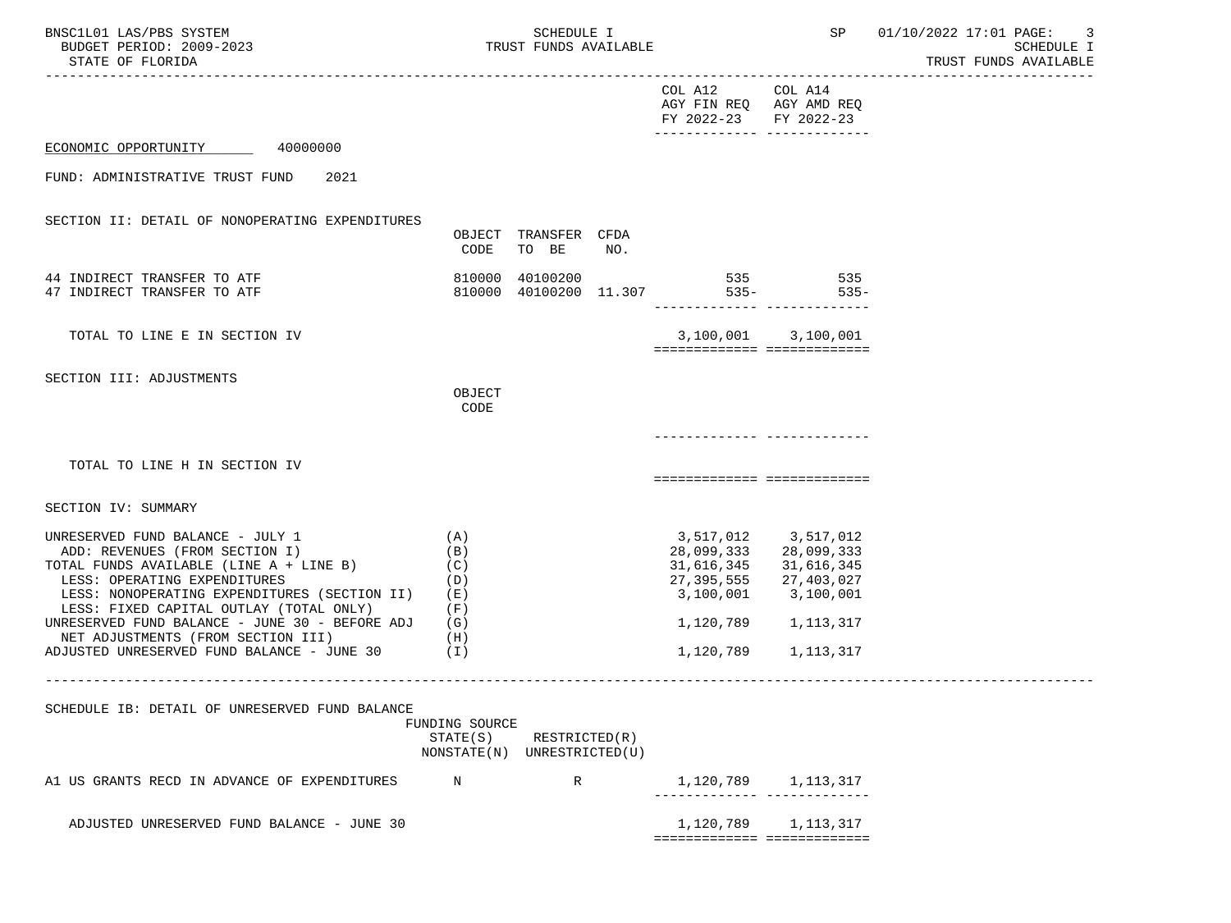| BNSC1L01 LAS/PBS SYSTEM<br>BUDGET PERIOD: 2009-2023<br>STATE OF FLORIDA<br>________________________________                                                                                                                                                                                                                                                                                     |                                                           | SCHEDULE I<br>TRUST FUNDS AVAILABLE |     |                                                                                         |                                                                                         | SP 01/10/2022 17:01 PAGE: 3<br>SCHEDULE I<br>TRUST FUNDS AVAILABLE |
|-------------------------------------------------------------------------------------------------------------------------------------------------------------------------------------------------------------------------------------------------------------------------------------------------------------------------------------------------------------------------------------------------|-----------------------------------------------------------|-------------------------------------|-----|-----------------------------------------------------------------------------------------|-----------------------------------------------------------------------------------------|--------------------------------------------------------------------|
|                                                                                                                                                                                                                                                                                                                                                                                                 |                                                           |                                     |     | COL A12 COL A14<br>FY 2022-23 FY 2022-23                                                | AGY FIN REQ AGY AMD REQ                                                                 |                                                                    |
| ECONOMIC OPPORTUNITY 40000000                                                                                                                                                                                                                                                                                                                                                                   |                                                           |                                     |     |                                                                                         |                                                                                         |                                                                    |
| FUND: ADMINISTRATIVE TRUST FUND<br>2021                                                                                                                                                                                                                                                                                                                                                         |                                                           |                                     |     |                                                                                         |                                                                                         |                                                                    |
| SECTION II: DETAIL OF NONOPERATING EXPENDITURES                                                                                                                                                                                                                                                                                                                                                 |                                                           |                                     |     |                                                                                         |                                                                                         |                                                                    |
|                                                                                                                                                                                                                                                                                                                                                                                                 | CODE                                                      | OBJECT TRANSFER CFDA<br>TO BE       | NO. |                                                                                         |                                                                                         |                                                                    |
| 44 INDIRECT TRANSFER TO ATF<br>47 INDIRECT TRANSFER TO ATF                                                                                                                                                                                                                                                                                                                                      | 810000                                                    | 40100200                            |     | 535 535<br>810000 40100200 11.307 535-                                                  | $535-$<br>-------------- --------------                                                 |                                                                    |
| TOTAL TO LINE E IN SECTION IV                                                                                                                                                                                                                                                                                                                                                                   |                                                           |                                     |     | ============================                                                            | 3,100,001 3,100,001                                                                     |                                                                    |
| SECTION III: ADJUSTMENTS                                                                                                                                                                                                                                                                                                                                                                        | OBJECT<br>CODE                                            |                                     |     |                                                                                         |                                                                                         |                                                                    |
|                                                                                                                                                                                                                                                                                                                                                                                                 |                                                           |                                     |     | ______________ ____________                                                             |                                                                                         |                                                                    |
| TOTAL TO LINE H IN SECTION IV                                                                                                                                                                                                                                                                                                                                                                   |                                                           |                                     |     | ============================                                                            |                                                                                         |                                                                    |
| SECTION IV: SUMMARY                                                                                                                                                                                                                                                                                                                                                                             |                                                           |                                     |     |                                                                                         |                                                                                         |                                                                    |
| UNRESERVED FUND BALANCE - JULY 1<br>(A)<br>ADD: REVENUES (FROM SECTION I)<br>TOTAL FUNDS AVAILABLE (LINE A + LINE B)<br>LESS: OPERATING EXPENDITURES<br>LESS: NONOPERATING EXPENDITURES (SECTION II) (E)<br>LESS: FIXED CAPITAL OUTLAY (TOTAL ONLY)<br>UNRESERVED FUND BALANCE - JUNE 30 - BEFORE ADJ $(G)$<br>NET ADJUSTMENTS (FROM SECTION III)<br>ADJUSTED UNRESERVED FUND BALANCE - JUNE 30 | (B)<br>(C)<br>(D)<br>(F)<br>(H)<br>(1)                    |                                     |     | 3,517,012 3,517,012<br>28,099,333<br>31,616,345<br>27,395,555<br>1,120,789<br>1,120,789 | 28,099,333<br>31,616,345<br>27,403,027<br>3,100,001 3,100,001<br>1,113,317<br>1,113,317 |                                                                    |
| SCHEDULE IB: DETAIL OF UNRESERVED FUND BALANCE                                                                                                                                                                                                                                                                                                                                                  | FUNDING SOURCE<br>STATE(S)<br>NONSTATE(N) UNRESTRICTED(U) | RESTRICTED(R)                       |     |                                                                                         |                                                                                         | --------------------------------                                   |
| A1 US GRANTS RECD IN ADVANCE OF EXPENDITURES                                                                                                                                                                                                                                                                                                                                                    | N                                                         | R                                   |     |                                                                                         | 1, 120, 789 1, 113, 317                                                                 |                                                                    |
| ADJUSTED UNRESERVED FUND BALANCE - JUNE 30                                                                                                                                                                                                                                                                                                                                                      |                                                           |                                     |     | 1,120,789<br>============================                                               | 1,113,317                                                                               |                                                                    |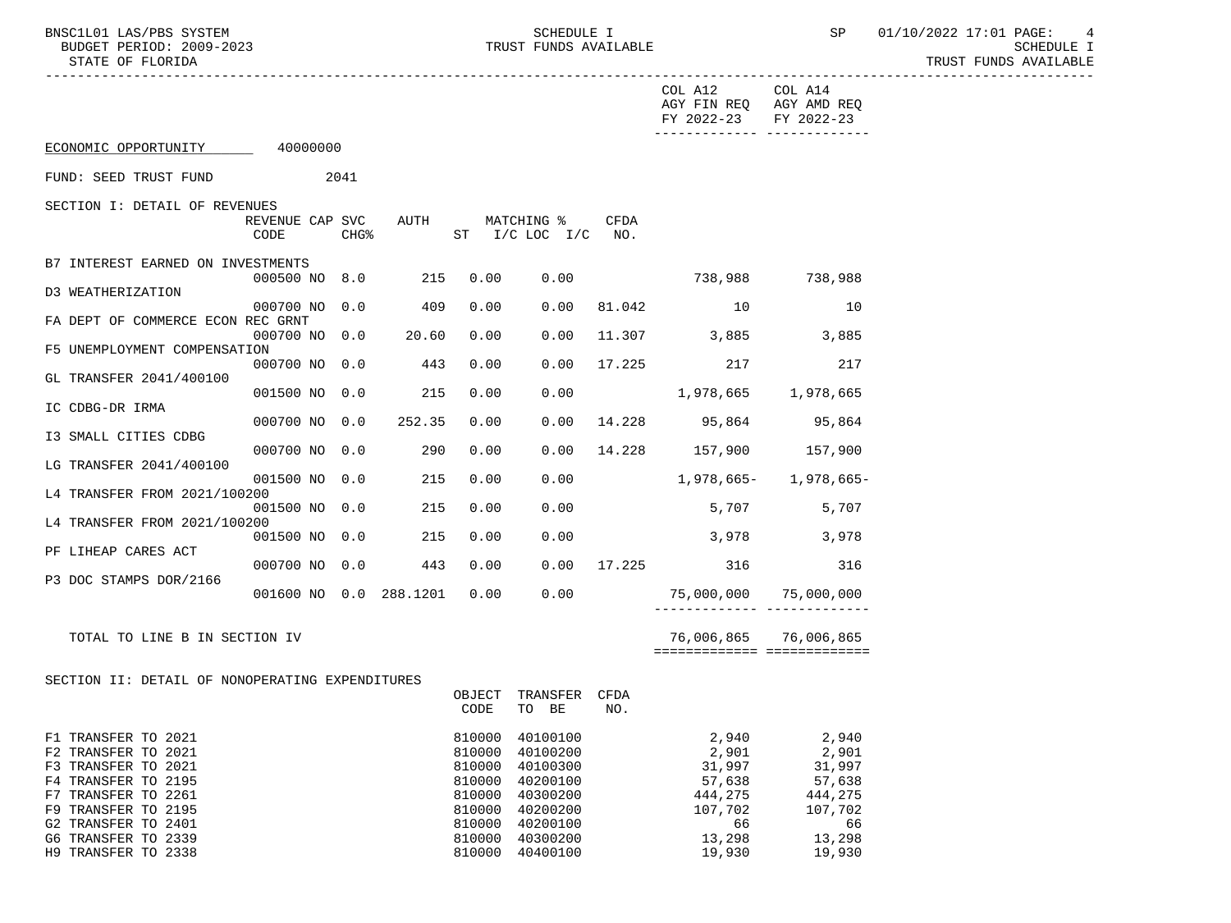|                                                                                                                                                               |                              |                  |                     |                                                          |                                                                                         |             | COL A12 COL A14<br>AGY FIN REQ AGY AMD REQ<br>FY 2022-23 FY 2022-23 | _________________________________                                    |  |
|---------------------------------------------------------------------------------------------------------------------------------------------------------------|------------------------------|------------------|---------------------|----------------------------------------------------------|-----------------------------------------------------------------------------------------|-------------|---------------------------------------------------------------------|----------------------------------------------------------------------|--|
| ECONOMIC OPPORTUNITY 40000000                                                                                                                                 |                              |                  |                     |                                                          |                                                                                         |             |                                                                     |                                                                      |  |
| FUND: SEED TRUST FUND                                                                                                                                         | 2041                         |                  |                     |                                                          |                                                                                         |             |                                                                     |                                                                      |  |
| SECTION I: DETAIL OF REVENUES                                                                                                                                 | REVENUE CAP SVC AUTH<br>CODE | CHG <sup>8</sup> |                     |                                                          | MATCHING %<br>ST I/C LOC I/C NO.                                                        | <b>CFDA</b> |                                                                     |                                                                      |  |
| B7 INTEREST EARNED ON INVESTMENTS                                                                                                                             | 000500 NO 8.0                |                  | 215                 | 0.00                                                     | 0.00                                                                                    |             | 738,988 738,988                                                     |                                                                      |  |
| D3 WEATHERIZATION                                                                                                                                             | 000700 NO 0.0                |                  | 409                 | 0.00                                                     | 0.00                                                                                    |             | 81.042 10                                                           | 10                                                                   |  |
| FA DEPT OF COMMERCE ECON REC GRNT                                                                                                                             |                              |                  | 000700 NO 0.0 20.60 | 0.00                                                     | 0.00                                                                                    |             | 11.307 3,885 3,885                                                  |                                                                      |  |
| F5 UNEMPLOYMENT COMPENSATION                                                                                                                                  | 000700 NO 0.0                |                  | 443                 | 0.00                                                     | 0.00                                                                                    | 17.225      | 217                                                                 | 217                                                                  |  |
| GL TRANSFER 2041/400100                                                                                                                                       | 001500 NO 0.0                |                  | 215                 | 0.00                                                     | 0.00                                                                                    |             | 1,978,665 1,978,665                                                 |                                                                      |  |
| IC CDBG-DR IRMA                                                                                                                                               | 000700 NO 0.0                |                  | 252.35              | 0.00                                                     | 0.00                                                                                    |             | 14.228 95,864 95,864                                                |                                                                      |  |
| I3 SMALL CITIES CDBG                                                                                                                                          |                              |                  | 000700 NO 0.0 290   | 0.00                                                     | 0.00                                                                                    |             | 14.228 157,900 157,900                                              |                                                                      |  |
| LG TRANSFER 2041/400100                                                                                                                                       | 001500 NO 0.0                |                  | 215                 | 0.00                                                     | 0.00                                                                                    |             | $1,978,665$ - $1,978,665$ -                                         |                                                                      |  |
| L4 TRANSFER FROM 2021/100200                                                                                                                                  | 001500 NO 0.0                |                  | 215                 | 0.00                                                     | 0.00                                                                                    |             | 5,707 5,707                                                         |                                                                      |  |
| L4 TRANSFER FROM 2021/100200                                                                                                                                  |                              |                  | 001500 NO 0.0 215   | 0.00                                                     | 0.00                                                                                    |             | 3,978 3,978                                                         |                                                                      |  |
| PF LIHEAP CARES ACT                                                                                                                                           | 000700 NO 0.0                |                  | 443                 | 0.00                                                     |                                                                                         |             | 0.00 17.225 316                                                     | 316                                                                  |  |
| P3 DOC STAMPS DOR/2166                                                                                                                                        |                              |                  |                     |                                                          |                                                                                         |             | 001600 NO 0.0 288.1201 0.00 0.00 0.00 75,000,000 75,000,000         |                                                                      |  |
| TOTAL TO LINE B IN SECTION IV                                                                                                                                 |                              |                  |                     |                                                          |                                                                                         |             | 76,006,865 76,006,865<br>===========================                |                                                                      |  |
| SECTION II: DETAIL OF NONOPERATING EXPENDITURES                                                                                                               |                              |                  |                     |                                                          |                                                                                         |             |                                                                     |                                                                      |  |
|                                                                                                                                                               |                              |                  |                     | OBJECT<br>CODE                                           | TRANSFER CFDA<br>TO BE                                                                  | NO.         |                                                                     |                                                                      |  |
| F1 TRANSFER TO 2021<br>F2 TRANSFER TO 2021<br>F3 TRANSFER TO 2021<br>F4 TRANSFER TO 2195<br>F7 TRANSFER TO 2261<br>F9 TRANSFER TO 2195<br>G2 TRANSFER TO 2401 |                              |                  |                     | 810000<br>810000<br>810000<br>810000<br>810000<br>810000 | 40100100<br>40100200<br>40100300<br>40200100<br>40300200<br>40200200<br>810000 40200100 |             | 2,901<br>31,997<br>57,638<br>444,275<br>107,702<br>66               | 2,940 2,940<br>2,901<br>31,997<br>57,638<br>444,275<br>107,702<br>66 |  |
| G6 TRANSFER TO 2339                                                                                                                                           |                              |                  |                     |                                                          | 810000 40300200                                                                         |             | 13,298                                                              | 13,298                                                               |  |

H9 TRANSFER TO 2338 and the state of the state of the state of the state of the state of the state of the state of the state of the state of the state of the state of the state of the state of the state of the state of the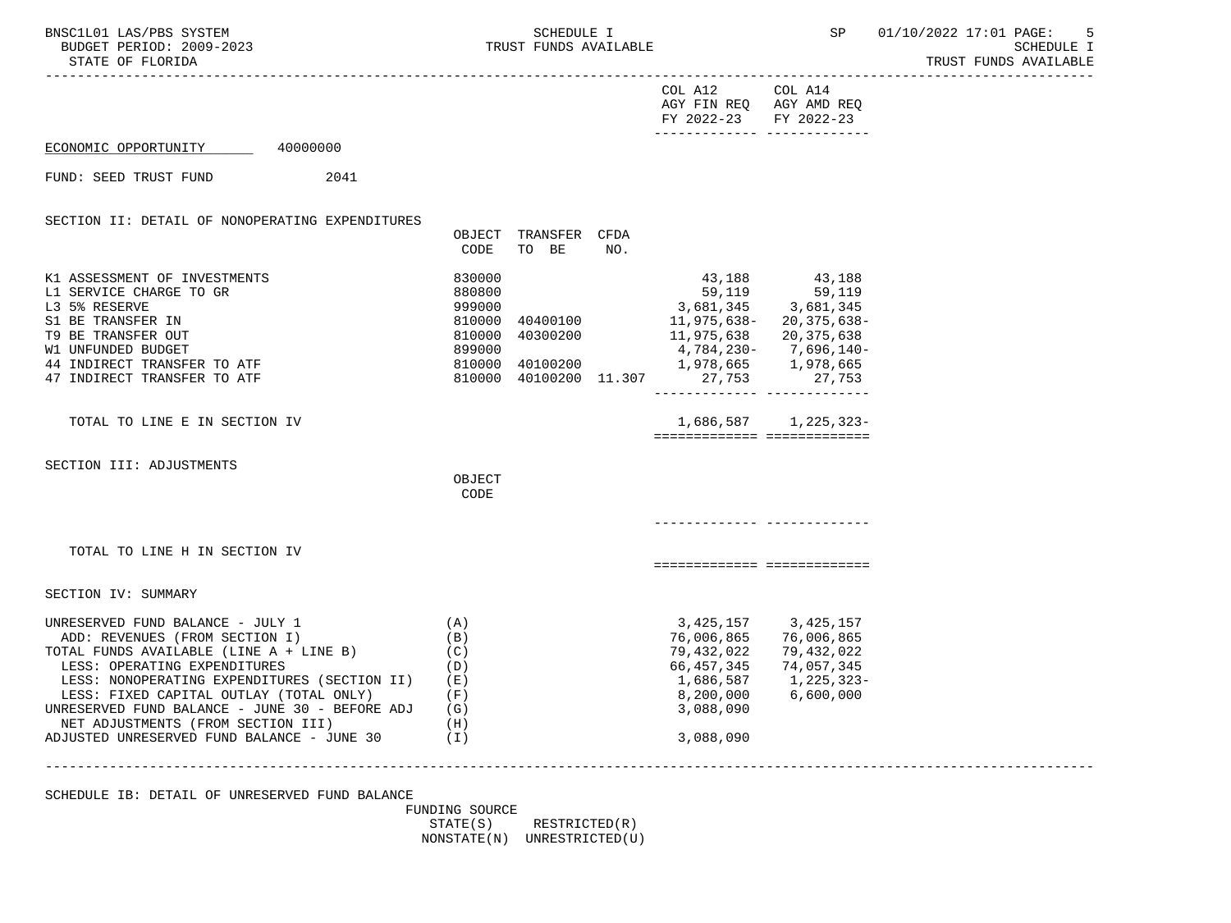| BNSC1L01 LAS/PBS SYSTEM<br>BUDGET PERIOD: 2009-2023<br>STATE OF FLORIDA                                                                                                                                                                                                                                                                                                               |                                                        | SCHEDULE I<br>TRUST FUNDS AVAILABLE |     |                                                                                                                                                                                                                        | SP                                                                | 01/10/2022 17:01 PAGE: 5<br>SCHEDULE I<br>TRUST FUNDS AVAILABLE |
|---------------------------------------------------------------------------------------------------------------------------------------------------------------------------------------------------------------------------------------------------------------------------------------------------------------------------------------------------------------------------------------|--------------------------------------------------------|-------------------------------------|-----|------------------------------------------------------------------------------------------------------------------------------------------------------------------------------------------------------------------------|-------------------------------------------------------------------|-----------------------------------------------------------------|
|                                                                                                                                                                                                                                                                                                                                                                                       |                                                        |                                     |     | COL A12 COL A14<br>AGY FIN REQ AGY AMD REQ<br>FY 2022-23 FY 2022-23                                                                                                                                                    |                                                                   |                                                                 |
| ECONOMIC OPPORTUNITY 40000000                                                                                                                                                                                                                                                                                                                                                         |                                                        |                                     |     |                                                                                                                                                                                                                        |                                                                   |                                                                 |
| 2041<br>FUND: SEED TRUST FUND                                                                                                                                                                                                                                                                                                                                                         |                                                        |                                     |     |                                                                                                                                                                                                                        |                                                                   |                                                                 |
| SECTION II: DETAIL OF NONOPERATING EXPENDITURES                                                                                                                                                                                                                                                                                                                                       |                                                        |                                     |     |                                                                                                                                                                                                                        |                                                                   |                                                                 |
|                                                                                                                                                                                                                                                                                                                                                                                       | CODE                                                   | OBJECT TRANSFER CFDA<br>TO BE       | NO. |                                                                                                                                                                                                                        |                                                                   |                                                                 |
| K1 ASSESSMENT OF INVESTMENTS<br>L1 SERVICE CHARGE TO GR<br>L3 5% RESERVE<br>S1 BE TRANSFER IN<br>T9 BE TRANSFER OUT<br>W1 UNFUNDED BUDGET<br>44 INDIRECT TRANSFER TO ATF<br>47 INDIRECT TRANSFER TO ATF                                                                                                                                                                               | 830000<br>880800<br>999000<br>899000                   | 810000 40300200                     |     | 59,119<br>3,681,345 3,681,345<br>810000 40400100 11,975,638- 20,375,638-<br>11,975,638        20,375,638<br>4,784,230-       7,696,140-<br>810000 40100200 1,978,665 1,978,665<br>810000 40100200 11.307 27,753 27,753 | 43,188 43,188                                                     |                                                                 |
| TOTAL TO LINE E IN SECTION IV                                                                                                                                                                                                                                                                                                                                                         |                                                        |                                     |     | ============================                                                                                                                                                                                           | 1,686,587 1,225,323-                                              |                                                                 |
| SECTION III: ADJUSTMENTS                                                                                                                                                                                                                                                                                                                                                              | OBJECT<br>CODE                                         |                                     |     |                                                                                                                                                                                                                        |                                                                   |                                                                 |
|                                                                                                                                                                                                                                                                                                                                                                                       |                                                        |                                     |     |                                                                                                                                                                                                                        |                                                                   |                                                                 |
| TOTAL TO LINE H IN SECTION IV                                                                                                                                                                                                                                                                                                                                                         |                                                        |                                     |     | ===========================                                                                                                                                                                                            |                                                                   |                                                                 |
| SECTION IV: SUMMARY                                                                                                                                                                                                                                                                                                                                                                   |                                                        |                                     |     |                                                                                                                                                                                                                        |                                                                   |                                                                 |
| UNRESERVED FUND BALANCE - JULY 1<br>ADD: REVENUES (FROM SECTION I)<br>TOTAL FUNDS AVAILABLE (LINE $A + LINE B$ ) (C)<br>LESS: OPERATING EXPENDITURES<br>LESS: NONOPERATING EXPENDITURES (SECTION II)<br>LESS: FIXED CAPITAL OUTLAY (TOTAL ONLY)<br>UNRESERVED FUND BALANCE - JUNE 30 - BEFORE ADJ<br>NET ADJUSTMENTS (FROM SECTION III)<br>ADJUSTED UNRESERVED FUND BALANCE - JUNE 30 | (A)<br>(B)<br>(D)<br>( E )<br>(F)<br>(G)<br>(H)<br>(I) |                                     |     | 3,425,157 3,425,157<br>76,006,865<br>79,432,022<br>66,457,345<br>1,686,587<br>8,200,000<br>3,088,090<br>3,088,090                                                                                                      | 76,006,865<br>79,432,022<br>74,057,345<br>1,225,323-<br>6,600,000 |                                                                 |
|                                                                                                                                                                                                                                                                                                                                                                                       |                                                        |                                     |     |                                                                                                                                                                                                                        |                                                                   |                                                                 |
| SCHEDULE IB: DETAIL OF UNRESERVED FUND BALANCE                                                                                                                                                                                                                                                                                                                                        | FUNDING SOURCE                                         |                                     |     |                                                                                                                                                                                                                        |                                                                   |                                                                 |

STATE(S) RESTRICTED(R) NONSTATE(N) UNRESTRICTED(U)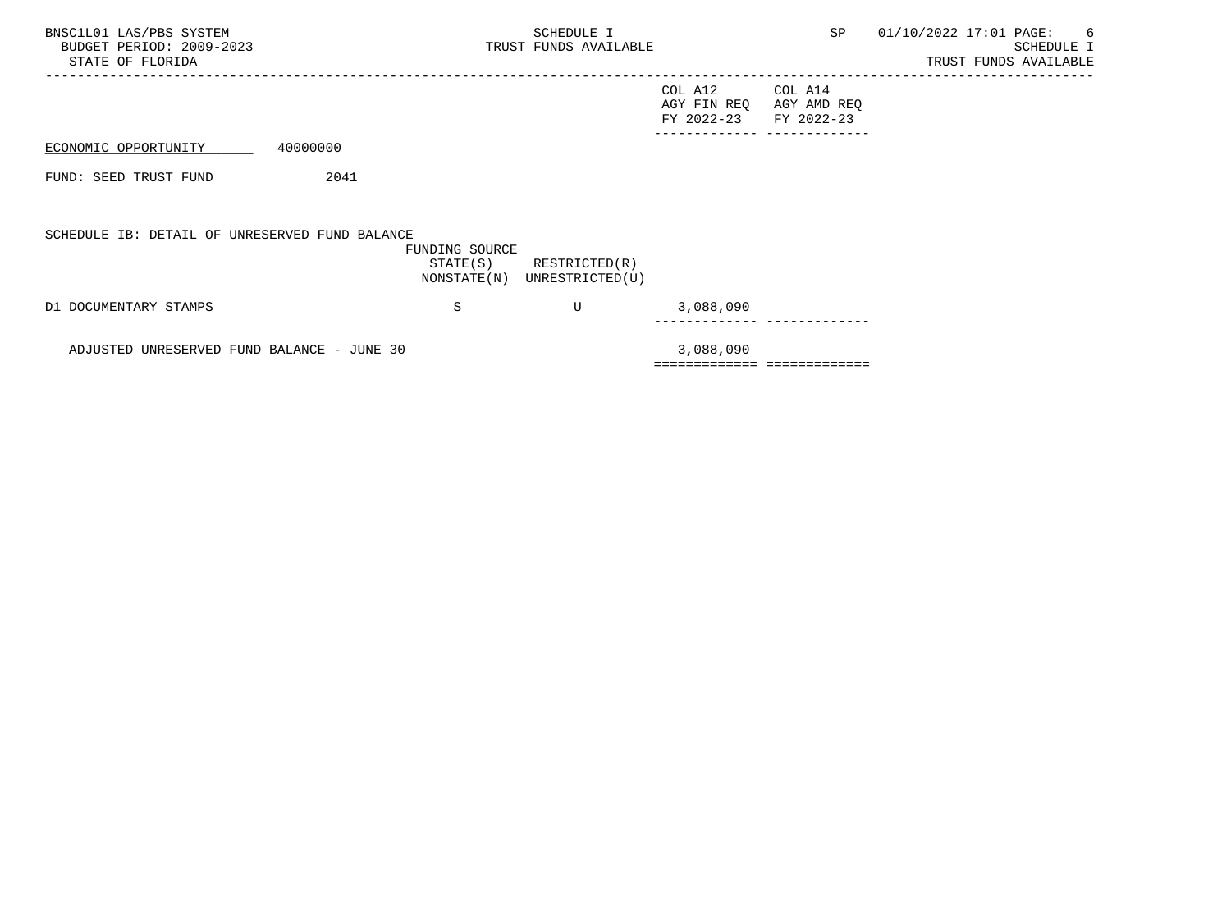| BNSC1L01 LAS/PBS SYSTEM<br>BUDGET PERIOD: 2009-2023<br>STATE OF FLORIDA |          |                                           | SCHEDULE I<br>TRUST FUNDS AVAILABLE |                                      | SP                                   | 01/10/2022 17:01 PAGE:<br>-6<br>SCHEDULE I<br>TRUST FUNDS AVAILABLE |
|-------------------------------------------------------------------------|----------|-------------------------------------------|-------------------------------------|--------------------------------------|--------------------------------------|---------------------------------------------------------------------|
|                                                                         |          |                                           |                                     | COL A12<br>AGY FIN REQ<br>FY 2022-23 | COL A14<br>AGY AMD REQ<br>FY 2022-23 |                                                                     |
| ECONOMIC OPPORTUNITY                                                    | 40000000 |                                           |                                     |                                      | ______ _____________                 |                                                                     |
| FUND: SEED TRUST FUND                                                   | 2041     |                                           |                                     |                                      |                                      |                                                                     |
| SCHEDULE IB: DETAIL OF UNRESERVED FUND BALANCE                          |          | FUNDING SOURCE<br>STATE(S)<br>NONSTATE(N) | RESTRICTED(R)<br>UNRESTRICTED(U)    |                                      |                                      |                                                                     |
| D1 DOCUMENTARY STAMPS                                                   |          | S                                         | U                                   | 3,088,090                            |                                      |                                                                     |

ADJUSTED UNRESERVED FUND BALANCE - JUNE 30 3,088,090 ============= =============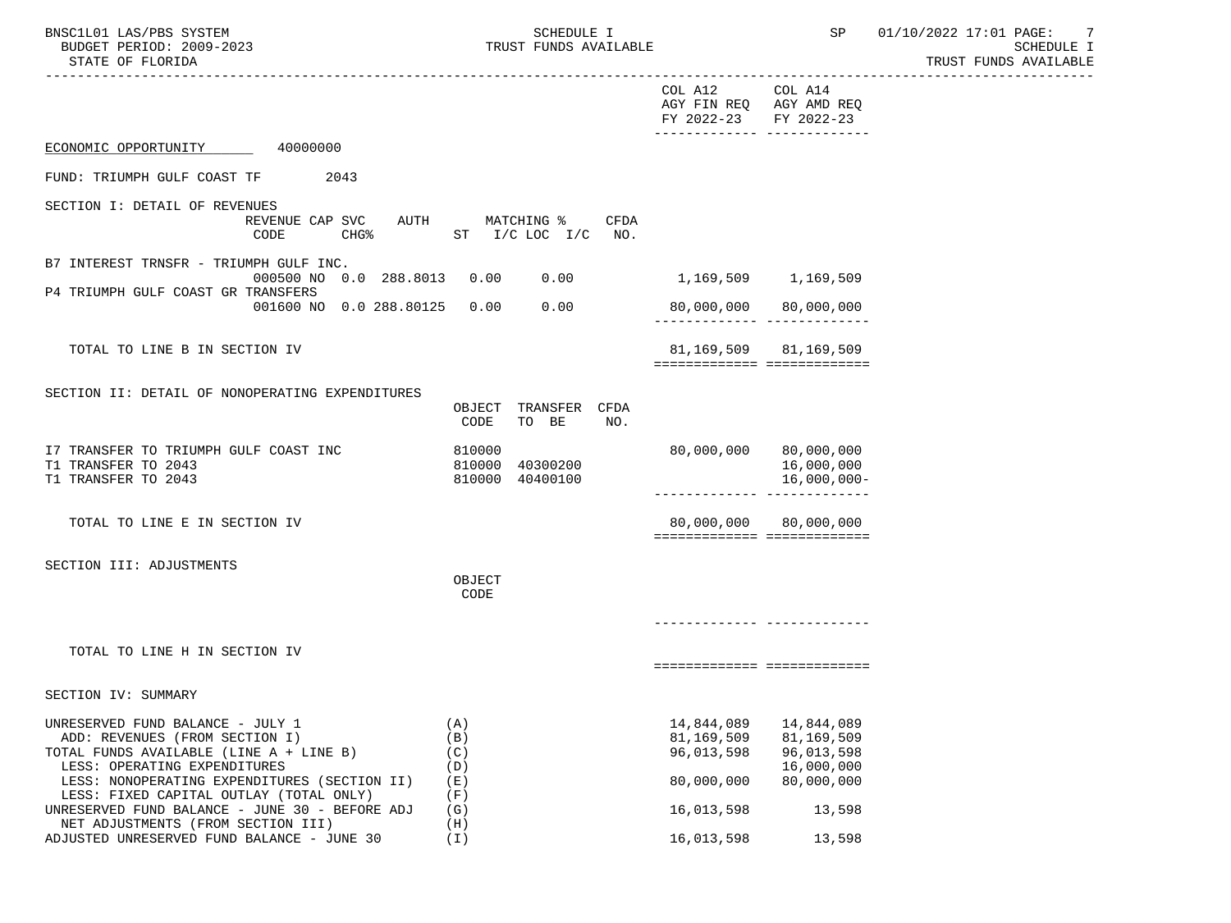|                                                                                                                                        | COL A12<br>COL A14<br>AGY FIN REQ AGY AMD REQ<br>FY 2022-23<br>FY 2022-23<br>------------- ------------- |
|----------------------------------------------------------------------------------------------------------------------------------------|----------------------------------------------------------------------------------------------------------|
| ECONOMIC OPPORTUNITY<br>40000000                                                                                                       |                                                                                                          |
| 2043<br>FUND: TRIUMPH GULF COAST TF                                                                                                    |                                                                                                          |
| SECTION I: DETAIL OF REVENUES                                                                                                          |                                                                                                          |
| REVENUE CAP SVC<br>AUTH<br>MATCHING %<br>CHG <sup>8</sup><br>CODE<br>$ST$ $I/C$ LOC $I/C$                                              | <b>CFDA</b><br>NO.                                                                                       |
| B7 INTEREST TRNSFR - TRIUMPH GULF INC.                                                                                                 |                                                                                                          |
| 000500 NO 0.0 288.8013<br>0.00<br>0.00<br>P4 TRIUMPH GULF COAST GR TRANSFERS                                                           | 1,169,509 1,169,509                                                                                      |
| 0.00<br>0.00<br>001600 NO 0.0 288.80125                                                                                                | 80,000,000 80,000,000                                                                                    |
| TOTAL TO LINE B IN SECTION IV                                                                                                          | 81, 169, 509 81, 169, 509<br>===========================                                                 |
| SECTION II: DETAIL OF NONOPERATING EXPENDITURES                                                                                        |                                                                                                          |
| OBJECT<br>CODE<br>TO BE                                                                                                                | TRANSFER CFDA<br>NO.                                                                                     |
| I7 TRANSFER TO TRIUMPH GULF COAST INC<br>810000<br>T1 TRANSFER TO 2043<br>810000<br>40300200<br>T1 TRANSFER TO 2043<br>810000 40400100 | 80,000,000<br>80,000,000<br>16,000,000<br>$16,000,000-$                                                  |
| TOTAL TO LINE E IN SECTION IV                                                                                                          | 80,000,000<br>80,000,000<br>============================                                                 |
| SECTION III: ADJUSTMENTS                                                                                                               |                                                                                                          |
| OBJECT<br>CODE                                                                                                                         |                                                                                                          |
|                                                                                                                                        |                                                                                                          |
| TOTAL TO LINE H IN SECTION IV                                                                                                          |                                                                                                          |
|                                                                                                                                        | ===========================                                                                              |
| SECTION IV: SUMMARY                                                                                                                    |                                                                                                          |
| (A)<br>UNRESERVED FUND BALANCE - JULY 1                                                                                                |                                                                                                          |
| ADD: REVENUES (FROM SECTION I)<br>(B)                                                                                                  | 81,169,509<br>81,169,509                                                                                 |
| TOTAL FUNDS AVAILABLE (LINE A + LINE B)<br>(C)                                                                                         | 96,013,598<br>96,013,598                                                                                 |
| LESS: OPERATING EXPENDITURES<br>(D)                                                                                                    | 16,000,000                                                                                               |
| LESS: NONOPERATING EXPENDITURES (SECTION II)<br>(E)                                                                                    | 80,000,000<br>80,000,000                                                                                 |
| LESS: FIXED CAPITAL OUTLAY (TOTAL ONLY)<br>(F)<br>UNRESERVED FUND BALANCE - JUNE 30 - BEFORE ADJ<br>(G)                                | 16,013,598<br>13,598                                                                                     |
| NET ADJUSTMENTS (FROM SECTION III)<br>(H)<br>ADJUSTED UNRESERVED FUND BALANCE - JUNE 30<br>$(\top)$                                    | 16,013,598<br>13,598                                                                                     |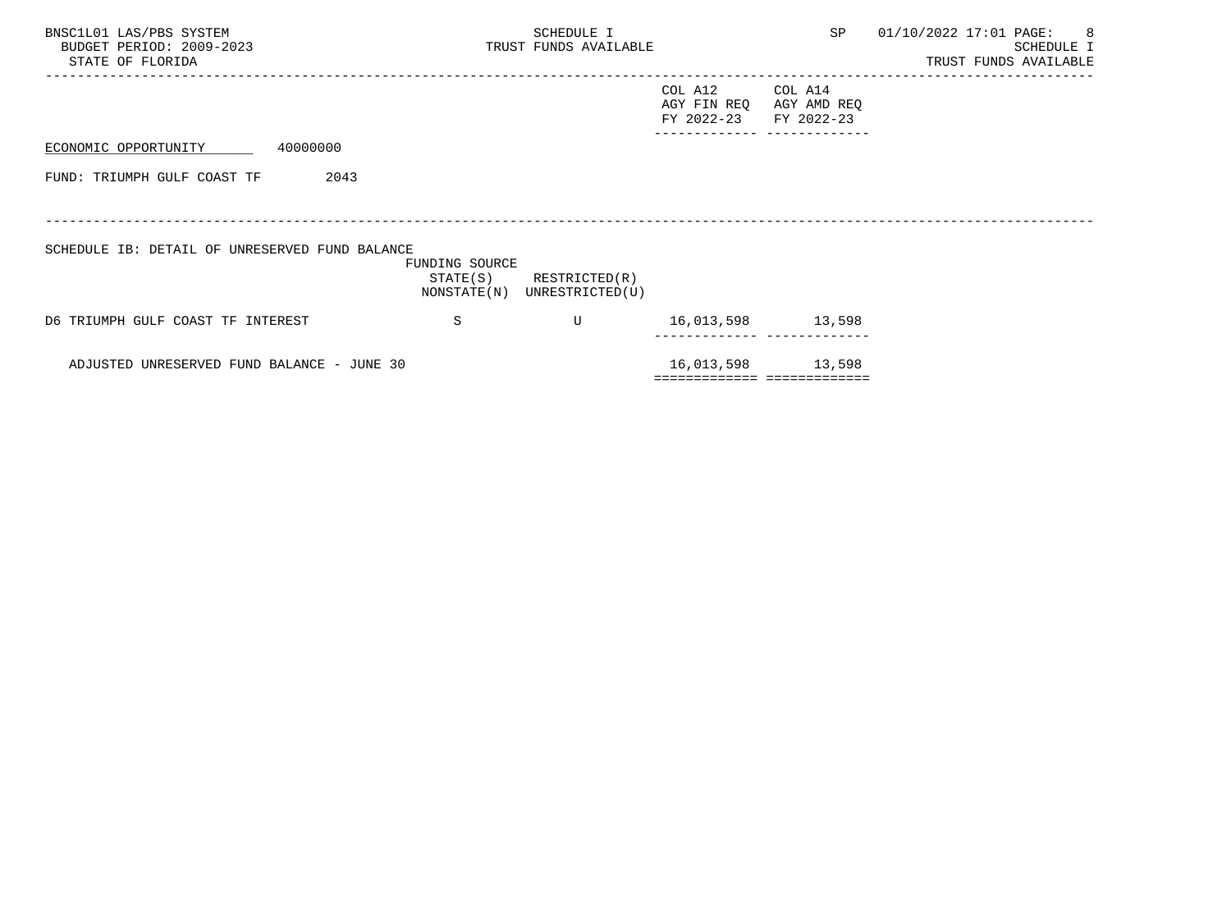| BNSC1L01 LAS/PBS SYSTEM<br>BUDGET PERIOD: 2009-2023<br>STATE OF FLORIDA |                | SCHEDULE I<br>TRUST FUNDS AVAILABLE                        |                                      | SP                                   | 01/10/2022 17:01 PAGE:<br>$\overline{\phantom{0}}$ 8<br>SCHEDULE I<br>TRUST FUNDS AVAILABLE |
|-------------------------------------------------------------------------|----------------|------------------------------------------------------------|--------------------------------------|--------------------------------------|---------------------------------------------------------------------------------------------|
|                                                                         |                |                                                            | COL A12<br>AGY FIN REO<br>FY 2022-23 | COL A14<br>AGY AMD REQ<br>FY 2022-23 |                                                                                             |
| 40000000<br>ECONOMIC OPPORTUNITY                                        |                |                                                            |                                      |                                      |                                                                                             |
| 2043<br>FUND: TRIUMPH GULF COAST TF                                     |                |                                                            |                                      |                                      |                                                                                             |
| SCHEDULE IB: DETAIL OF UNRESERVED FUND BALANCE                          | FUNDING SOURCE | $STATE(S)$ RESTRICTED $(R)$<br>NONSTATE(N) UNRESTRICTED(U) |                                      |                                      |                                                                                             |
| D6 TRIUMPH GULF COAST TF INTEREST                                       | S              | $\mathbf{U}$                                               | 16,013,598 13,598                    |                                      |                                                                                             |
| ADJUSTED UNRESERVED FUND BALANCE - JUNE 30                              |                |                                                            |                                      | 16,013,598 13,598                    |                                                                                             |
|                                                                         |                |                                                            |                                      | ============================         |                                                                                             |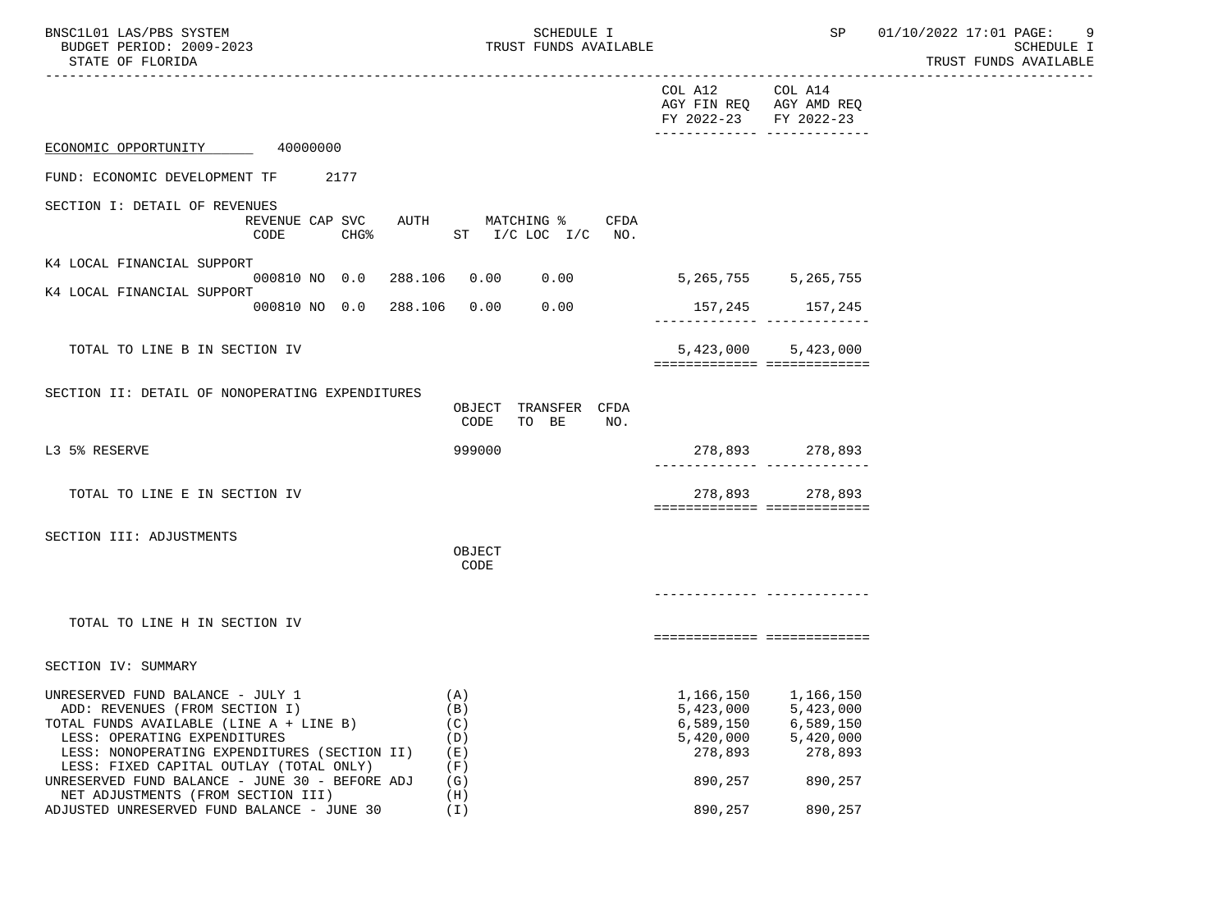| BNSC1L01 LAS/PBS SYSTEM  | <b>SCHEDULE I</b>     | SP | 01/10/2022 17:01 PAGE: |                       |  |
|--------------------------|-----------------------|----|------------------------|-----------------------|--|
| BUDGET PERIOD: 2009-2023 | TRUST FUNDS AVAILABLE |    |                        | SCHEDULE I            |  |
| STATE OF FLORIDA         |                       |    |                        | TRUST FUNDS AVAILABLE |  |

|                                                                                                                                                                                               |                                                             |                                              | COL A12<br>AGY FIN REQ AGY AMD REQ<br>FY 2022-23<br>-------------- -------------- | COL A14<br>FY 2022-23                                                                                   |  |
|-----------------------------------------------------------------------------------------------------------------------------------------------------------------------------------------------|-------------------------------------------------------------|----------------------------------------------|-----------------------------------------------------------------------------------|---------------------------------------------------------------------------------------------------------|--|
| ECONOMIC OPPORTUNITY                                                                                                                                                                          | 40000000                                                    |                                              |                                                                                   |                                                                                                         |  |
| FUND: ECONOMIC DEVELOPMENT TF                                                                                                                                                                 | 2177                                                        |                                              |                                                                                   |                                                                                                         |  |
| SECTION I: DETAIL OF REVENUES                                                                                                                                                                 | REVENUE CAP SVC AUTH MATCHING %<br>CHG <sup>8</sup><br>CODE | CFDA<br>$ST$ I/C LOC I/C NO.                 |                                                                                   |                                                                                                         |  |
| K4 LOCAL FINANCIAL SUPPORT                                                                                                                                                                    |                                                             |                                              |                                                                                   |                                                                                                         |  |
| K4 LOCAL FINANCIAL SUPPORT                                                                                                                                                                    | 000810 NO 0.0 288.106 0.00 0.00                             |                                              | 5, 265, 755 5, 265, 755                                                           |                                                                                                         |  |
|                                                                                                                                                                                               | 000810 NO 0.0 288.106 0.00 0.00                             |                                              |                                                                                   |                                                                                                         |  |
| TOTAL TO LINE B IN SECTION IV                                                                                                                                                                 |                                                             |                                              |                                                                                   | 5,423,000 5,423,000                                                                                     |  |
|                                                                                                                                                                                               |                                                             |                                              | ===========================                                                       |                                                                                                         |  |
| SECTION II: DETAIL OF NONOPERATING EXPENDITURES                                                                                                                                               |                                                             | OBJECT TRANSFER CFDA<br>CODE<br>TO BE<br>NO. |                                                                                   |                                                                                                         |  |
| L3 5% RESERVE                                                                                                                                                                                 |                                                             | 999000                                       |                                                                                   | 278,893 278,893                                                                                         |  |
| TOTAL TO LINE E IN SECTION IV                                                                                                                                                                 |                                                             |                                              | ============================                                                      | 278,893 278,893                                                                                         |  |
| SECTION III: ADJUSTMENTS                                                                                                                                                                      |                                                             | OBJECT<br>CODE                               |                                                                                   |                                                                                                         |  |
|                                                                                                                                                                                               |                                                             |                                              |                                                                                   |                                                                                                         |  |
| TOTAL TO LINE H IN SECTION IV                                                                                                                                                                 |                                                             |                                              | ===========================                                                       |                                                                                                         |  |
| SECTION IV: SUMMARY                                                                                                                                                                           |                                                             |                                              |                                                                                   |                                                                                                         |  |
| UNRESERVED FUND BALANCE - JULY 1<br>ADD: REVENUES (FROM SECTION I)<br>TOTAL FUNDS AVAILABLE (LINE A + LINE B)<br>LESS: OPERATING EXPENDITURES<br>LESS: NONOPERATING EXPENDITURES (SECTION II) |                                                             | (A)<br>(B)<br>(C)<br>(D)<br>(E)              | 278,893                                                                           | 1,166,150 1,166,150<br>5,423,000 5,423,000<br>6,589,150 6,589,150<br>$5,420,000$ $5,420,000$<br>278,893 |  |
| LESS: FIXED CAPITAL OUTLAY (TOTAL ONLY)<br>UNRESERVED FUND BALANCE - JUNE 30 - BEFORE ADJ<br>NET ADJUSTMENTS (FROM SECTION III)                                                               |                                                             | (F)<br>(G)<br>(H)                            | 890,257                                                                           | 890,257                                                                                                 |  |
| ADJUSTED UNRESERVED FUND BALANCE - JUNE 30                                                                                                                                                    |                                                             | (I)                                          | 890,257                                                                           | 890,257                                                                                                 |  |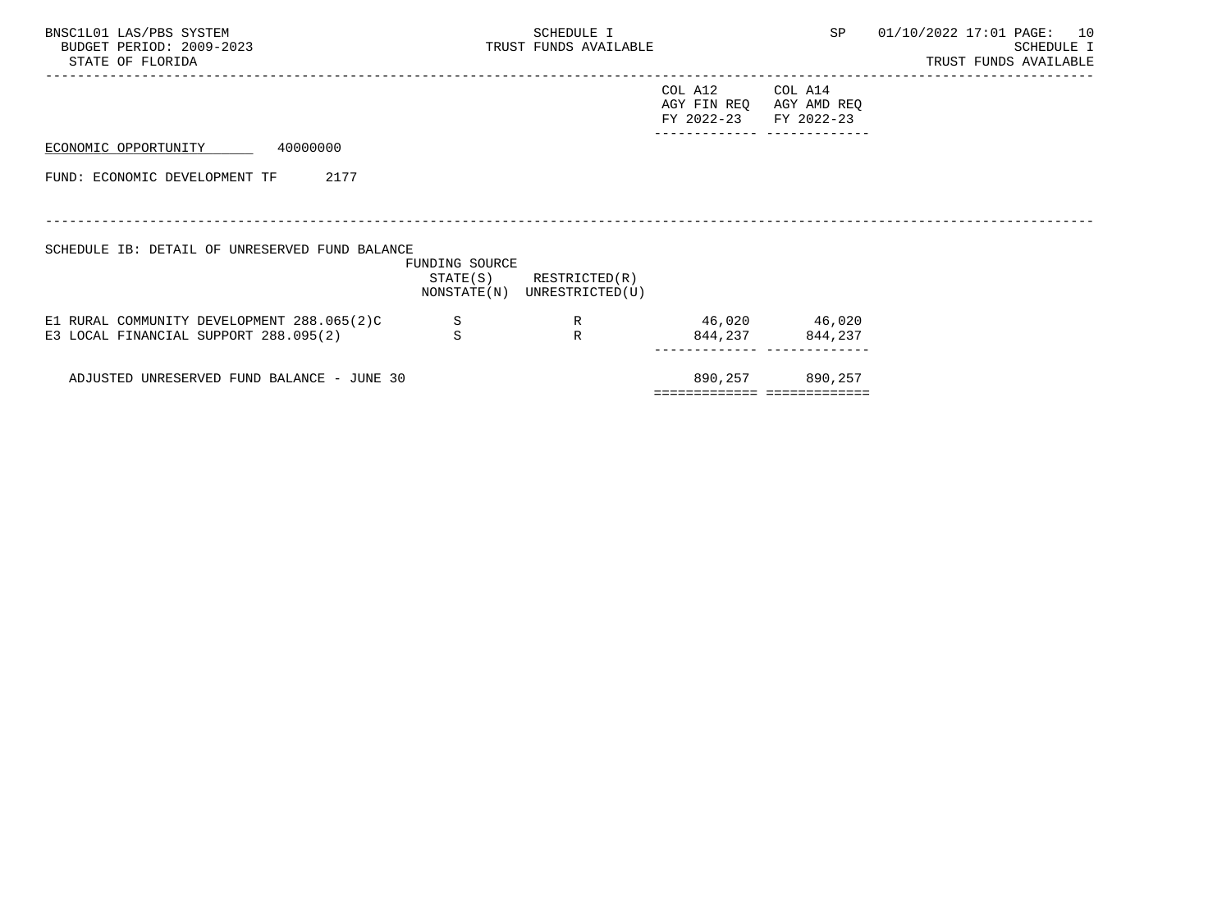| BNSC1L01 LAS/PBS SYSTEM<br>BUDGET PERIOD: 2009-2023<br>STATE OF FLORIDA |                | SCHEDULE I<br>TRUST FUNDS AVAILABLE                        |                                                             | SP                | 01/10/2022 17:01 PAGE: 10<br>SCHEDULE I<br>TRUST FUNDS AVAILABLE |
|-------------------------------------------------------------------------|----------------|------------------------------------------------------------|-------------------------------------------------------------|-------------------|------------------------------------------------------------------|
|                                                                         |                |                                                            | COL A12<br>AGY FIN REQ AGY AMD REQ<br>FY 2022-23 FY 2022-23 | COL A14           |                                                                  |
| 40000000<br>ECONOMIC OPPORTUNITY                                        |                |                                                            |                                                             |                   |                                                                  |
| 2177<br>FUND: ECONOMIC DEVELOPMENT TF                                   |                |                                                            |                                                             |                   |                                                                  |
|                                                                         |                |                                                            |                                                             |                   |                                                                  |
| SCHEDULE IB: DETAIL OF UNRESERVED FUND BALANCE                          |                |                                                            |                                                             |                   |                                                                  |
|                                                                         | FUNDING SOURCE | $STATE(S)$ RESTRICTED $(R)$<br>NONSTATE(N) UNRESTRICTED(U) |                                                             |                   |                                                                  |
| E1 RURAL COMMUNITY DEVELOPMENT 288.065(2)C                              | $\mathbf S$    | R                                                          | 46,020 46,020                                               |                   |                                                                  |
| E3 LOCAL FINANCIAL SUPPORT 288.095(2)                                   | S              | $\mathbb{R}$                                               |                                                             | 844, 237 844, 237 |                                                                  |
| ADJUSTED UNRESERVED FUND BALANCE - JUNE 30                              |                |                                                            | ============================                                | 890,257 890,257   |                                                                  |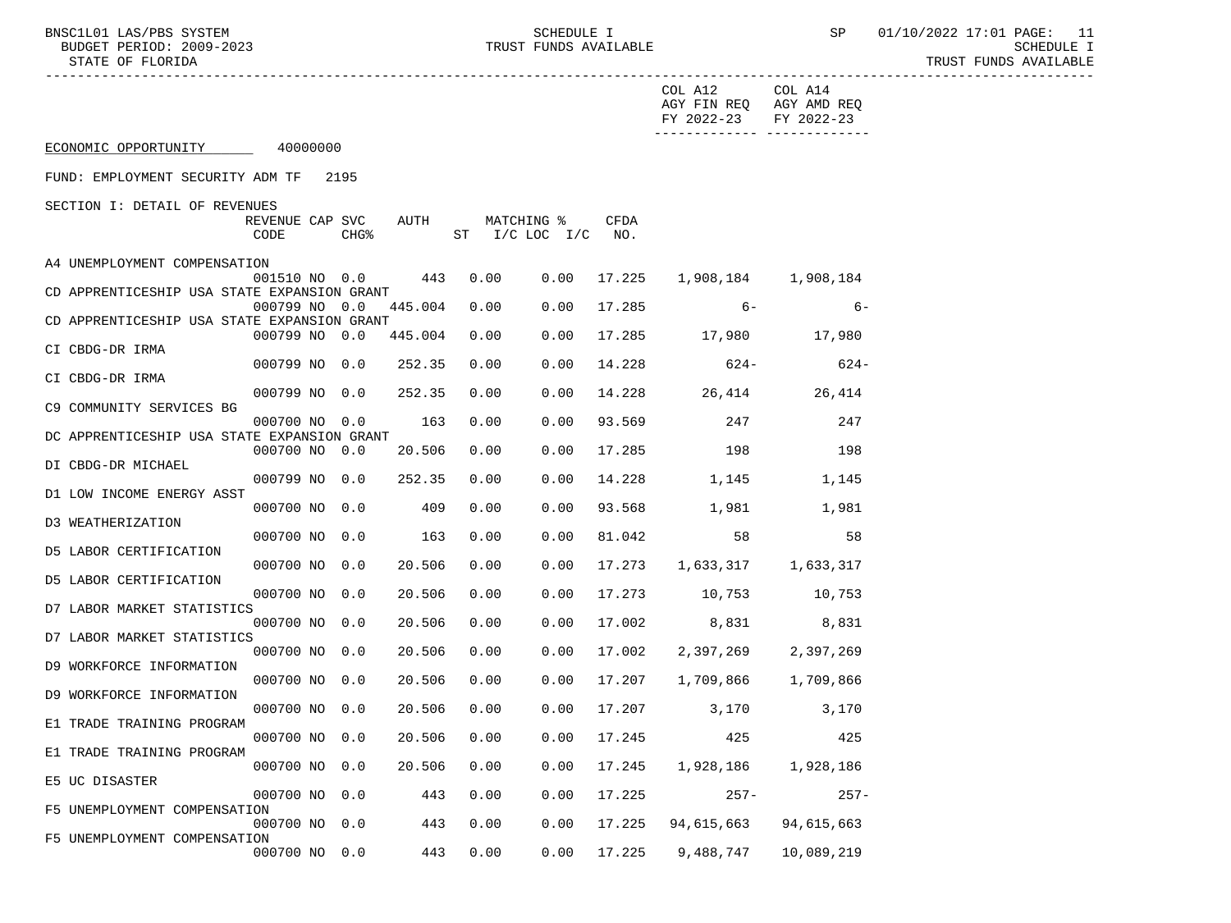SURBLUDGET 1<br>TRUST FUNDS AVAILABLE

BNSC1L01 LAS/PBS SYSTEM SOHEDULE I SCHEDULE I SP 01/10/2022 17:01 PAGE: 11<br>BUDGET PERIOD: 2009-2023 TRUST FUNDS AVAILABLE

STATE OF FLORIDA TRUST FUNDS AVAILABLE

| FY 2022-23 FY 2022-23                                                                                            | AGY FIN REQ AGY AMD REQ |
|------------------------------------------------------------------------------------------------------------------|-------------------------|
| ECONOMIC OPPORTUNITY 40000000                                                                                    |                         |
| FUND: EMPLOYMENT SECURITY ADM TF 2195                                                                            |                         |
| SECTION I: DETAIL OF REVENUES                                                                                    |                         |
| AUTH<br>MATCHING %<br><b>CFDA</b><br>REVENUE CAP SVC<br>$CHG\$<br>ST $I/C$ LOC $I/C$ NO.<br>CODE                 |                         |
| A4 UNEMPLOYMENT COMPENSATION                                                                                     |                         |
| 001510 NO 0.0 443<br>0.00<br>$0.00$ 17.225<br>1,908,184 1,908,184<br>CD APPRENTICESHIP USA STATE EXPANSION GRANT |                         |
| 0.00<br>17.285<br>$6-$<br>000799 NO 0.0<br>445.004<br>0.00                                                       | $6-$                    |
| CD APPRENTICESHIP USA STATE EXPANSION GRANT<br>0.00<br>17.285 17,980 17,980<br>000799 NO 0.0 445.004<br>0.00     |                         |
| CI CBDG-DR IRMA                                                                                                  |                         |
| 000799 NO 0.0<br>252.35<br>0.00<br>0.00<br>14.228<br>$624-$<br>$624-$<br>CI CBDG-DR IRMA                         |                         |
| 000799 NO 0.0<br>252.35<br>0.00<br>0.00<br>14.228 26,414<br>26,414                                               |                         |
| C9 COMMUNITY SERVICES BG<br>163<br>247<br>000700 NO 0.0<br>0.00<br>0.00<br>93.569<br>247                         |                         |
| DC APPRENTICESHIP USA STATE EXPANSION GRANT                                                                      |                         |
| 0.00<br>17.285<br>198<br>198<br>000700 NO 0.0<br>20.506<br>0.00<br>DI CBDG-DR MICHAEL                            |                         |
| 000799 NO 0.0<br>0.00<br>14.228<br>252.35<br>0.00<br>1,145 1,145                                                 |                         |
| D1 LOW INCOME ENERGY ASST<br>000700 NO 0.0<br>409<br>0.00<br>0.00<br>93.568<br>1,981 1,981                       |                         |
| D3 WEATHERIZATION                                                                                                |                         |
| 58<br>000700 NO 0.0<br>163<br>0.00<br>0.00<br>81.042<br>D5 LABOR CERTIFICATION                                   | 58                      |
| 000700 NO 0.0<br>20.506<br>17.273 1,633,317 1,633,317<br>0.00<br>0.00                                            |                         |
| D5 LABOR CERTIFICATION<br>000700 NO 0.0<br>0.00<br>17.273<br>10,753 10,753<br>20.506<br>0.00                     |                         |
| D7 LABOR MARKET STATISTICS                                                                                       |                         |
| 000700 NO 0.0<br>20.506<br>0.00<br>17.002<br>8,831 8,831<br>0.00<br>D7 LABOR MARKET STATISTICS                   |                         |
| 20.506<br>000700 NO 0.0<br>0.00<br>0.00<br>17.002<br>2,397,269<br>2,397,269                                      |                         |
| D9 WORKFORCE INFORMATION<br>20.506<br>$0.00$ 17.207<br>000700 NO 0.0<br>0.00<br>1,709,866 1,709,866              |                         |
| D9 WORKFORCE INFORMATION                                                                                         |                         |
| 000700 NO 0.0<br>20.506<br>0.00<br>$0.00$ 17.207<br>3,170<br>3,170<br>E1 TRADE TRAINING PROGRAM                  |                         |
| 000700 NO 0.0 20.506 0.00 0.00 17.245 425<br>425                                                                 |                         |
| E1 TRADE TRAINING PROGRAM<br>000700 NO 0.0<br>20.506<br>0.00<br>0.00<br>17.245<br>1,928,186<br>1,928,186         |                         |
| E5 UC DISASTER                                                                                                   |                         |
|                                                                                                                  | $257 -$                 |
| 000700 NO 0.0<br>443<br>0.00<br>0.00<br>17.225<br>$257 -$                                                        |                         |
| F5 UNEMPLOYMENT COMPENSATION<br>000700 NO 0.0<br>443<br>0.00<br>0.00<br>17.225<br>94,615,663<br>94,615,663       |                         |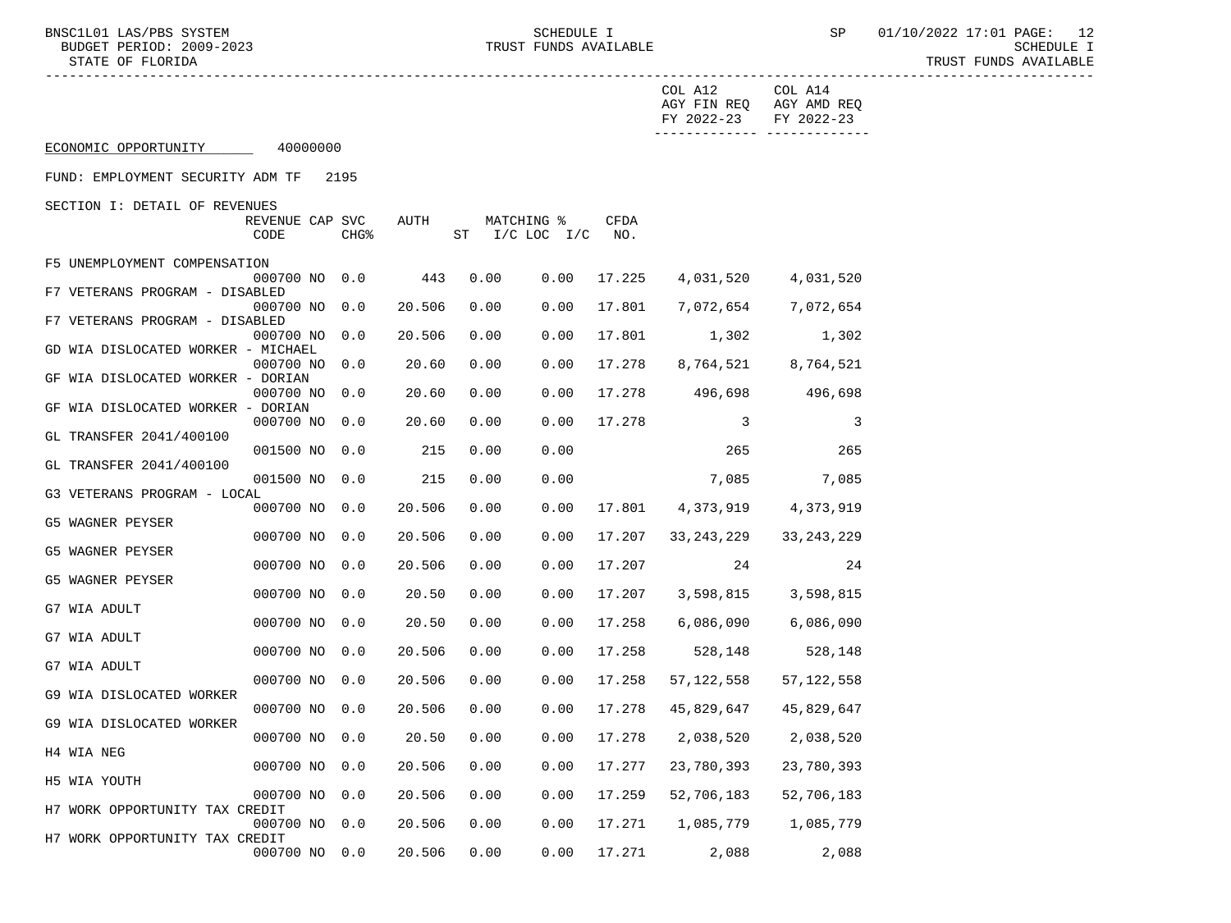BNSC1L01 LAS/PBS SYSTEM SOHEDULE I SCHEDULE I SEREDULE I SP 01/10/2022 17:01 PAGE: 12<br>BUDGET PERIOD: 2009-2023 SCHEDULE I TRUST FUNDS AVAILABLE STATE OF FLORIDA TRUST FUNDS AVAILABLE

 ----------------------------------------------------------------------------------------------------------------------------------- COL A12 COL A14 AGY FIN REQ AGY AMD REQ FY 2022-23 FY 2022-23 ------------- ------------- ECONOMIC OPPORTUNITY 40000000 FUND: EMPLOYMENT SECURITY ADM TF 2195 SECTION I: DETAIL OF REVENUES REVENUE CAP SVC AUTH MATCHING % CFDA CODE CHG<sup>&</sup> ST I/C LOC I/C NO.

| F5 UNEMPLOYMENT COMPENSATION       | 000700 NO | 0.0 | 443    | 0.00 | 0.00 | 17.225 | 4,031,520    |              |
|------------------------------------|-----------|-----|--------|------|------|--------|--------------|--------------|
| F7 VETERANS PROGRAM - DISABLED     |           |     |        |      |      |        |              | 4,031,520    |
| F7 VETERANS PROGRAM - DISABLED     | 000700 NO | 0.0 | 20.506 | 0.00 | 0.00 | 17.801 | 7,072,654    | 7,072,654    |
|                                    | 000700 NO | 0.0 | 20.506 | 0.00 | 0.00 | 17.801 | 1,302        | 1,302        |
| GD WIA DISLOCATED WORKER - MICHAEL | 000700 NO | 0.0 | 20.60  | 0.00 | 0.00 | 17.278 | 8,764,521    | 8,764,521    |
| GF WIA DISLOCATED WORKER - DORIAN  |           |     |        |      |      |        |              |              |
| GF WIA DISLOCATED WORKER - DORIAN  | 000700 NO | 0.0 | 20.60  | 0.00 | 0.00 | 17.278 | 496,698      | 496,698      |
|                                    | 000700 NO | 0.0 | 20.60  | 0.00 | 0.00 | 17.278 | 3            | 3            |
| GL TRANSFER 2041/400100            | 001500 NO | 0.0 | 215    | 0.00 | 0.00 |        | 265          | 265          |
| GL TRANSFER 2041/400100            | 001500 NO | 0.0 | 215    | 0.00 | 0.00 |        | 7,085        | 7,085        |
| G3 VETERANS PROGRAM - LOCAL        |           |     |        |      |      |        |              |              |
| G5 WAGNER PEYSER                   | 000700 NO | 0.0 | 20.506 | 0.00 | 0.00 | 17.801 | 4,373,919    | 4,373,919    |
|                                    | 000700 NO | 0.0 | 20.506 | 0.00 | 0.00 | 17.207 | 33, 243, 229 | 33, 243, 229 |
| G5 WAGNER PEYSER                   | 000700 NO | 0.0 | 20.506 | 0.00 | 0.00 | 17.207 | 24           | 24           |
| G5 WAGNER PEYSER                   |           |     |        |      |      |        |              |              |
| G7 WIA ADULT                       | 000700 NO | 0.0 | 20.50  | 0.00 | 0.00 | 17.207 | 3,598,815    | 3,598,815    |
| G7 WIA ADULT                       | 000700 NO | 0.0 | 20.50  | 0.00 | 0.00 | 17.258 | 6,086,090    | 6,086,090    |
|                                    | 000700 NO | 0.0 | 20.506 | 0.00 | 0.00 | 17.258 | 528,148      | 528,148      |
| G7 WIA ADULT                       | 000700 NO | 0.0 | 20.506 | 0.00 | 0.00 | 17.258 | 57, 122, 558 | 57, 122, 558 |
| G9 WIA DISLOCATED WORKER           |           |     |        |      |      |        |              |              |
| G9 WIA DISLOCATED WORKER           | 000700 NO | 0.0 | 20.506 | 0.00 | 0.00 | 17.278 | 45,829,647   | 45,829,647   |
|                                    | 000700 NO | 0.0 | 20.50  | 0.00 | 0.00 | 17.278 | 2,038,520    | 2,038,520    |
| H4 WIA NEG                         | 000700 NO | 0.0 | 20.506 | 0.00 | 0.00 | 17.277 | 23,780,393   | 23,780,393   |
| H5 WIA YOUTH                       | 000700 NO | 0.0 | 20.506 | 0.00 | 0.00 | 17.259 | 52,706,183   | 52,706,183   |
| H7 WORK OPPORTUNITY TAX CREDIT     |           |     |        |      |      |        |              |              |
| H7 WORK OPPORTUNITY TAX CREDIT     | 000700 NO | 0.0 | 20.506 | 0.00 | 0.00 | 17.271 | 1,085,779    | 1,085,779    |
|                                    | 000700 NO | 0.0 | 20.506 | 0.00 | 0.00 | 17.271 | 2,088        | 2,088        |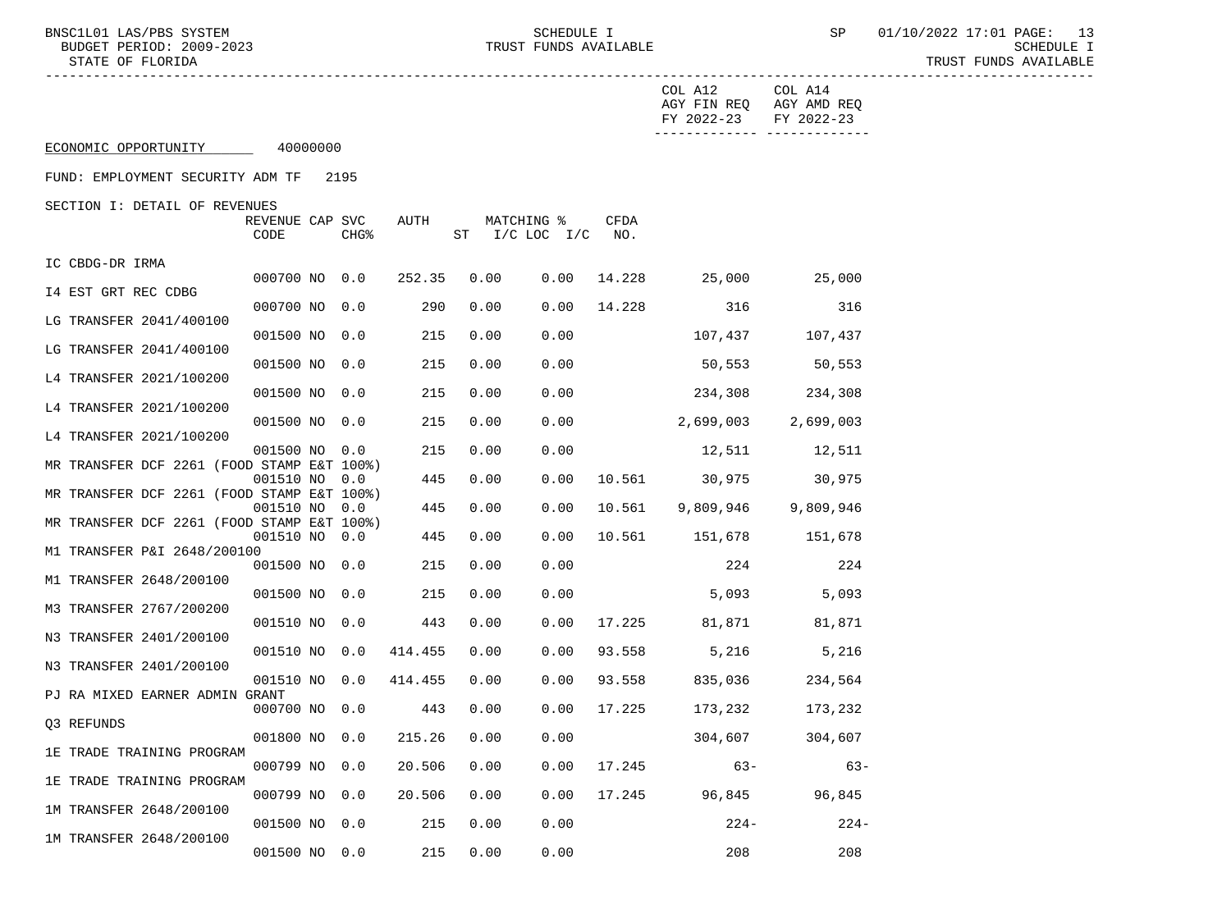-----------------------------------------------------------------------------------------------------------------------------------

BNSC1L01 LAS/PBS SYSTEM SOHEDULE I SCHEDULE I SEREDULE I SP 01/10/2022 17:01 PAGE: 13

|                                                                  |                         |  |                  |         |      |                         |      |                    | COL A12<br>AGY FIN REQ<br>FY 2022-23 | COL A14<br>AGY AMD REQ<br>FY 2022-23 |
|------------------------------------------------------------------|-------------------------|--|------------------|---------|------|-------------------------|------|--------------------|--------------------------------------|--------------------------------------|
| -----------<br>-------------<br>ECONOMIC OPPORTUNITY<br>40000000 |                         |  |                  |         |      |                         |      |                    |                                      |                                      |
| FUND: EMPLOYMENT SECURITY ADM TF                                 |                         |  | 2195             |         |      |                         |      |                    |                                      |                                      |
| SECTION I: DETAIL OF REVENUES                                    | REVENUE CAP SVC<br>CODE |  | CHG <sup>8</sup> | AUTH    | ST   | MATCHING %<br>$I/C$ LOC | I/C  | <b>CFDA</b><br>NO. |                                      |                                      |
| IC CBDG-DR IRMA                                                  | 000700 NO               |  | 0.0              | 252.35  | 0.00 |                         | 0.00 | 14.228             | 25,000                               | 25,000                               |
| 14 EST GRT REC CDBG                                              | 000700 NO               |  | 0.0              | 290     | 0.00 |                         | 0.00 | 14.228             | 316                                  | 316                                  |
| LG TRANSFER 2041/400100                                          | 001500 NO               |  | 0.0              | 215     | 0.00 |                         | 0.00 |                    | 107,437                              | 107,437                              |
| LG TRANSFER 2041/400100                                          | 001500 NO               |  | 0.0              | 215     | 0.00 |                         | 0.00 |                    | 50,553                               | 50,553                               |
| L4 TRANSFER 2021/100200                                          | 001500 NO               |  | 0.0              | 215     | 0.00 |                         | 0.00 |                    | 234,308                              | 234,308                              |
| L4 TRANSFER 2021/100200                                          |                         |  |                  | 215     | 0.00 |                         | 0.00 |                    |                                      |                                      |
| L4 TRANSFER 2021/100200                                          | 001500 NO               |  | 0.0              |         |      |                         |      |                    | 2,699,003                            | 2,699,003                            |
| MR TRANSFER DCF 2261 (FOOD STAMP E&T 100%)                       | 001500 NO               |  | 0.0              | 215     | 0.00 |                         | 0.00 |                    | 12,511                               | 12,511                               |
| MR TRANSFER DCF 2261 (FOOD STAMP E&T 100%)                       | 001510 NO               |  | 0.0              | 445     | 0.00 |                         | 0.00 | 10.561             | 30,975                               | 30,975                               |
| MR TRANSFER DCF 2261 (FOOD STAMP E&T 100%)                       | 001510 NO               |  | 0.0              | 445     | 0.00 |                         | 0.00 | 10.561             | 9,809,946                            | 9,809,946                            |
| TRANSFER P&I 2648/200100<br>M1                                   | 001510 NO               |  | 0.0              | 445     | 0.00 |                         | 0.00 | 10.561             | 151,678                              | 151,678                              |
| TRANSFER 2648/200100<br>M1                                       | 001500 NO               |  | 0.0              | 215     | 0.00 |                         | 0.00 |                    | 224                                  | 224                                  |
| M3 TRANSFER 2767/200200                                          | 001500 NO               |  | 0.0              | 215     | 0.00 |                         | 0.00 |                    | 5,093                                | 5,093                                |
| N3 TRANSFER 2401/200100                                          | 001510 NO               |  | 0.0              | 443     | 0.00 |                         | 0.00 | 17.225             | 81,871                               | 81,871                               |
|                                                                  | 001510 NO               |  | 0.0              | 414.455 | 0.00 |                         | 0.00 | 93.558             | 5,216                                | 5,216                                |
| N3 TRANSFER 2401/200100                                          | 001510 NO               |  | 0.0              | 414.455 | 0.00 |                         | 0.00 | 93.558             | 835,036                              | 234,564                              |
| PJ RA MIXED EARNER ADMIN GRANT                                   | 000700 NO               |  | 0.0              | 443     | 0.00 |                         | 0.00 | 17.225             | 173,232                              | 173,232                              |
| Q3 REFUNDS                                                       | 001800 NO               |  | 0.0              | 215.26  | 0.00 |                         | 0.00 |                    | 304,607                              | 304,607                              |
| 1E TRADE TRAINING PROGRAM                                        | 000799 NO               |  | 0.0              | 20.506  | 0.00 |                         | 0.00 | 17.245             | $63 -$                               | $63-$                                |
| 1E TRADE TRAINING PROGRAM                                        | 000799 NO               |  | 0.0              | 20.506  | 0.00 |                         | 0.00 | 17.245             | 96,845                               | 96,845                               |
| 1M TRANSFER 2648/200100                                          | 001500 NO               |  | 0.0              | 215     | 0.00 |                         | 0.00 |                    | $224-$                               | $224-$                               |
| 1M TRANSFER 2648/200100                                          | 001500 NO               |  | 0.0              | 215     | 0.00 |                         | 0.00 |                    | 208                                  | 208                                  |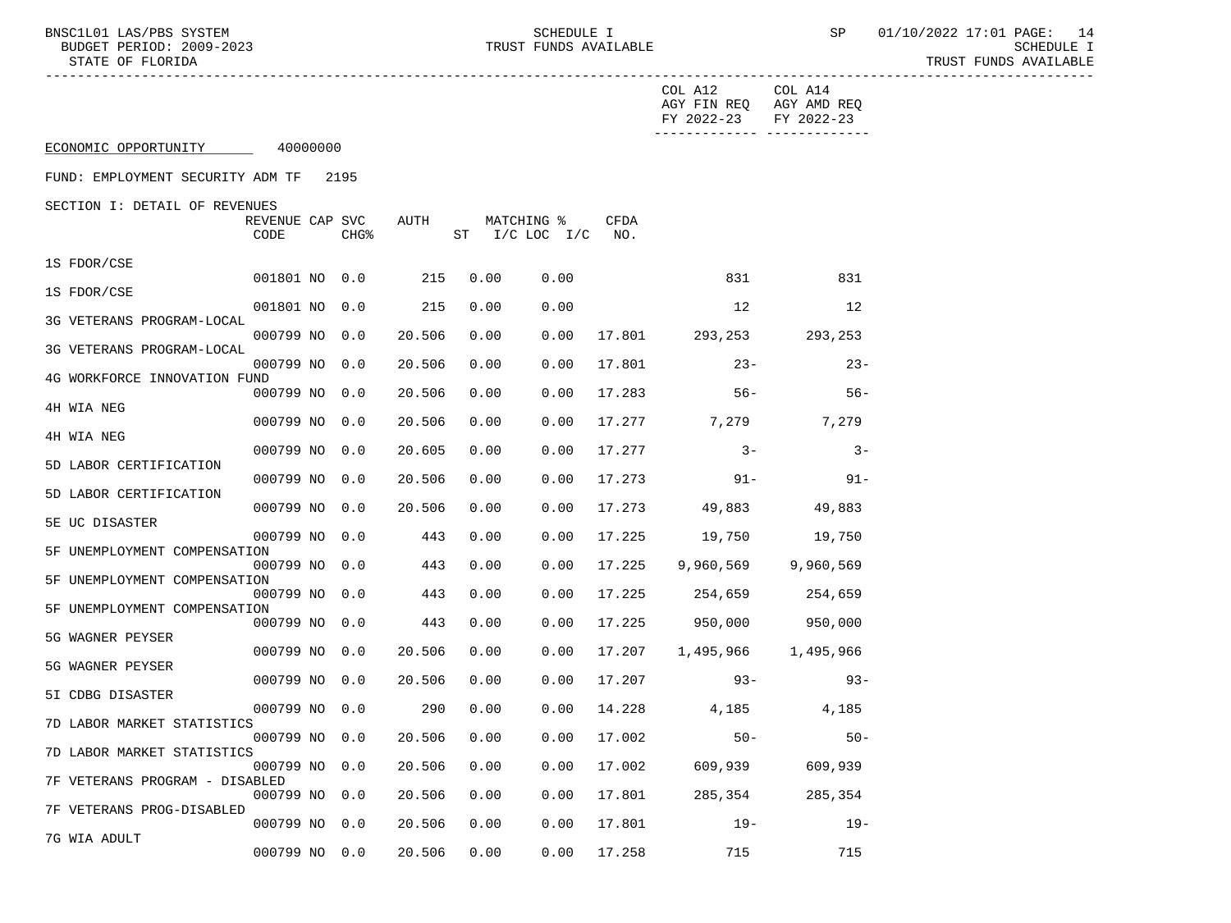BNSC1L01 LAS/PBS SYSTEM  $\begin{array}{c} \texttt{SCHEDULE} \\ \texttt{BUDGET PERIOD: } 2009-2023 \end{array}$  SCHEDULE I TRUST FUNDS AVAILABLE STATE OF FLORIDA TRUST FUNDS AVAILABLE ----------------------------------------------------------------------------------------------------------------------------------- COL A12 COL A14 AGY FIN REQ AGY AMD REQ FY 2022-23 FY 2022-23 ------------- ------------- ECONOMIC OPPORTUNITY 40000000 FUND: EMPLOYMENT SECURITY ADM TF 2195 SECTION I: DETAIL OF REVENUES REVENUE CAP SVC AUTH MATCHING % CFDA CODE CHG<sup>&</sup> ST I/C LOC I/C NO. 1S FDOR/CSE 000799 NO 0.0 20.506 0.00 0.00 17.801 23- 23-

|                                | 001801 NO | 0.0 | 215    | 0.00 | 0.00 |        | 831       | 831       |
|--------------------------------|-----------|-----|--------|------|------|--------|-----------|-----------|
| 1S FDOR/CSE                    | 001801 NO | 0.0 | 215    | 0.00 | 0.00 |        | 12        | 12        |
| 3G VETERANS PROGRAM-LOCAL      | 000799 NO | 0.0 | 20.506 | 0.00 | 0.00 | 17.801 | 293,253   | 293,253   |
| 3G VETERANS PROGRAM-LOCAL      |           |     |        |      |      |        |           |           |
| 4G WORKFORCE INNOVATION FUND   | 000799 NO | 0.0 | 20.506 | 0.00 | 0.00 | 17.801 | $23 -$    | $23 -$    |
| 4H WIA NEG                     | 000799 NO | 0.0 | 20.506 | 0.00 | 0.00 | 17.283 | $56 -$    | $56 -$    |
|                                | 000799 NO | 0.0 | 20.506 | 0.00 | 0.00 | 17.277 | 7,279     | 7,279     |
| 4H WIA NEG                     | 000799 NO | 0.0 | 20.605 | 0.00 | 0.00 | 17.277 | $3 -$     | $3 -$     |
| 5D LABOR CERTIFICATION         | 000799 NO | 0.0 | 20.506 | 0.00 | 0.00 | 17.273 | $91 -$    | $91 -$    |
| 5D LABOR CERTIFICATION         |           |     |        |      |      |        |           |           |
| 5E UC DISASTER                 | 000799 NO | 0.0 | 20.506 | 0.00 | 0.00 | 17.273 | 49,883    | 49,883    |
| 5F UNEMPLOYMENT COMPENSATION   | 000799 NO | 0.0 | 443    | 0.00 | 0.00 | 17.225 | 19,750    | 19,750    |
|                                | 000799 NO | 0.0 | 443    | 0.00 | 0.00 | 17.225 | 9,960,569 | 9,960,569 |
| 5F UNEMPLOYMENT COMPENSATION   | 000799 NO | 0.0 | 443    | 0.00 | 0.00 | 17.225 | 254,659   | 254,659   |
| 5F UNEMPLOYMENT COMPENSATION   | 000799 NO | 0.0 | 443    | 0.00 | 0.00 | 17.225 | 950,000   | 950,000   |
| 5G WAGNER PEYSER               |           |     |        |      |      |        |           |           |
| 5G WAGNER PEYSER               | 000799 NO | 0.0 | 20.506 | 0.00 | 0.00 | 17.207 | 1,495,966 | 1,495,966 |
| 5I CDBG DISASTER               | 000799 NO | 0.0 | 20.506 | 0.00 | 0.00 | 17.207 | $93 -$    | $93 -$    |
|                                | 000799 NO | 0.0 | 290    | 0.00 | 0.00 | 14.228 | 4,185     | 4,185     |
| 7D LABOR MARKET STATISTICS     | 000799 NO | 0.0 | 20.506 | 0.00 | 0.00 | 17.002 | $50 -$    | $50 -$    |
| 7D LABOR MARKET STATISTICS     | 000799 NO | 0.0 | 20.506 | 0.00 | 0.00 | 17.002 | 609,939   | 609,939   |
| 7F VETERANS PROGRAM - DISABLED |           |     |        |      |      |        |           |           |
| 7F VETERANS PROG-DISABLED      | 000799 NO | 0.0 | 20.506 | 0.00 | 0.00 | 17.801 | 285,354   | 285,354   |
| 7G WIA ADULT                   | 000799 NO | 0.0 | 20.506 | 0.00 | 0.00 | 17.801 | $19 -$    | $19-$     |
|                                | 000799 NO | 0.0 | 20.506 | 0.00 | 0.00 | 17.258 | 715       | 715       |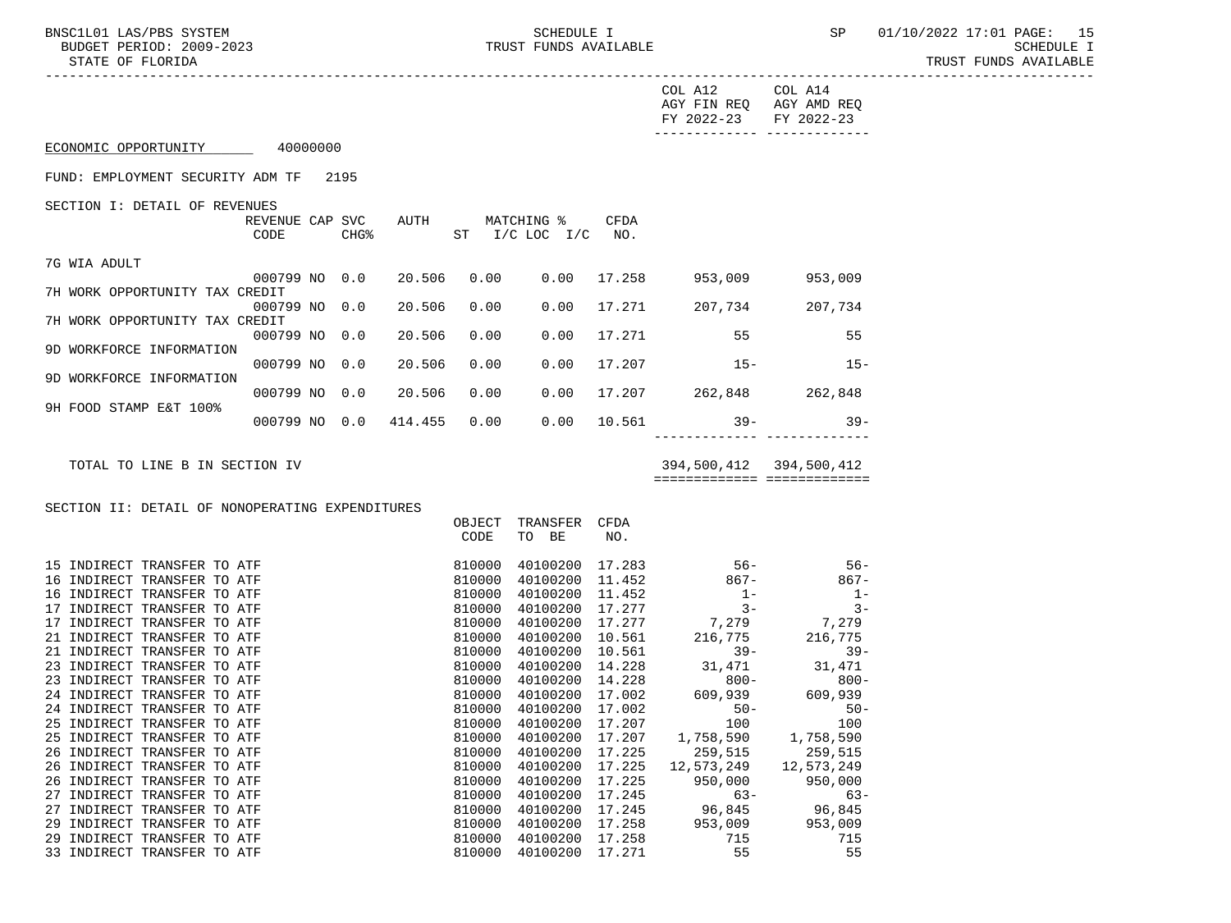BNSC1L01 LAS/PBS SYSTEM SOHEDULE I SCHEDULE I SEREDULE I SP 01/10/2022 17:01 PAGE: 15<br>BUDGET PERIOD: 2009-2023 SCHEDULE I TRUST FUNDS AVAILABLE

 STATE OF FLORIDA TRUST FUNDS AVAILABLE -----------------------------------------------------------------------------------------------------------------------------------

|                                       | COL A12<br>AGY FIN REO<br>FY 2022-23 | COL A14<br>AGY AMD REO<br>FY 2022-23 |
|---------------------------------------|--------------------------------------|--------------------------------------|
| 40000000<br>ECONOMIC OPPORTUNITY      |                                      |                                      |
| FUND: EMPLOYMENT SECURITY ADM TF 2195 |                                      |                                      |

SECTION I: DETAIL OF REVENUES

|                                | REVENUE CAP<br>CODE | <b>SVC</b><br>CHG <sup>8</sup> | AUTH    | ST   | MATCHING %<br>$I/C$ LOC $I/C$ | <b>CFDA</b><br>NO. |         |         |
|--------------------------------|---------------------|--------------------------------|---------|------|-------------------------------|--------------------|---------|---------|
| 7G WIA ADULT                   |                     |                                |         |      |                               |                    |         |         |
|                                | 000799 NO           | 0.0                            | 20.506  | 0.00 | 0.00                          | 17.258             | 953,009 | 953,009 |
| 7H WORK OPPORTUNITY TAX CREDIT |                     |                                |         |      |                               |                    |         |         |
|                                | 000799 NO           | 0.0                            | 20.506  | 0.00 | 0.00                          | 17.271             | 207.734 | 207,734 |
| 7H WORK OPPORTUNITY TAX CREDIT |                     |                                |         |      |                               |                    |         |         |
|                                | 000799 NO           | 0.0                            | 20.506  | 0.00 | 0.00                          | 17.271             | 55      | 55      |
| 9D WORKFORCE INFORMATION       |                     |                                |         |      |                               |                    |         |         |
|                                | 000799 NO           | 0.0                            | 20.506  | 0.00 | 0.00                          | 17.207             | $15 -$  | $15 -$  |
| 9D WORKFORCE INFORMATION       |                     |                                |         |      |                               |                    |         |         |
|                                | 000799 NO           | 0.0                            | 20.506  | 0.00 | 0.00                          | 17.207             | 262,848 | 262,848 |
| 9H FOOD STAMP E&T 100%         |                     |                                |         |      |                               |                    |         |         |
|                                | 000799 NO           | 0.0                            | 414.455 | 0.00 | 0.00                          | 10.561             | $39 -$  | $39 -$  |
|                                |                     |                                |         |      |                               |                    |         |         |

TOTAL TO LINE B IN SECTION IV 394,500,412 394,500,412

============= =============

SECTION II: DETAIL OF NONOPERATING EXPENDITURES

|                                | OBJECT | TRANSFER | CFDA   |            |            |
|--------------------------------|--------|----------|--------|------------|------------|
|                                | CODE   | TO<br>BE | NO.    |            |            |
| 15 INDIRECT TRANSFER TO ATF    | 810000 | 40100200 | 17.283 | $56 -$     | $56 -$     |
| 16 INDIRECT TRANSFER TO ATF    | 810000 | 40100200 | 11.452 | $867 -$    | $867 -$    |
| INDIRECT TRANSFER TO ATF<br>16 | 810000 | 40100200 | 11.452 | $1 -$      | $1 -$      |
| INDIRECT TRANSFER TO ATF<br>17 | 810000 | 40100200 | 17.277 | $3 -$      | $3 -$      |
| INDIRECT TRANSFER TO ATF<br>17 | 810000 | 40100200 | 17.277 | 7,279      | 7,279      |
| 21 INDIRECT TRANSFER TO ATF    | 810000 | 40100200 | 10.561 | 216,775    | 216,775    |
| 21 INDIRECT TRANSFER TO ATF    | 810000 | 40100200 | 10.561 | $39 -$     | $39 -$     |
| INDIRECT TRANSFER TO ATF<br>23 | 810000 | 40100200 | 14.228 | 31,471     | 31,471     |
| INDIRECT TRANSFER TO ATF<br>23 | 810000 | 40100200 | 14.228 | $800 -$    | $800 -$    |
| 24 INDIRECT TRANSFER TO ATF    | 810000 | 40100200 | 17.002 | 609,939    | 609,939    |
| 24 INDIRECT TRANSFER TO ATF    | 810000 | 40100200 | 17.002 | $50 -$     | $50 -$     |
| 25 INDIRECT TRANSFER TO ATF    | 810000 | 40100200 | 17.207 | 100        | 100        |
| 25 INDIRECT TRANSFER TO ATF    | 810000 | 40100200 | 17.207 | 1,758,590  | 1,758,590  |
| 26 INDIRECT TRANSFER TO ATF    | 810000 | 40100200 | 17.225 | 259,515    | 259,515    |
| INDIRECT TRANSFER TO ATF<br>26 | 810000 | 40100200 | 17.225 | 12,573,249 | 12,573,249 |
| INDIRECT TRANSFER TO ATF<br>26 | 810000 | 40100200 | 17.225 | 950,000    | 950,000    |
| INDIRECT TRANSFER TO ATF<br>27 | 810000 | 40100200 | 17.245 | $63 -$     | $63-$      |
| INDIRECT TRANSFER TO ATF<br>27 | 810000 | 40100200 | 17.245 | 96,845     | 96,845     |
| INDIRECT TRANSFER TO ATF<br>29 | 810000 | 40100200 | 17.258 | 953,009    | 953,009    |
| INDIRECT TRANSFER TO ATF<br>29 | 810000 | 40100200 | 17.258 | 715        | 715        |
| 33 INDIRECT TRANSFER TO ATF    | 810000 | 40100200 | 17.271 | 55         | 55         |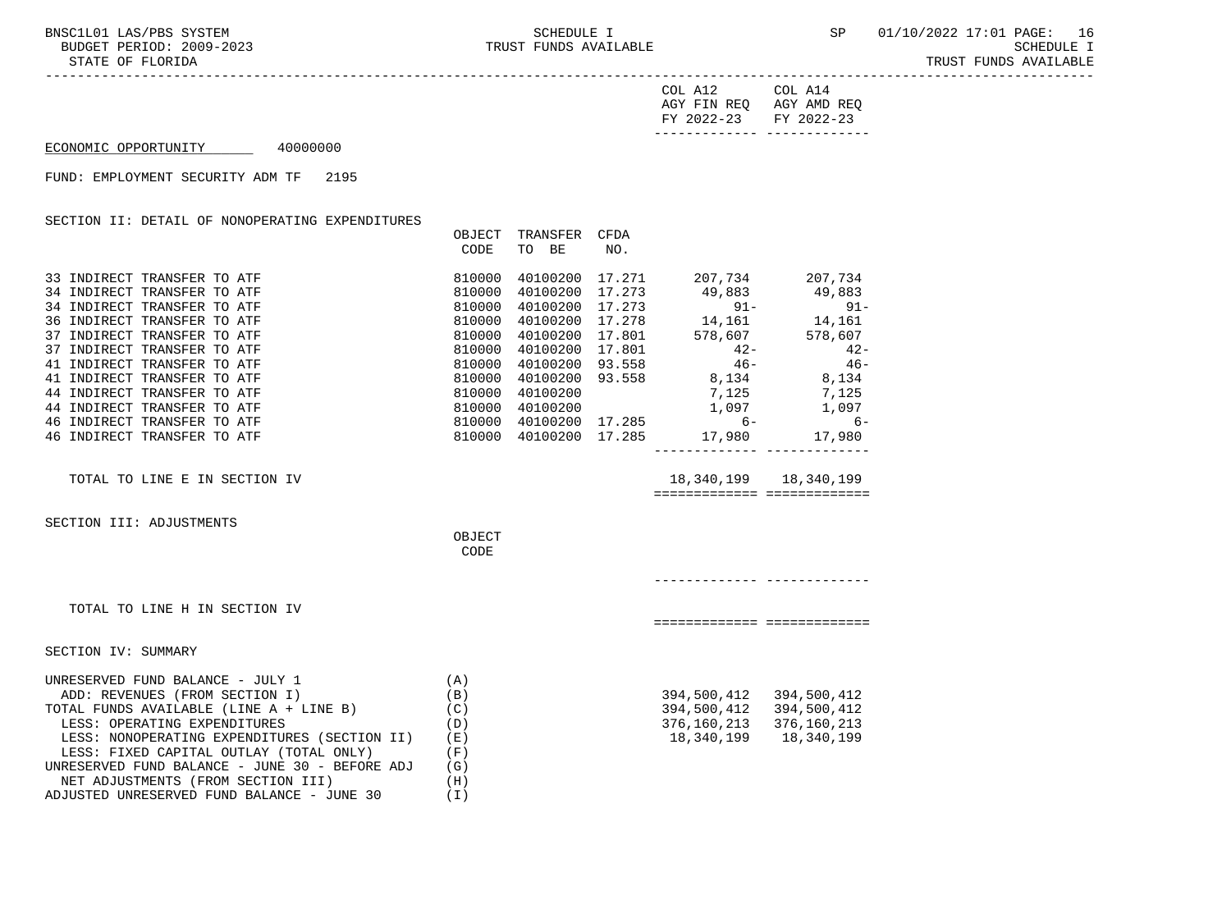-----------------------------------------------------------------------------------------------------------------------------------

| FY 2022-23 FY 2022-23 |                         |
|-----------------------|-------------------------|
|                       | AGY FIN REQ AGY AMD REQ |
| COL A12               | COL A14                 |

## ECONOMIC OPPORTUNITY 40000000

FUND: EMPLOYMENT SECURITY ADM TF 2195

| DETAIL OF<br>NONOPERATING EXPENDITURES<br>SECTION II: |        |          |        |         |         |
|-------------------------------------------------------|--------|----------|--------|---------|---------|
|                                                       | OBJECT | TRANSFER | CFDA   |         |         |
|                                                       | CODE   | BE<br>TO | NO.    |         |         |
| 33 INDIRECT TRANSFER TO ATF                           | 810000 | 40100200 | 17.271 | 207,734 | 207.734 |
| 34 INDIRECT TRANSFER TO ATF                           | 810000 | 40100200 | 17.273 | 49,883  | 49,883  |
| 34 INDIRECT TRANSFER TO ATF                           | 810000 | 40100200 | 17.273 | $91 -$  | $91 -$  |
| 36 INDIRECT TRANSFER TO ATF                           | 810000 | 40100200 | 17.278 | 14,161  | 14,161  |
| 37 INDIRECT TRANSFER TO ATF                           | 810000 | 40100200 | 17.801 | 578,607 | 578,607 |
| 37 INDIRECT TRANSFER TO ATF                           | 810000 | 40100200 | 17.801 | $42 -$  | $42 -$  |
| 41 INDIRECT TRANSFER TO ATF                           | 810000 | 40100200 | 93.558 | $46 -$  | $46 -$  |
| 41 INDIRECT TRANSFER TO ATF                           | 810000 | 40100200 | 93.558 | 8,134   | 8,134   |
| 44 INDIRECT TRANSFER TO ATF                           | 810000 | 40100200 |        | 7,125   | 7,125   |
| 44 INDIRECT TRANSFER TO ATF                           | 810000 | 40100200 |        | 1,097   | 1,097   |
| INDIRECT TRANSFER TO ATF<br>46                        | 810000 | 40100200 | 17.285 | $6-$    | - 6     |
| INDIRECT TRANSFER TO ATF<br>46                        | 810000 | 40100200 | 17.285 | 17,980  | 17,980  |
|                                                       |        |          |        |         |         |
|                                                       |        |          |        |         |         |

TOTAL TO LINE E IN SECTION IV 18,340,199 18,340,199 ============= =============

SECTION III: ADJUSTMENTS

**OBJECT CODE** 

------------- -------------

============= =============

TOTAL TO LINE H IN SECTION IV

SECTION IV: SUMMARY

| UNRESERVED FUND BALANCE - JULY 1               | ' A ) |             |             |
|------------------------------------------------|-------|-------------|-------------|
| ADD: REVENUES (FROM SECTION I)                 | (B)   | 394,500,412 | 394,500,412 |
| TOTAL FUNDS AVAILABLE (LINE A + LINE B)        | (C)   | 394,500,412 | 394,500,412 |
| LESS: OPERATING EXPENDITURES                   | (D)   | 376,160,213 | 376,160,213 |
| LESS: NONOPERATING EXPENDITURES (SECTION II)   | (E)   | 18,340,199  | 18,340,199  |
| LESS: FIXED CAPITAL OUTLAY (TOTAL ONLY)        | (F)   |             |             |
| UNRESERVED FUND BALANCE - JUNE 30 - BEFORE ADJ | (G)   |             |             |
| NET ADJUSTMENTS (FROM SECTION III)             | (H)   |             |             |
| ADJUSTED UNRESERVED FUND BALANCE - JUNE 30     |       |             |             |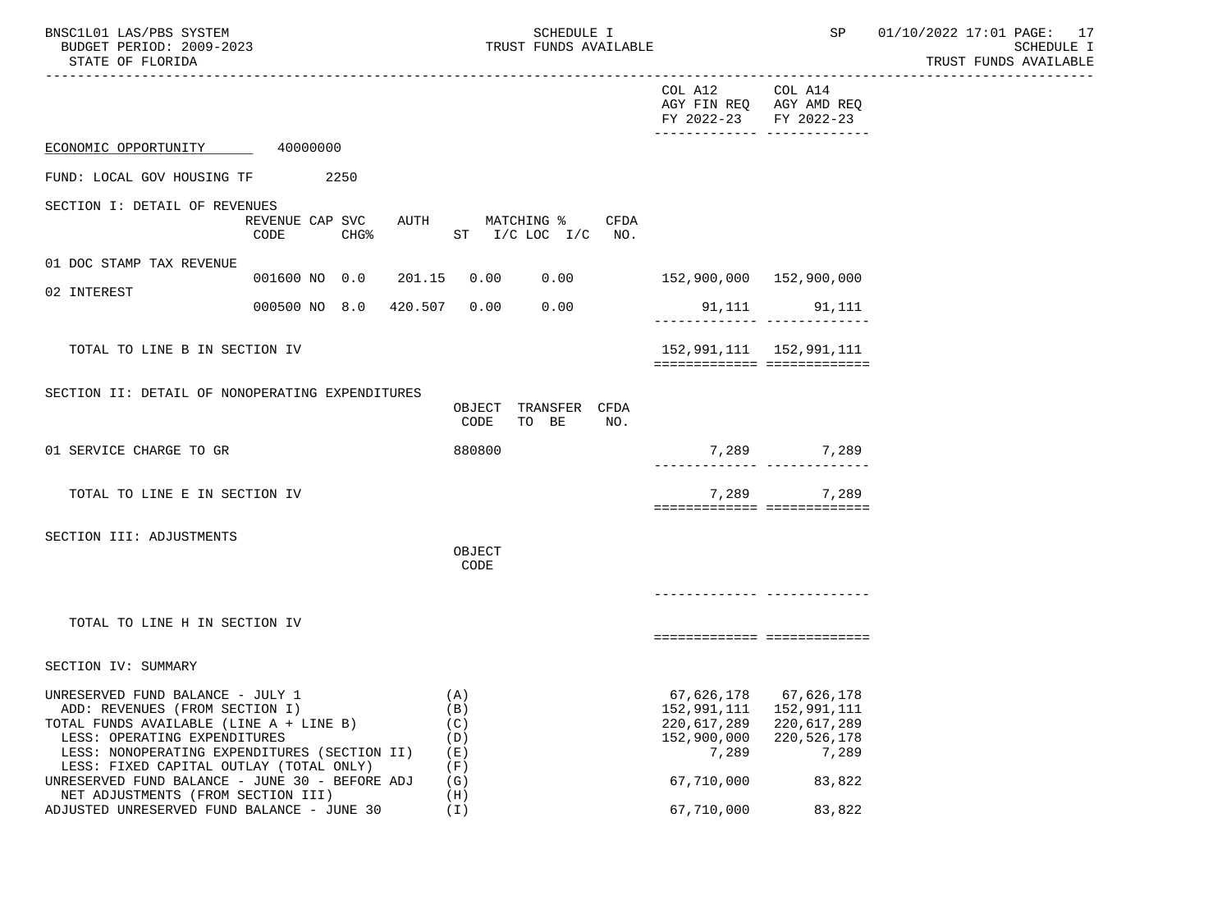| BNSC1L01 LAS/PBS SYSTEM |                  |                          | SCHEDULE I |                       |
|-------------------------|------------------|--------------------------|------------|-----------------------|
|                         |                  | BUDGET PERIOD: 2009-2023 |            | TRUST FUNDS AVAILABLE |
|                         | STATE OF FLORIDA |                          |            |                       |

C1L01 LAS/PBS SYSTEM<br>TRUST FUNDS AVAILABLE TRESS SOME SP 01/10/2022 17:01 PAGE: 17<br>SCHEDULE I SCHEDULE I TRUST FUNDS AVAILABLE

|                                                                                           |                                        |                                                   | COL A12<br>AGY FIN REQ AGY AMD REQ<br>FY 2022-23 FY 2022-23<br>_______________________________ | COL A14                                        |  |
|-------------------------------------------------------------------------------------------|----------------------------------------|---------------------------------------------------|------------------------------------------------------------------------------------------------|------------------------------------------------|--|
| ECONOMIC OPPORTUNITY                                                                      | 40000000                               |                                                   |                                                                                                |                                                |  |
| FUND: LOCAL GOV HOUSING TF                                                                | 2250                                   |                                                   |                                                                                                |                                                |  |
| SECTION I: DETAIL OF REVENUES                                                             | REVENUE CAP SVC<br><b>CHG%</b><br>CODE | AUTH MATCHING %<br>CFDA<br>ST $I/C$ LOC $I/C$ NO. |                                                                                                |                                                |  |
| 01 DOC STAMP TAX REVENUE                                                                  |                                        |                                                   |                                                                                                |                                                |  |
| 02 INTEREST                                                                               | 001600 NO 0.0 201.15                   | 0.00 0.00                                         |                                                                                                |                                                |  |
|                                                                                           | 000500 NO 8.0 420.507                  | 0.00<br>0.00                                      |                                                                                                | 91,111 91,111<br>-------------- -------------- |  |
| TOTAL TO LINE B IN SECTION IV                                                             |                                        |                                                   | 152,991,111   152,991,111                                                                      |                                                |  |
|                                                                                           |                                        |                                                   | ============================                                                                   |                                                |  |
| SECTION II: DETAIL OF NONOPERATING EXPENDITURES                                           |                                        | OBJECT TRANSFER CFDA<br>CODE<br>TO BE<br>NO.      |                                                                                                |                                                |  |
| 01 SERVICE CHARGE TO GR                                                                   |                                        | 880800                                            |                                                                                                | 7,289 7,289                                    |  |
| TOTAL TO LINE E IN SECTION IV                                                             |                                        |                                                   | ============================                                                                   | 7,289 7,289                                    |  |
| SECTION III: ADJUSTMENTS                                                                  |                                        | OBJECT<br>CODE                                    |                                                                                                |                                                |  |
|                                                                                           |                                        |                                                   |                                                                                                |                                                |  |
| TOTAL TO LINE H IN SECTION IV                                                             |                                        |                                                   |                                                                                                | ===========================                    |  |
| SECTION IV: SUMMARY                                                                       |                                        |                                                   |                                                                                                |                                                |  |
| UNRESERVED FUND BALANCE - JULY 1                                                          |                                        | (A)                                               |                                                                                                | 67,626,178 67,626,178                          |  |
| ADD: REVENUES (FROM SECTION I)<br>TOTAL FUNDS AVAILABLE (LINE A + LINE B)                 |                                        | (B)<br>(C)                                        | 152, 991, 111  152, 991, 111<br>220,617,289 220,617,289                                        |                                                |  |
| LESS: OPERATING EXPENDITURES                                                              |                                        | (D)                                               | 152,900,000                                                                                    | 220,526,178                                    |  |
| LESS: NONOPERATING EXPENDITURES (SECTION II)                                              |                                        | ( E )                                             | 7,289                                                                                          | 7,289                                          |  |
| LESS: FIXED CAPITAL OUTLAY (TOTAL ONLY)<br>UNRESERVED FUND BALANCE - JUNE 30 - BEFORE ADJ |                                        | (F)<br>(G)                                        | 67,710,000                                                                                     | 83,822                                         |  |
| NET ADJUSTMENTS (FROM SECTION III)<br>ADJUSTED UNRESERVED FUND BALANCE - JUNE 30          |                                        | (H)<br>(I)                                        | 67,710,000                                                                                     | 83,822                                         |  |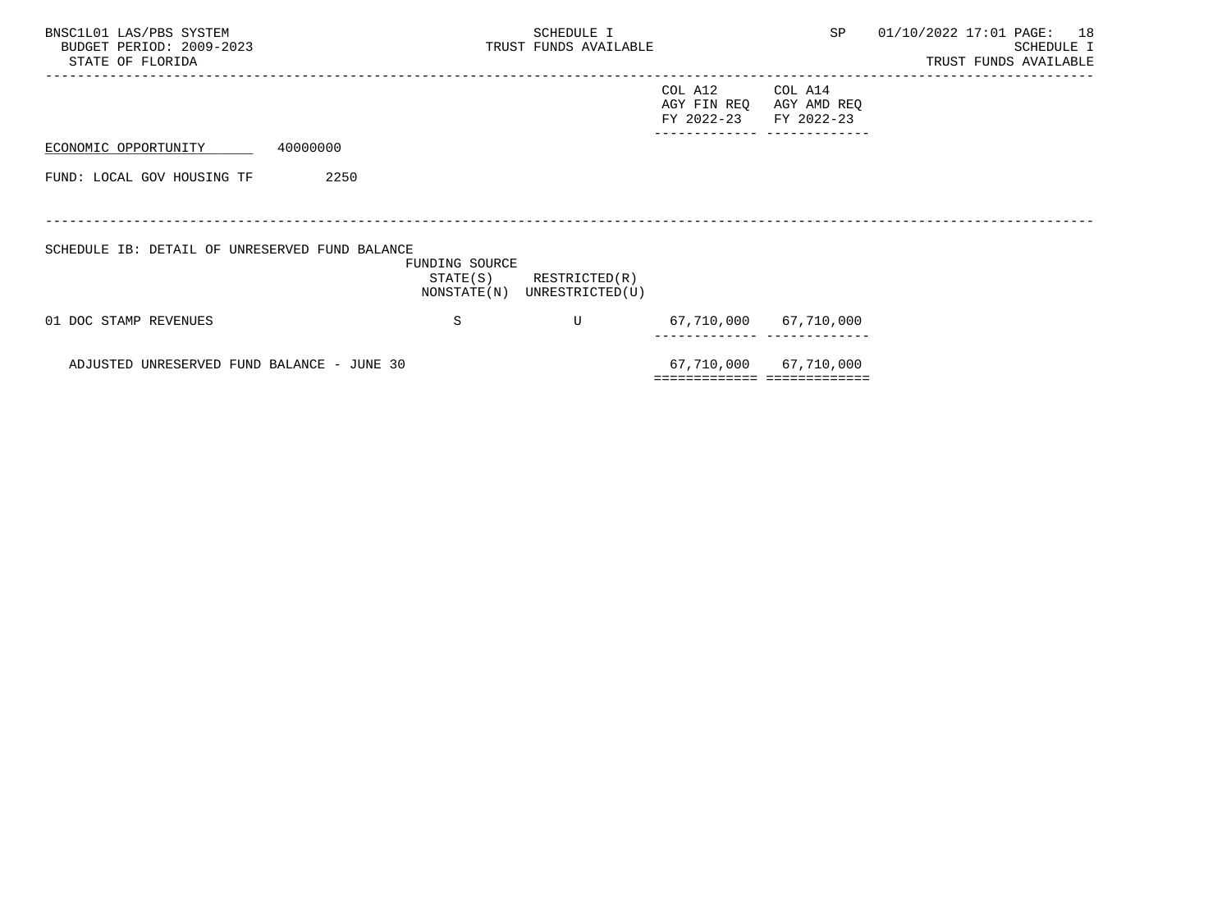| BNSC1L01 LAS/PBS SYSTEM<br>BUDGET PERIOD: 2009-2023<br>STATE OF FLORIDA |                            | SCHEDULE I<br>TRUST FUNDS AVAILABLE          |                                      | SP                                                    | 01/10/2022 17:01 PAGE: 18<br>SCHEDULE I<br>TRUST FUNDS AVAILABLE |
|-------------------------------------------------------------------------|----------------------------|----------------------------------------------|--------------------------------------|-------------------------------------------------------|------------------------------------------------------------------|
|                                                                         |                            |                                              | COL A12<br>AGY FIN REQ<br>FY 2022-23 | COL A14<br>AGY AMD REQ<br>FY 2022-23                  |                                                                  |
| 40000000<br>ECONOMIC OPPORTUNITY                                        |                            |                                              |                                      |                                                       |                                                                  |
| FUND: LOCAL GOV HOUSING TF                                              | 2250                       |                                              |                                      |                                                       |                                                                  |
|                                                                         |                            |                                              |                                      |                                                       |                                                                  |
| SCHEDULE IB: DETAIL OF UNRESERVED FUND BALANCE                          | FUNDING SOURCE<br>STATE(S) | RESTRICTED(R)<br>NONSTATE(N) UNRESTRICTED(U) |                                      |                                                       |                                                                  |
| 01 DOC STAMP REVENUES                                                   | S                          | U                                            |                                      | 67,710,000 67,710,000                                 |                                                                  |
| ADJUSTED UNRESERVED FUND BALANCE - JUNE 30                              |                            |                                              |                                      | 67,710,000 67,710,000<br>============================ |                                                                  |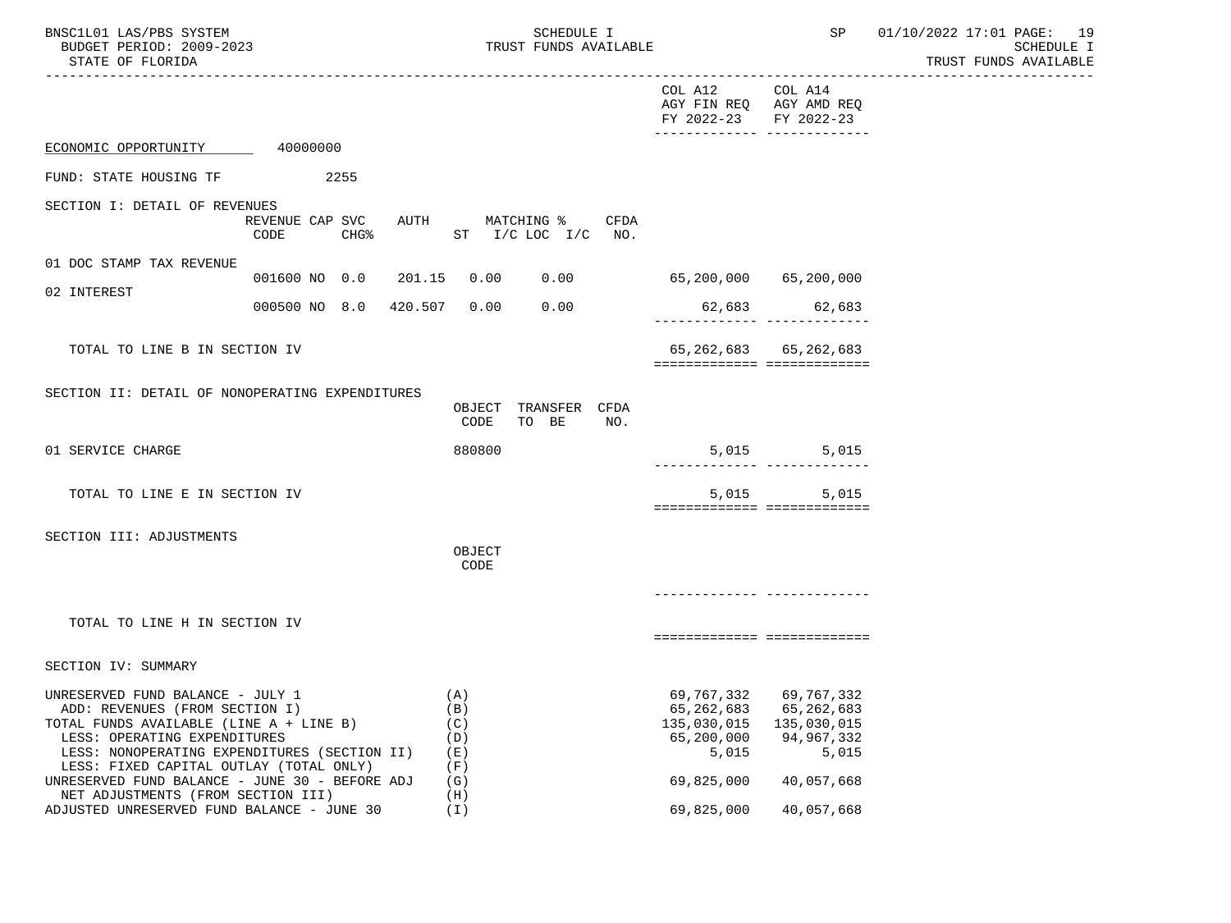| BNSC1L01 LAS/PBS SYSTEM<br>BUDGET PERIOD: 2009-2023<br>STATE OF FLORIDA                                                                                                                                                                                                                                                          |                                             | SCHEDULE I<br>TRUST FUNDS AVAILABLE                  | __________________________________                                                       | SP                                                            | 01/10/2022 17:01 PAGE: 19<br><b>SCHEDULE I</b><br>TRUST FUNDS AVAILABLE |  |  |
|----------------------------------------------------------------------------------------------------------------------------------------------------------------------------------------------------------------------------------------------------------------------------------------------------------------------------------|---------------------------------------------|------------------------------------------------------|------------------------------------------------------------------------------------------|---------------------------------------------------------------|-------------------------------------------------------------------------|--|--|
|                                                                                                                                                                                                                                                                                                                                  |                                             |                                                      | COL A12<br>AGY FIN REQ AGY AMD REQ<br>FY 2022-23                                         | COL A14<br>FY 2022-23                                         |                                                                         |  |  |
| ECONOMIC OPPORTUNITY                                                                                                                                                                                                                                                                                                             | 40000000                                    |                                                      |                                                                                          |                                                               |                                                                         |  |  |
| FUND: STATE HOUSING TF                                                                                                                                                                                                                                                                                                           | 2255                                        |                                                      |                                                                                          |                                                               |                                                                         |  |  |
| SECTION I: DETAIL OF REVENUES                                                                                                                                                                                                                                                                                                    | REVENUE CAP SVC<br>CHG <sup>8</sup><br>CODE | AUTH MATCHING %<br>CFDA<br>ST I/C LOC I/C NO.        |                                                                                          |                                                               |                                                                         |  |  |
| 01 DOC STAMP TAX REVENUE                                                                                                                                                                                                                                                                                                         | 001600 NO 0.0<br>201.15                     | 0.00                                                 | $0.00$ 65,200,000 65,200,000                                                             |                                                               |                                                                         |  |  |
| 02 INTEREST                                                                                                                                                                                                                                                                                                                      | 000500 NO 8.0<br>420.507                    | 0.00<br>0.00                                         |                                                                                          | 62,683 62,683                                                 |                                                                         |  |  |
| TOTAL TO LINE B IN SECTION IV                                                                                                                                                                                                                                                                                                    |                                             |                                                      | ============================                                                             | 65, 262, 683 65, 262, 683                                     |                                                                         |  |  |
| SECTION II: DETAIL OF NONOPERATING EXPENDITURES                                                                                                                                                                                                                                                                                  |                                             | OBJECT TRANSFER CFDA<br>CODE<br>TO BE<br>NO.         |                                                                                          |                                                               |                                                                         |  |  |
| 01 SERVICE CHARGE                                                                                                                                                                                                                                                                                                                |                                             | 880800                                               |                                                                                          | 5,015 5,015<br>_____________________________                  |                                                                         |  |  |
| TOTAL TO LINE E IN SECTION IV                                                                                                                                                                                                                                                                                                    |                                             |                                                      | ===========================                                                              | 5,015 5,015                                                   |                                                                         |  |  |
| SECTION III: ADJUSTMENTS                                                                                                                                                                                                                                                                                                         |                                             | OBJECT<br>CODE                                       |                                                                                          |                                                               |                                                                         |  |  |
| TOTAL TO LINE H IN SECTION IV                                                                                                                                                                                                                                                                                                    |                                             |                                                      | ===========================                                                              |                                                               |                                                                         |  |  |
| SECTION IV: SUMMARY                                                                                                                                                                                                                                                                                                              |                                             |                                                      |                                                                                          |                                                               |                                                                         |  |  |
| UNRESERVED FUND BALANCE - JULY 1<br>ADD: REVENUES (FROM SECTION I)<br>TOTAL FUNDS AVAILABLE (LINE A + LINE B)<br>LESS: OPERATING EXPENDITURES<br>LESS: NONOPERATING EXPENDITURES (SECTION II)<br>LESS: FIXED CAPITAL OUTLAY (TOTAL ONLY)<br>UNRESERVED FUND BALANCE - JUNE 30 - BEFORE ADJ<br>NET ADJUSTMENTS (FROM SECTION III) |                                             | (A)<br>(B)<br>(C)<br>(D)<br>(E)<br>(F)<br>(G)<br>(H) | 69,767,332<br>65,262,683<br>135,030,015 135,030,015<br>65,200,000<br>5,015<br>69,825,000 | 69,767,332<br>65,262,683<br>94,967,332<br>5,015<br>40,057,668 |                                                                         |  |  |

ADJUSTED UNRESERVED FUND BALANCE - JUNE 30 (I) 69,825,000 40,057,668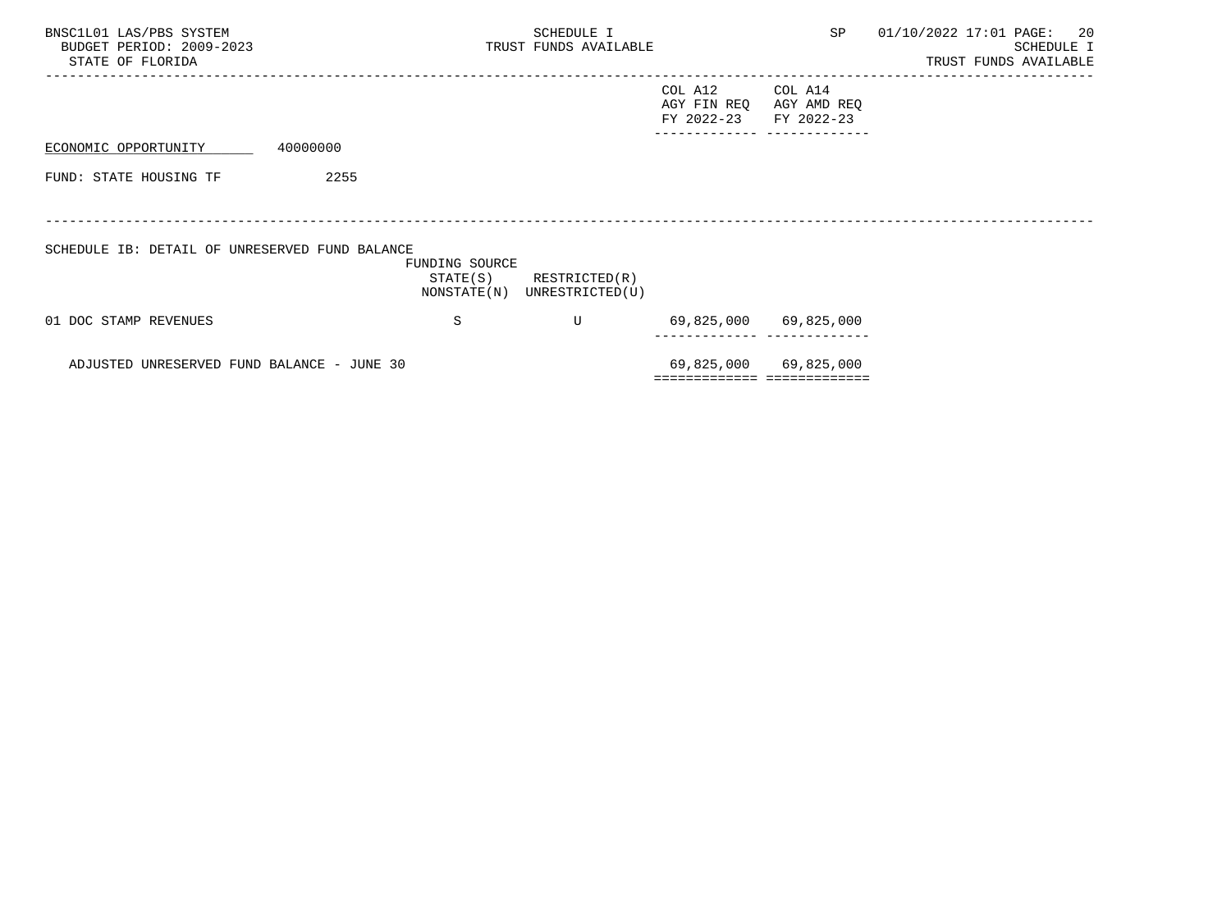| BNSC1L01 LAS/PBS SYSTEM<br>BUDGET PERIOD: 2009-2023<br>STATE OF FLORIDA |          |                            | SCHEDULE I<br>TRUST FUNDS AVAILABLE          |                                      | SP                                   | 01/10/2022 17:01 PAGE: 20<br>SCHEDULE I<br>TRUST FUNDS AVAILABLE |
|-------------------------------------------------------------------------|----------|----------------------------|----------------------------------------------|--------------------------------------|--------------------------------------|------------------------------------------------------------------|
|                                                                         |          |                            |                                              | COL A12<br>AGY FIN REQ<br>FY 2022-23 | COL A14<br>AGY AMD REQ<br>FY 2022-23 |                                                                  |
| ECONOMIC OPPORTUNITY                                                    | 40000000 |                            |                                              |                                      | _________ __________                 |                                                                  |
| FUND: STATE HOUSING TF                                                  | 2255     |                            |                                              |                                      |                                      |                                                                  |
|                                                                         |          |                            |                                              |                                      |                                      |                                                                  |
| SCHEDULE IB: DETAIL OF UNRESERVED FUND BALANCE                          |          | FUNDING SOURCE<br>STATE(S) | RESTRICTED(R)<br>NONSTATE(N) UNRESTRICTED(U) |                                      |                                      |                                                                  |
| 01 DOC STAMP REVENUES                                                   |          | S                          | U                                            |                                      | 69,825,000 69,825,000                |                                                                  |
| ADJUSTED UNRESERVED FUND BALANCE - JUNE 30                              |          |                            |                                              |                                      | 69,825,000 69,825,000                |                                                                  |
|                                                                         |          |                            |                                              | ============================         |                                      |                                                                  |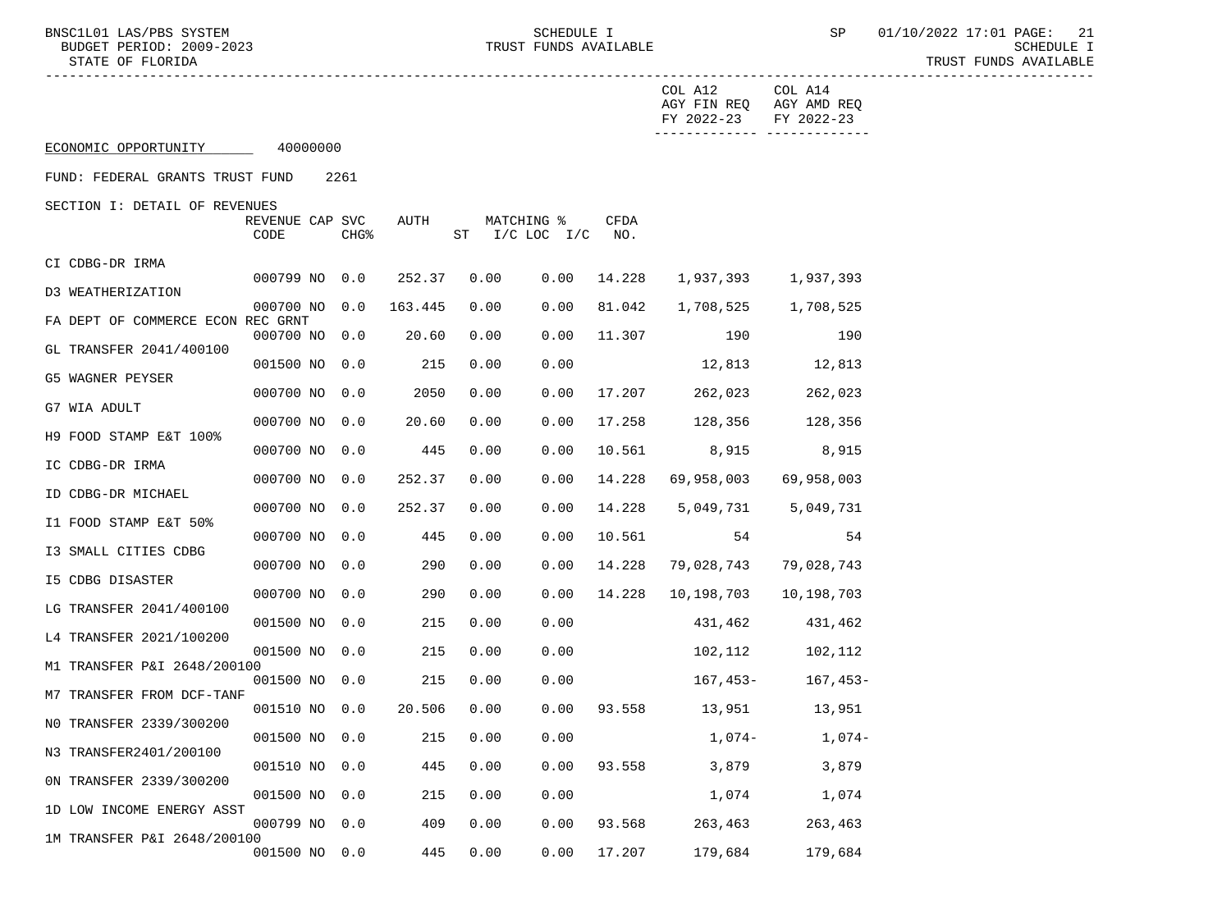------------- -------------

 ----------------------------------------------------------------------------------------------------------------------------------- COL A12 COL A14 AGY FIN REQ AGY AMD REQ FY 2022-23 FY 2022-23

ECONOMIC OPPORTUNITY 40000000

FUND: FEDERAL GRANTS TRUST FUND 2261

SECTION I: DETAIL OF REVENUES

|                                   | REVENUE CAP SVC<br>CODE | CHG <sup>&amp;</sup> | <b>AUTH</b> | SТ   | MATCHING %<br>$I/C$ LOC<br>I/C | <b>CFDA</b><br>NO. |            |             |
|-----------------------------------|-------------------------|----------------------|-------------|------|--------------------------------|--------------------|------------|-------------|
| CI CDBG-DR IRMA                   |                         |                      |             |      |                                |                    |            |             |
| D3 WEATHERIZATION                 | 000799 NO               | 0.0                  | 252.37      | 0.00 | 0.00                           | 14.228             | 1,937,393  | 1,937,393   |
| FA DEPT OF COMMERCE ECON REC GRNT | 000700 NO               | 0.0                  | 163.445     | 0.00 | 0.00                           | 81.042             | 1,708,525  | 1,708,525   |
| GL TRANSFER 2041/400100           | 000700 NO               | 0.0                  | 20.60       | 0.00 | 0.00                           | 11.307             | 190        | 190         |
| G5 WAGNER PEYSER                  | 001500 NO               | 0.0                  | 215         | 0.00 | 0.00                           |                    | 12,813     | 12,813      |
|                                   | 000700 NO               | 0.0                  | 2050        | 0.00 | 0.00                           | 17.207             | 262,023    | 262,023     |
| G7 WIA ADULT                      | 000700 NO               | 0.0                  | 20.60       | 0.00 | 0.00                           | 17.258             | 128,356    | 128,356     |
| H9 FOOD STAMP E&T 100%            | 000700 NO               | 0.0                  | 445         | 0.00 | 0.00                           | 10.561             | 8,915      | 8,915       |
| IC CDBG-DR IRMA                   | 000700 NO               | 0.0                  | 252.37      | 0.00 | 0.00                           | 14.228             | 69,958,003 | 69,958,003  |
| ID CDBG-DR MICHAEL                | 000700 NO               | 0.0                  | 252.37      | 0.00 | 0.00                           | 14.228             | 5,049,731  | 5,049,731   |
| I1 FOOD STAMP E&T 50%             | 000700 NO               | 0.0                  | 445         | 0.00 | 0.00                           | 10.561             | 54         | 54          |
| I3 SMALL CITIES CDBG              | 000700 NO               | 0.0                  | 290         | 0.00 | 0.00                           | 14.228             | 79,028,743 | 79,028,743  |
| 15 CDBG DISASTER                  | 000700 NO               | 0.0                  | 290         | 0.00 | 0.00                           | 14.228             | 10,198,703 | 10,198,703  |
| LG TRANSFER 2041/400100           |                         |                      |             |      |                                |                    |            |             |
| L4 TRANSFER 2021/100200           | 001500 NO               | 0.0                  | 215         | 0.00 | 0.00                           |                    | 431,462    | 431,462     |
| M1 TRANSFER P&I 2648/200100       | 001500 NO               | 0.0                  | 215         | 0.00 | 0.00                           |                    | 102,112    | 102,112     |
| M7 TRANSFER FROM DCF-TANF         | 001500 NO               | 0.0                  | 215         | 0.00 | 0.00                           |                    | $167,453-$ | $167, 453-$ |
| NO TRANSFER 2339/300200           | 001510 NO               | 0.0                  | 20.506      | 0.00 | 0.00                           | 93.558             | 13,951     | 13,951      |
| N3 TRANSFER2401/200100            | 001500 NO               | 0.0                  | 215         | 0.00 | 0.00                           |                    | $1,074-$   | $1,074-$    |
| ON TRANSFER 2339/300200           | 001510 NO               | 0.0                  | 445         | 0.00 | 0.00                           | 93.558             | 3,879      | 3,879       |
|                                   | 001500 NO               | 0.0                  | 215         | 0.00 | 0.00                           |                    | 1,074      | 1,074       |
| 1D LOW INCOME ENERGY ASST         | 000799 NO               | 0.0                  | 409         | 0.00 | 0.00                           | 93.568             | 263,463    | 263,463     |
| 1M TRANSFER P&I 2648/200100       | 001500 NO               | 0.0                  | 445         | 0.00 | 0.00                           | 17.207             | 179,684    | 179,684     |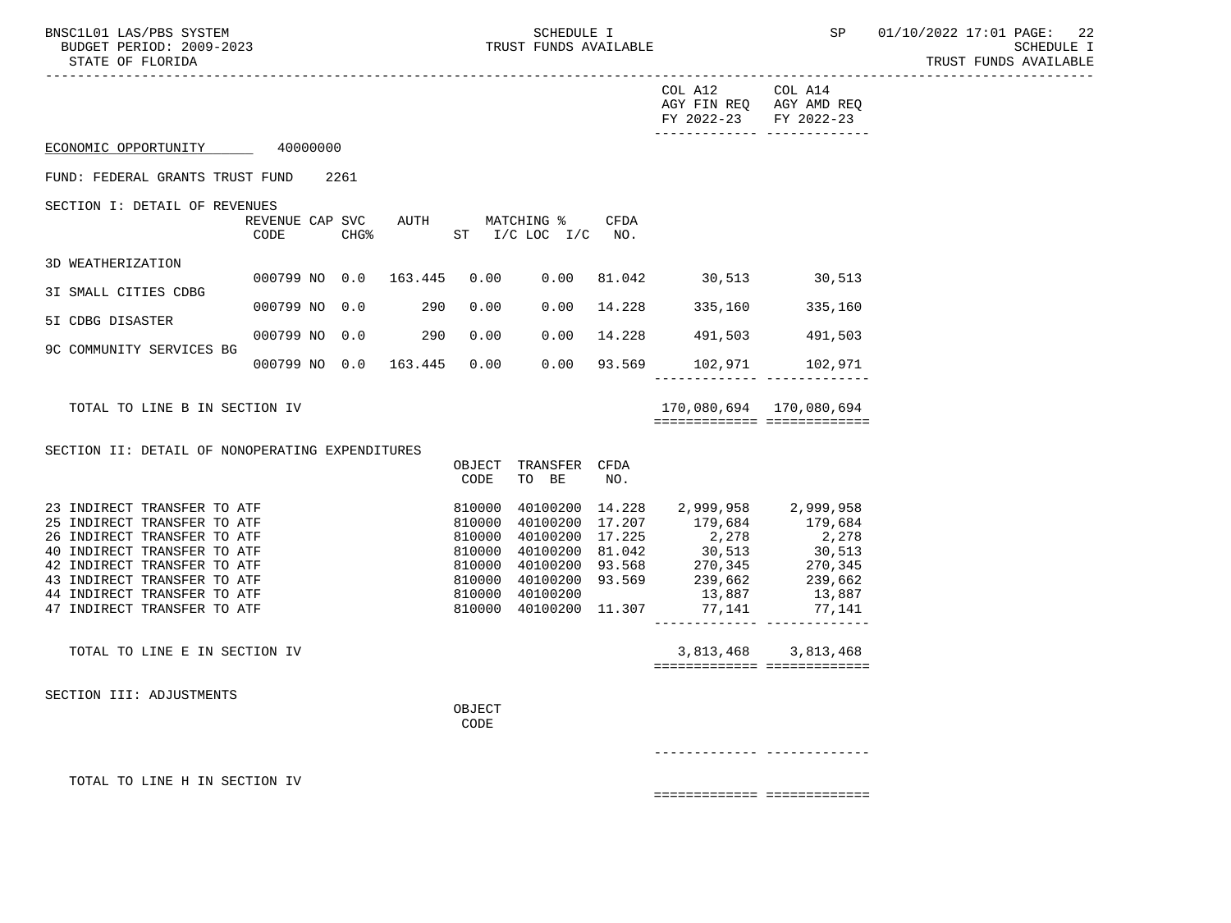BNSC1L01 LAS/PBS SYSTEM SALL SALL SOMEDULE I SCHEDULE I SP 01/10/2022 17:01 PAGE: 22 BUDGET PERIOD: 2009-2023 TRUST FUNDS AVAILABLE SCHEDULE I

 STATE OF FLORIDA TRUST FUNDS AVAILABLE ----------------------------------------------------------------------------------------------------------------------------------- COL A12 COL A14 AGY FIN REQ AGY AMD REQ FY 2022-23 FY 2022-23 ------------- ------------- ECONOMIC OPPORTUNITY 40000000 FUND: FEDERAL GRANTS TRUST FUND 2261 SECTION I: DETAIL OF REVENUES REVENUE CAP SVC AUTH MATCHING % CFDA CODE CHG<sup>§</sup> ST I/C LOC I/C NO. 3D WEATHERIZATION 000799 NO 0.0 163.445 0.00 0.00 81.042 30,513 30,513 3I SMALL CITIES CDBG 000799 NO 0.0 290 0.00 0.00 14.228 335,160 335,160 5I CDBG DISASTER 000799 NO 0.0 290 0.00 0.00 14.228 491,503 491,503 9C COMMUNITY SERVICES BG 000799 NO 0.0 163.445 0.00 0.00 93.569 102,971 102,971 ------------- ------------- TOTAL TO LINE B IN SECTION IV 170,080,694 170,080,694 ============= ============= SECTION II: DETAIL OF NONOPERATING EXPENDITURES OBJECT TRANSFER CFDA CODE TO BE NO. 23 INDIRECT TRANSFER TO ATF 810000 40100200 14.228 2,999,958 2,999,958 25 INDIRECT TRANSFER TO ATF 810000 40100200 17.207 179,684 179,684 26 INDIRECT TRANSFER TO ATF 810000 40100200 17.225 2,278 2,278 40 INDIRECT TRANSFER TO ATF 810000 40100200 81.042 30,513 30,513 42 INDIRECT TRANSFER TO ATF 810000 40100200 93.568 270,345 270,345 43 INDIRECT TRANSFER TO ATF 810000 40100200 93.569 239,662 239,662 44 INDIRECT TRANSFER TO ATF 810000 40100200 13,887 13,887 810000 40100200 11.307 77,141 ------------- ------------- TOTAL TO LINE E IN SECTION IV 3,813,468 3,813,468 ============= ============= SECTION III: ADJUSTMENTS **OBJECT CODE**  ------------- ------------- TOTAL TO LINE H IN SECTION IV ============= =============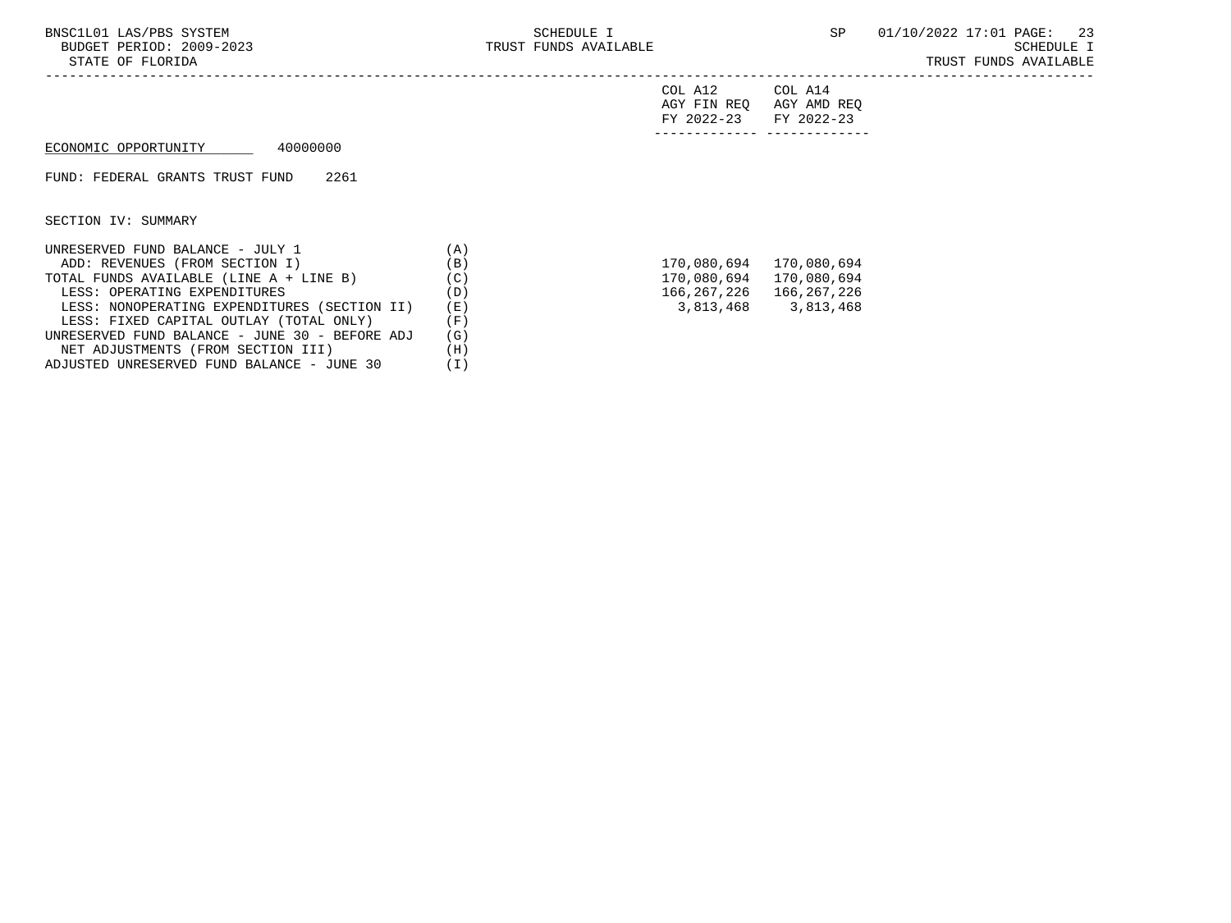-----------------------------------------------------------------------------------------------------------------------------------

|  | COL A12 |                         | COT. A14 |  |
|--|---------|-------------------------|----------|--|
|  |         | AGY FIN REO AGY AMD REO |          |  |
|  | .       |                         |          |  |

| ______________                                                                        | ______________                                               |
|---------------------------------------------------------------------------------------|--------------------------------------------------------------|
| $\sim$ $\sim$<br><b>TRAZ</b><br>$\sim$ $\sim$ $\sim$<br>$\prime$ $-$<br>04 A<br>- - - | $\cdot \cdot \cap \cap \cap$<br><b>TRAZ</b><br>-4044-<br>ں ک |

## ECONOMIC OPPORTUNITY 40000000

FUND: FEDERAL GRANTS TRUST FUND 2261

SECTION IV: SUMMARY

| UNRESERVED FUND BALANCE - JULY 1               | (A) |             |             |
|------------------------------------------------|-----|-------------|-------------|
| ADD: REVENUES (FROM SECTION I)                 | (B) | 170,080,694 | 170,080,694 |
| TOTAL FUNDS AVAILABLE (LINE A + LINE B)        | (C) | 170,080,694 | 170,080,694 |
| LESS: OPERATING EXPENDITURES                   | (D) | 166,267,226 | 166,267,226 |
| LESS: NONOPERATING EXPENDITURES (SECTION II)   | (E) | 3,813,468   | 3,813,468   |
| LESS: FIXED CAPITAL OUTLAY (TOTAL ONLY)        | (F) |             |             |
| UNRESERVED FUND BALANCE - JUNE 30 - BEFORE ADJ | (G) |             |             |
| NET ADJUSTMENTS (FROM SECTION III)             | (H) |             |             |
| ADJUSTED UNRESERVED FUND BALANCE - JUNE 30     | (I) |             |             |

| 170,080,694 | 170,080,694 |
|-------------|-------------|
| 170,080,694 | 170,080,694 |
| 166,267,226 | 166,267,226 |
| 3,813,468   | 3,813,468   |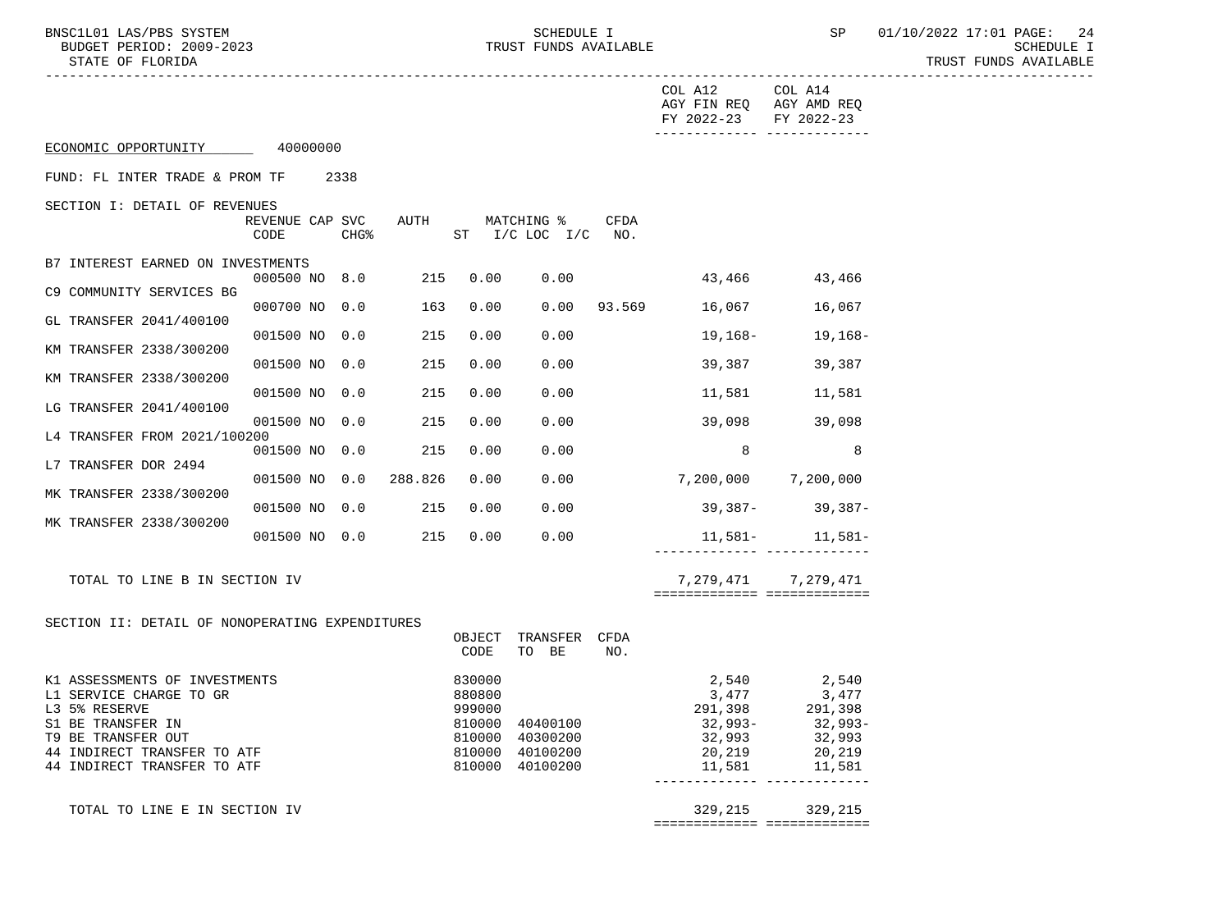BNSC1L01 LAS/PBS SYSTEM SOME SOMEDULE I SCHEDULE I SP 01/10/2022 17:01 PAGE: 24<br>BUDGET PERIOD: 2009-2023 TRUST FUNDS AVAILABLE

|                                                                                                                                                                                    |                         |                  |      |                                      |                                                                   |      | COL A12<br>AGY FIN REQ AGY AMD REQ<br>FY 2022-23                   | COL A14<br>FY 2022-23                                                |
|------------------------------------------------------------------------------------------------------------------------------------------------------------------------------------|-------------------------|------------------|------|--------------------------------------|-------------------------------------------------------------------|------|--------------------------------------------------------------------|----------------------------------------------------------------------|
| ECONOMIC OPPORTUNITY 40000000                                                                                                                                                      |                         |                  |      |                                      |                                                                   |      |                                                                    |                                                                      |
| FUND: FL INTER TRADE & PROM TF                                                                                                                                                     |                         | 2338             |      |                                      |                                                                   |      |                                                                    |                                                                      |
| SECTION I: DETAIL OF REVENUES                                                                                                                                                      | REVENUE CAP SVC<br>CODE | CHG <sup>8</sup> | AUTH |                                      | MATCHING %<br>ST I/C LOC I/C NO.                                  | CFDA |                                                                    |                                                                      |
| B7 INTEREST EARNED ON INVESTMENTS                                                                                                                                                  |                         |                  |      |                                      |                                                                   |      |                                                                    |                                                                      |
| C9 COMMUNITY SERVICES BG                                                                                                                                                           | 000500 NO 8.0 215       |                  |      | 0.00                                 | 0.00                                                              |      | 43,466 43,466                                                      |                                                                      |
| GL TRANSFER 2041/400100                                                                                                                                                            | 000700 NO 0.0           |                  | 163  | 0.00                                 |                                                                   |      | 0.00 93.569 16,067 16,067                                          |                                                                      |
|                                                                                                                                                                                    | 001500 NO 0.0           |                  | 215  | 0.00                                 | 0.00                                                              |      | 19,168–                                                            | 19,168-                                                              |
| KM TRANSFER 2338/300200                                                                                                                                                            | 001500 NO 0.0           |                  | 215  | 0.00                                 | 0.00                                                              |      |                                                                    | 39,387 39,387                                                        |
| KM TRANSFER 2338/300200                                                                                                                                                            | 001500 NO 0.0           |                  | 215  | 0.00                                 | 0.00                                                              |      | 11,581                                                             | 11,581                                                               |
| LG TRANSFER 2041/400100                                                                                                                                                            | 001500 NO 0.0 215       |                  |      | 0.00                                 | 0.00                                                              |      | 39,098                                                             | 39,098                                                               |
| L4 TRANSFER FROM 2021/100200                                                                                                                                                       | 001500 NO 0.0           |                  | 215  | 0.00                                 | 0.00                                                              |      | 8 <sup>8</sup>                                                     | 8                                                                    |
| L7 TRANSFER DOR 2494                                                                                                                                                               | 001500 NO 0.0 288.826   |                  |      | 0.00                                 |                                                                   |      | $0.00$ $7,200,000$ $7,200,000$                                     |                                                                      |
| MK TRANSFER 2338/300200                                                                                                                                                            |                         |                  |      |                                      |                                                                   |      |                                                                    |                                                                      |
| MK TRANSFER 2338/300200                                                                                                                                                            | 001500 NO 0.0           |                  | 215  | 0.00                                 | 0.00                                                              |      |                                                                    | $39,387 - 39,387 -$                                                  |
|                                                                                                                                                                                    | 001500 NO 0.0 215       |                  |      | 0.00                                 | 0.00                                                              |      | _______________________________                                    | $11,581 11,581-$                                                     |
| TOTAL TO LINE B IN SECTION IV                                                                                                                                                      |                         |                  |      |                                      |                                                                   |      | ===========================                                        | 7, 279, 471 7, 279, 471                                              |
| SECTION II: DETAIL OF NONOPERATING EXPENDITURES                                                                                                                                    |                         |                  |      | CODE                                 | OBJECT TRANSFER CFDA<br>TO BE                                     | NO.  |                                                                    |                                                                      |
| K1 ASSESSMENTS OF INVESTMENTS<br>L1 SERVICE CHARGE TO GR<br>L3 5% RESERVE<br>S1 BE TRANSFER IN<br>T9 BE TRANSFER OUT<br>44 INDIRECT TRANSFER TO ATF<br>44 INDIRECT TRANSFER TO ATF |                         |                  |      | 830000<br>880800<br>999000<br>810000 | 810000 40400100<br>40300200<br>810000 40100200<br>810000 40100200 |      | 2,540<br>3,477<br>291,398<br>32,993-<br>32,993<br>20,219<br>11,581 | 2,540<br>3,477<br>$291,398$<br>32,993-<br>32,993<br>20,219<br>11,581 |
| TOTAL TO LINE E IN SECTION IV                                                                                                                                                      |                         |                  |      |                                      |                                                                   |      | 329,215                                                            | 329,215                                                              |
|                                                                                                                                                                                    |                         |                  |      |                                      |                                                                   |      | ============================                                       |                                                                      |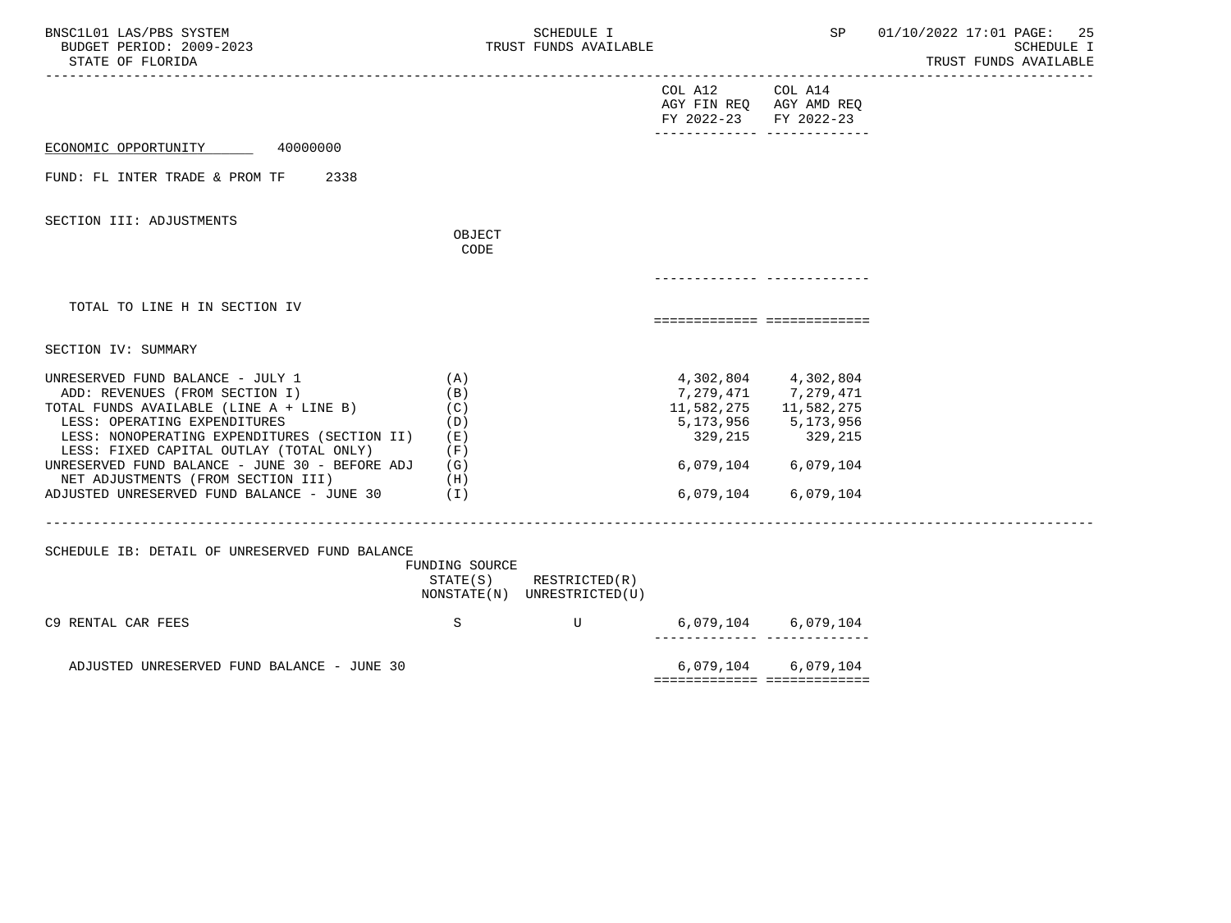| BNSC1L01 LAS/PBS SYSTEM<br>BUDGET PERIOD: 2009-2023<br>STATE OF FLORIDA                                                                                                                                                                                                                                                                                                        |                                                               | SCHEDULE I<br>TRUST FUNDS AVAILABLE          |                                                             | SP                                                                                                                        | 01/10/2022 17:01 PAGE:<br>25<br>SCHEDULE I<br>TRUST FUNDS AVAILABLE |
|--------------------------------------------------------------------------------------------------------------------------------------------------------------------------------------------------------------------------------------------------------------------------------------------------------------------------------------------------------------------------------|---------------------------------------------------------------|----------------------------------------------|-------------------------------------------------------------|---------------------------------------------------------------------------------------------------------------------------|---------------------------------------------------------------------|
|                                                                                                                                                                                                                                                                                                                                                                                |                                                               |                                              | COL A12<br>AGY FIN REQ AGY AMD REQ<br>FY 2022-23 FY 2022-23 | COL A14                                                                                                                   |                                                                     |
| ECONOMIC OPPORTUNITY 40000000                                                                                                                                                                                                                                                                                                                                                  |                                                               |                                              |                                                             |                                                                                                                           |                                                                     |
| FUND: FL INTER TRADE & PROM TF<br>2338                                                                                                                                                                                                                                                                                                                                         |                                                               |                                              |                                                             |                                                                                                                           |                                                                     |
| SECTION III: ADJUSTMENTS                                                                                                                                                                                                                                                                                                                                                       |                                                               |                                              |                                                             |                                                                                                                           |                                                                     |
|                                                                                                                                                                                                                                                                                                                                                                                | OBJECT<br>CODE                                                |                                              |                                                             |                                                                                                                           |                                                                     |
|                                                                                                                                                                                                                                                                                                                                                                                |                                                               |                                              |                                                             |                                                                                                                           |                                                                     |
| TOTAL TO LINE H IN SECTION IV                                                                                                                                                                                                                                                                                                                                                  |                                                               |                                              | ===========================                                 |                                                                                                                           |                                                                     |
| SECTION IV: SUMMARY                                                                                                                                                                                                                                                                                                                                                            |                                                               |                                              |                                                             |                                                                                                                           |                                                                     |
| UNRESERVED FUND BALANCE - JULY 1<br>ADD: REVENUES (FROM SECTION I)<br>TOTAL FUNDS AVAILABLE (LINE A + LINE B)<br>LESS: OPERATING EXPENDITURES<br>LESS: NONOPERATING EXPENDITURES (SECTION II)<br>LESS: FIXED CAPITAL OUTLAY (TOTAL ONLY)<br>UNRESERVED FUND BALANCE - JUNE 30 - BEFORE ADJ<br>NET ADJUSTMENTS (FROM SECTION III)<br>ADJUSTED UNRESERVED FUND BALANCE - JUNE 30 | (A)<br>(B)<br>(C)<br>(D)<br>( E )<br>(F)<br>(G)<br>(H)<br>(1) |                                              | 5,173,956<br>329,215<br>6,079,104<br>6,079,104              | 4,302,804 4,302,804<br>7, 279, 471 7, 279, 471<br>11,582,275 11,582,275<br>5,173,956<br>329,215<br>6,079,104<br>6,079,104 |                                                                     |
| SCHEDULE IB: DETAIL OF UNRESERVED FUND BALANCE                                                                                                                                                                                                                                                                                                                                 | FUNDING SOURCE<br>STATE(S)                                    | RESTRICTED(R)<br>NONSTATE(N) UNRESTRICTED(U) |                                                             |                                                                                                                           |                                                                     |
| C9 RENTAL CAR FEES                                                                                                                                                                                                                                                                                                                                                             | S                                                             | $\mathbf U$                                  | 6,079,104                                                   | 6,079,104                                                                                                                 |                                                                     |
| ADJUSTED UNRESERVED FUND BALANCE - JUNE 30                                                                                                                                                                                                                                                                                                                                     |                                                               |                                              | 6,079,104<br>============================                   | 6,079,104                                                                                                                 |                                                                     |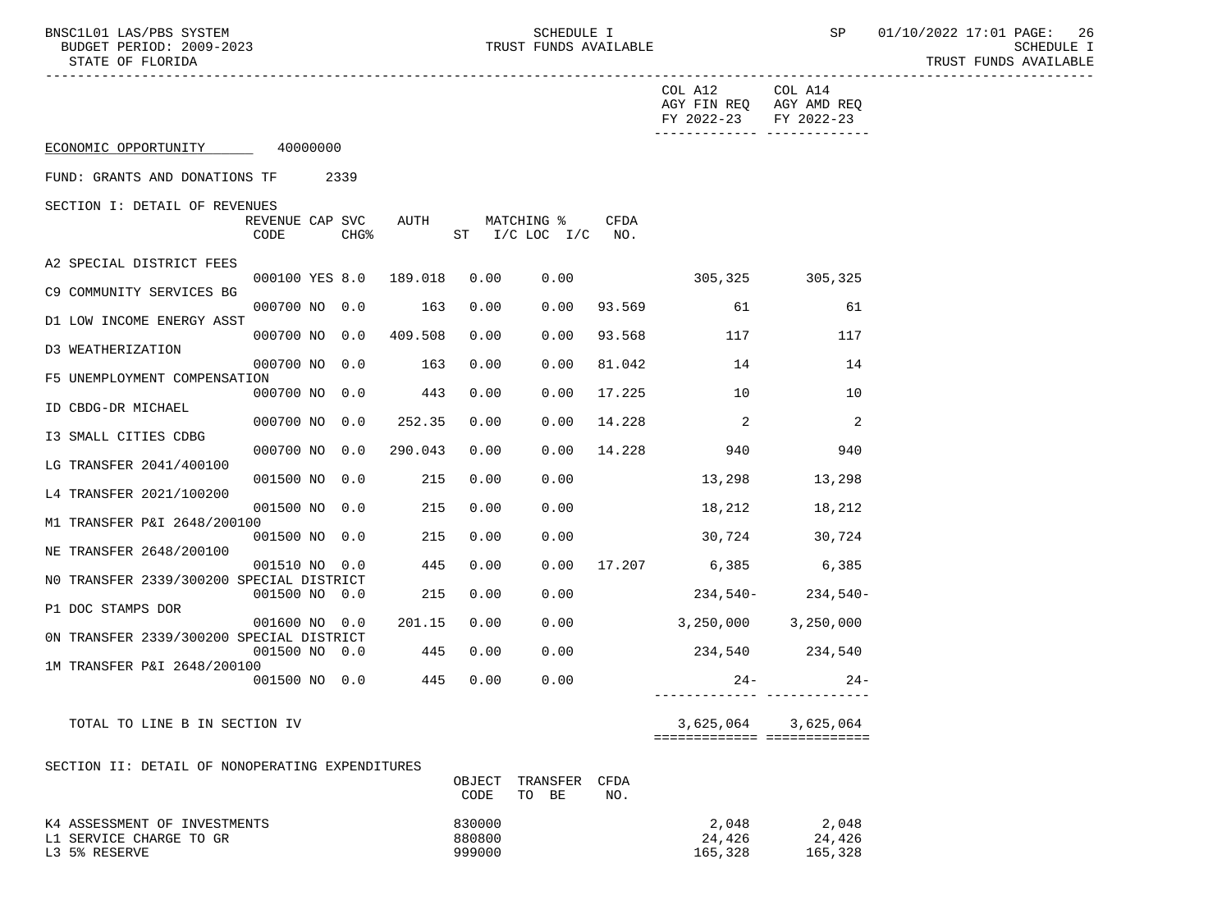BNSC1L01 LAS/PBS SYSTEM SOME SOME SCHEDULE I SCHEDULE I SP 01/10/2022 17:01 PAGE: 26<br>BUDGET PERIOD: 2009-2023 SCHEDULE I SCHEDULE I

|                                                                          |                         |                  |                        |                            |                                  |             | COL A12<br>AGY FIN REQ AGY AMD REQ<br>FY 2022-23 | COL A14<br>FY 2022-23                              |
|--------------------------------------------------------------------------|-------------------------|------------------|------------------------|----------------------------|----------------------------------|-------------|--------------------------------------------------|----------------------------------------------------|
| ECONOMIC OPPORTUNITY 40000000                                            |                         |                  |                        |                            |                                  |             |                                                  |                                                    |
| FUND: GRANTS AND DONATIONS TF 2339                                       |                         |                  |                        |                            |                                  |             |                                                  |                                                    |
| SECTION I: DETAIL OF REVENUES                                            |                         |                  |                        |                            |                                  |             |                                                  |                                                    |
|                                                                          | REVENUE CAP SVC<br>CODE | CHG <sup>8</sup> | AUTH                   |                            | MATCHING %<br>ST I/C LOC I/C NO. | CFDA        |                                                  |                                                    |
| A2 SPECIAL DISTRICT FEES                                                 |                         |                  | 000100 YES 8.0 189.018 | 0.00                       | 0.00                             |             | 305, 325 305, 325                                |                                                    |
| C9 COMMUNITY SERVICES BG                                                 | 000700 NO 0.0           |                  | 163                    | 0.00                       | 0.00                             |             | 93.569 61                                        | 61                                                 |
| D1 LOW INCOME ENERGY ASST                                                |                         |                  | 000700 NO 0.0 409.508  | 0.00                       | 0.00                             | 93.568      | 117                                              | 117                                                |
| D3 WEATHERIZATION                                                        |                         |                  | 000700 NO 0.0 163      | 0.00                       | 0.00                             | 81.042      | 14                                               | 14                                                 |
| F5 UNEMPLOYMENT COMPENSATION                                             | 000700 NO 0.0           |                  | 443                    | 0.00                       | 0.00                             | 17.225      | 10                                               | 10                                                 |
| ID CBDG-DR MICHAEL                                                       | 000700 NO 0.0           |                  | 252.35                 | 0.00                       | 0.00                             | 14.228      | $\sim$ 2                                         | 2                                                  |
| I3 SMALL CITIES CDBG                                                     | 000700 NO 0.0           |                  | 290.043                | 0.00                       | 0.00                             | 14.228      | 940                                              | 940                                                |
| LG TRANSFER 2041/400100                                                  | 001500 NO 0.0           |                  | 215                    | 0.00                       | 0.00                             |             | 13,298                                           | 13,298                                             |
| L4 TRANSFER 2021/100200                                                  | 001500 NO 0.0           |                  | 215                    | 0.00                       | 0.00                             |             | 18,212                                           | 18,212                                             |
| M1 TRANSFER P&I 2648/200100                                              | 001500 NO 0.0           |                  | 215                    | 0.00                       | 0.00                             |             | $30,724$ $30,724$                                |                                                    |
| NE TRANSFER 2648/200100<br>NO TRANSFER 2339/300200 SPECIAL DISTRICT      | 001510 NO 0.0           |                  | 445                    | 0.00                       |                                  |             | $0.00$ 17.207 6,385 6,385                        |                                                    |
| P1 DOC STAMPS DOR                                                        | 001500 NO 0.0           |                  | 215                    | 0.00                       | 0.00                             |             |                                                  | $234,540-234,540-$                                 |
| ON TRANSFER 2339/300200 SPECIAL DISTRICT                                 | 001600 NO 0.0           |                  | 201.15                 | 0.00                       | 0.00                             |             | $3,250,000$ $3,250,000$                          |                                                    |
| 1M TRANSFER P&I 2648/200100                                              | 001500 NO 0.0           |                  | 445                    | 0.00                       | 0.00                             |             | 234,540 234,540                                  |                                                    |
|                                                                          | 001500 NO 0.0           |                  | 445                    | 0.00                       | 0.00                             |             | $24 -$                                           | $24-$                                              |
| TOTAL TO LINE B IN SECTION IV                                            |                         |                  |                        |                            |                                  |             |                                                  | 3,625,064 3,625,064<br>=========================== |
| SECTION II: DETAIL OF NONOPERATING EXPENDITURES                          |                         |                  |                        | OBJECT<br>CODE             | TRANSFER<br>TO BE                | CFDA<br>NO. |                                                  |                                                    |
| K4 ASSESSMENT OF INVESTMENTS<br>L1 SERVICE CHARGE TO GR<br>L3 5% RESERVE |                         |                  |                        | 830000<br>880800<br>999000 |                                  |             | 2,048<br>24,426<br>165,328                       | 2,048<br>24,426<br>165,328                         |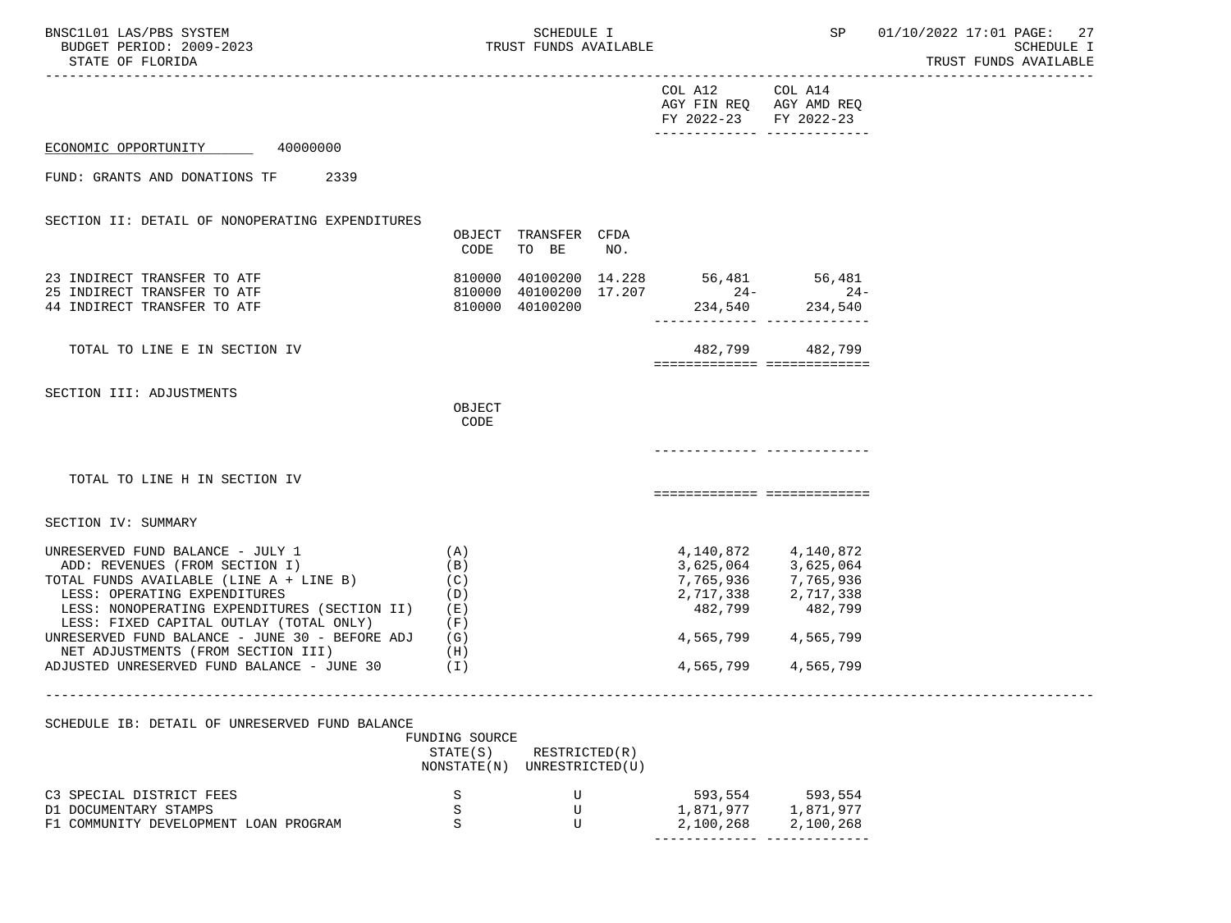BNSC1L01 LAS/PBS SYSTEM STRUM SOMEDULE I SCHEDULE I SP 01/10/2022 17:01 PAGE: 27<br>BUDGET PERIOD: 2009-2023 SCHEDULE I SCHEDULE I STATE OF FLORIDA TRUST FUNDS AVAILABLE

-----------------------------------------------------------------------------------------------------------------------------------

| COL A12               | COL A14                 |
|-----------------------|-------------------------|
|                       | AGY FIN REQ AGY AMD REQ |
| FY 2022-23 FY 2022-23 |                         |
|                       |                         |

============= =============

ECONOMIC OPPORTUNITY 40000000

FUND: GRANTS AND DONATIONS TF 2339

SECTION II: DETAIL OF NONOPERATING EXPENDITURES

|                                                                                           | OBJECT<br>CODE             | TRANSFER<br><b>TO</b><br>BE      | <b>CFDA</b><br>NO. |                             |                            |
|-------------------------------------------------------------------------------------------|----------------------------|----------------------------------|--------------------|-----------------------------|----------------------------|
| 23 INDIRECT TRANSFER TO ATF<br>25 INDIRECT TRANSFER TO ATF<br>44 INDIRECT TRANSFER TO ATF | 810000<br>810000<br>810000 | 40100200<br>40100200<br>40100200 | 14.228<br>17.207   | 56,481<br>$24 -$<br>234,540 | 56,481<br>$24-$<br>234,540 |
| TOTAL TO LINE E IN SECTION IV                                                             |                            |                                  |                    | 482,799                     | 482,799                    |
| SECTION III: ADJUSTMENTS                                                                  | OBJECT<br><b>CODE</b>      |                                  |                    |                             |                            |
| TOTAL TO LINE H IN SECTION IV                                                             |                            |                                  |                    |                             |                            |

SECTION IV: SUMMARY

| UNRESERVED FUND BALANCE - JULY 1               | $\mathbb{A}$ | 4,140,872 | 4,140,872 |
|------------------------------------------------|--------------|-----------|-----------|
| ADD: REVENUES (FROM SECTION I)                 | $\mathbf{B}$ | 3,625,064 | 3,625,064 |
| TOTAL FUNDS AVAILABLE (LINE A + LINE B)        | (C)          | 7,765,936 | 7,765,936 |
| LESS: OPERATING EXPENDITURES                   | (D)          | 2,717,338 | 2,717,338 |
| LESS: NONOPERATING EXPENDITURES (SECTION II)   | (E)          | 482,799   | 482,799   |
| LESS: FIXED CAPITAL OUTLAY (TOTAL ONLY)        | (F)          |           |           |
| UNRESERVED FUND BALANCE - JUNE 30 - BEFORE ADJ | (G)          | 4,565,799 | 4,565,799 |
| NET ADJUSTMENTS (FROM SECTION III)             | (H)          |           |           |
| ADJUSTED UNRESERVED FUND BALANCE - JUNE 30     | ΈI)          | 4,565,799 | 4,565,799 |
|                                                |              |           |           |

-----------------------------------------------------------------------------------------------------------------------------------

SCHEDULE IB: DETAIL OF UNRESERVED FUND BALANCE

|                                       | FUNDING SOURCE |                 |           |           |
|---------------------------------------|----------------|-----------------|-----------|-----------|
|                                       | STATE(S)       | RESTRICTED(R)   |           |           |
|                                       | NONSTATE (N)   | UNRESTRICTED(U) |           |           |
| C3 SPECIAL DISTRICT FEES              |                |                 | 593,554   | 593,554   |
| D1 DOCUMENTARY STAMPS                 |                |                 | 1,871,977 | 1,871,977 |
| F1 COMMUNITY DEVELOPMENT LOAN PROGRAM |                |                 | 2,100,268 | 2,100,268 |
|                                       |                |                 |           |           |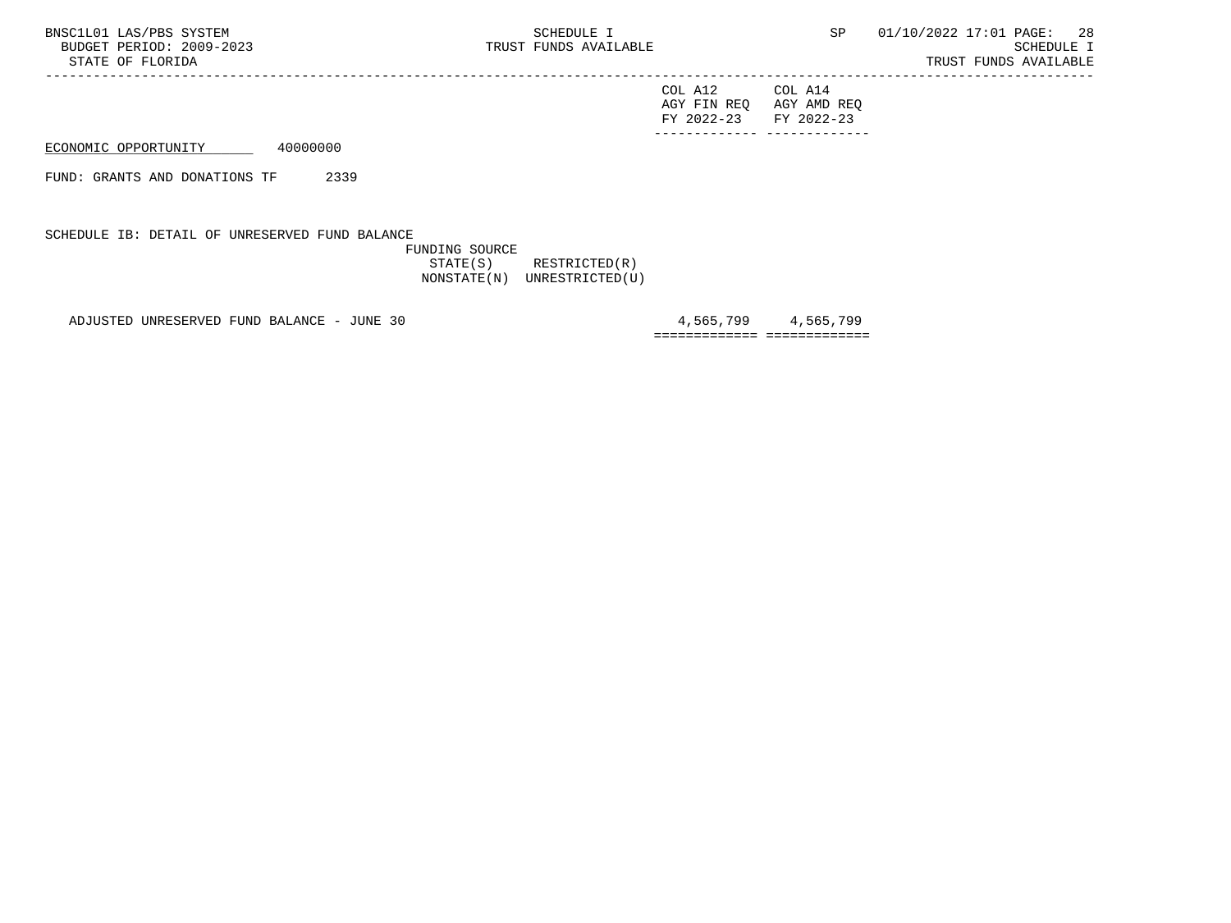-----------------------------------------------------------------------------------------------------------------------------------

| COL A12                 | COL A14 |
|-------------------------|---------|
| AGY FIN REQ AGY AMD REQ |         |
| FY 2022-23 FY 2022-23   |         |
|                         |         |

ECONOMIC OPPORTUNITY 40000000

FUND: GRANTS AND DONATIONS TF 2339

SCHEDULE IB: DETAIL OF UNRESERVED FUND BALANCE

 FUNDING SOURCE STATE(S) RESTRICTED(R) NONSTATE(N) UNRESTRICTED(U)

ADJUSTED UNRESERVED FUND BALANCE - JUNE 30  $\qquad \qquad 4,565,799$   $\qquad \qquad 4,565,799$ 

============= =============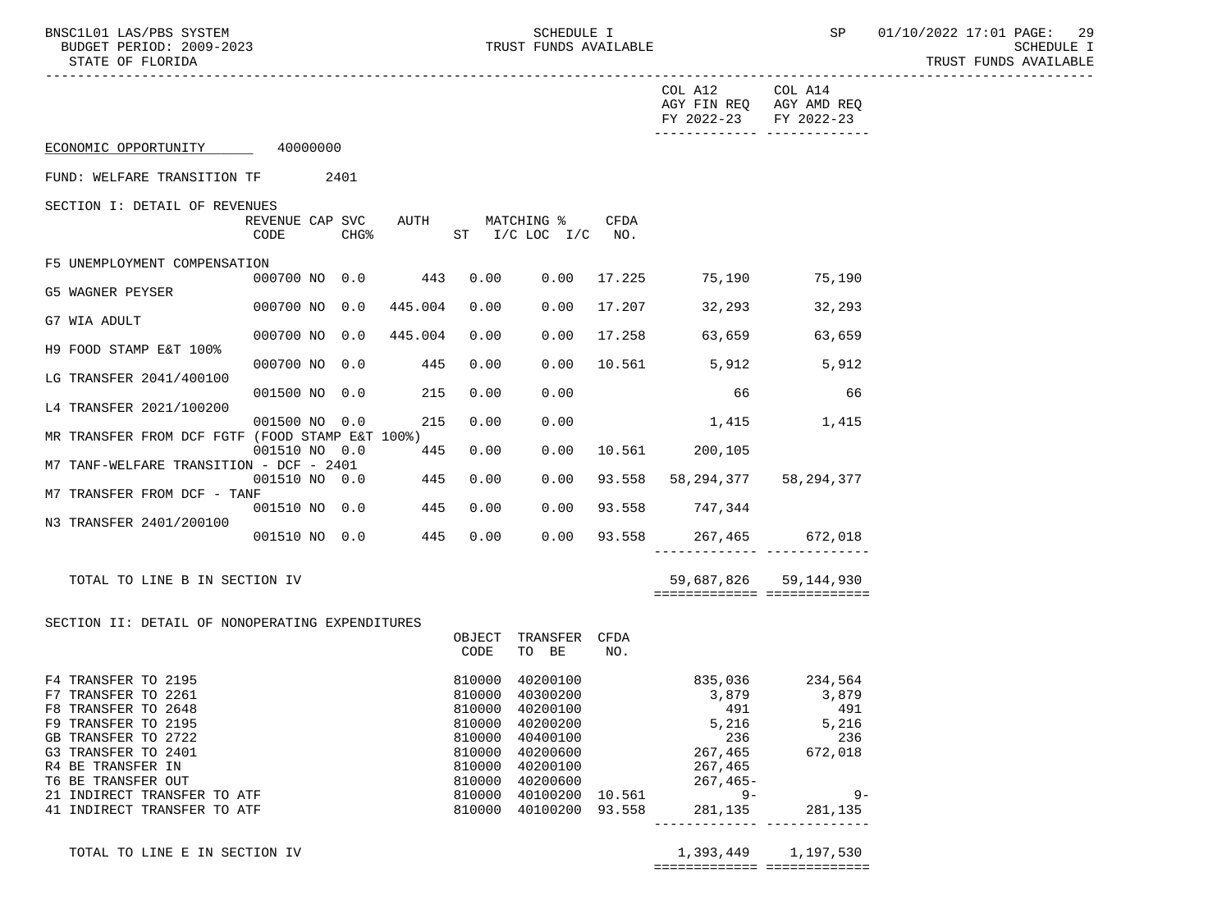BNSC1L01 LAS/PBS SYSTEM SOME SOME SCHEDULE I SCHEDULE I SP 01/10/2022 17:01 PAGE: 29<br>BUDGET PERIOD: 2009-2023 SCHEDULE I TRUST FUNDS AVAILABLE

TRUST FUNDS AVAILABLE

|                                                 |               |                  |                      |                  |                                  |      | COL A12 COL A14<br>AGY FIN REQ AGY AMD REQ<br>FY 2022-23 FY 2022-23                                                                                                                                                                                                                                                                                                                                            |                       |  |
|-------------------------------------------------|---------------|------------------|----------------------|------------------|----------------------------------|------|----------------------------------------------------------------------------------------------------------------------------------------------------------------------------------------------------------------------------------------------------------------------------------------------------------------------------------------------------------------------------------------------------------------|-----------------------|--|
| ECONOMIC OPPORTUNITY 40000000                   |               |                  |                      |                  |                                  |      |                                                                                                                                                                                                                                                                                                                                                                                                                |                       |  |
| FUND: WELFARE TRANSITION TF 2401                |               |                  |                      |                  |                                  |      |                                                                                                                                                                                                                                                                                                                                                                                                                |                       |  |
| SECTION I: DETAIL OF REVENUES                   |               |                  |                      |                  |                                  |      |                                                                                                                                                                                                                                                                                                                                                                                                                |                       |  |
|                                                 | CODE          | CHG <sup>8</sup> | REVENUE CAP SVC AUTH |                  | MATCHING %<br>ST I/C LOC I/C NO. | CFDA |                                                                                                                                                                                                                                                                                                                                                                                                                |                       |  |
| F5 UNEMPLOYMENT COMPENSATION                    |               |                  |                      |                  |                                  |      |                                                                                                                                                                                                                                                                                                                                                                                                                |                       |  |
| G5 WAGNER PEYSER                                |               |                  | 000700 NO 0.0 443    | 0.00             |                                  |      | $0.00 \quad 17.225 \quad 75.190 \quad 75.190$                                                                                                                                                                                                                                                                                                                                                                  |                       |  |
| G7 WIA ADULT                                    | 000700 NO 0.0 |                  | 445.004              | 0.00             | 0.00                             |      | 17.207 32,293 32,293                                                                                                                                                                                                                                                                                                                                                                                           |                       |  |
| H9 FOOD STAMP E&T 100%                          | 000700 NO 0.0 |                  | 445.004              | 0.00             | 0.00                             |      | 17.258 63,659 63,659                                                                                                                                                                                                                                                                                                                                                                                           |                       |  |
| LG TRANSFER 2041/400100                         |               |                  | 000700 NO 0.0 445    | 0.00             | 0.00                             |      | 10.561 5,912 5,912                                                                                                                                                                                                                                                                                                                                                                                             |                       |  |
|                                                 |               |                  | 001500 NO 0.0 215    | 0.00             | 0.00                             |      | 66                                                                                                                                                                                                                                                                                                                                                                                                             | 66                    |  |
| L4 TRANSFER 2021/100200                         |               |                  | 001500 NO 0.0 215    | 0.00             | 0.00                             |      | 1,415 1,415                                                                                                                                                                                                                                                                                                                                                                                                    |                       |  |
| MR TRANSFER FROM DCF FGTF (FOOD STAMP E&T 100%) |               |                  | 001510 NO 0.0 445    | 0.00             | 0.00                             |      | 10.561 200,105                                                                                                                                                                                                                                                                                                                                                                                                 |                       |  |
| M7 TANF-WELFARE TRANSITION - DCF - 2401         |               |                  | 001510 N0 0.0 445    | 0.00             | 0.00                             |      | 93.558 58,294,377 58,294,377                                                                                                                                                                                                                                                                                                                                                                                   |                       |  |
| M7 TRANSFER FROM DCF - TANF                     |               |                  | 001510 NO 0.0 445    | 0.00             | 0.00                             |      | 93.558 747,344                                                                                                                                                                                                                                                                                                                                                                                                 |                       |  |
| N3 TRANSFER 2401/200100                         |               |                  | 001510 NO 0.0 445    |                  | 0.00 0.00                        |      | 93.558 267,465 672,018                                                                                                                                                                                                                                                                                                                                                                                         |                       |  |
|                                                 |               |                  |                      |                  |                                  |      | _________________________________                                                                                                                                                                                                                                                                                                                                                                              |                       |  |
| TOTAL TO LINE B IN SECTION IV                   |               |                  |                      |                  |                                  |      |                                                                                                                                                                                                                                                                                                                                                                                                                | 59,687,826 59,144,930 |  |
|                                                 |               |                  |                      |                  |                                  |      | ===========================                                                                                                                                                                                                                                                                                                                                                                                    |                       |  |
| SECTION II: DETAIL OF NONOPERATING EXPENDITURES |               |                  |                      |                  | OBJECT TRANSFER CFDA             |      |                                                                                                                                                                                                                                                                                                                                                                                                                |                       |  |
|                                                 |               |                  |                      | CODE             | TO BE                            | NO.  |                                                                                                                                                                                                                                                                                                                                                                                                                |                       |  |
| F4 TRANSFER TO 2195<br>F7 TRANSFER TO 2261      |               |                  |                      | 810000<br>810000 | 40200100<br>40300200             |      | 835,036 234,564<br>3,879                                                                                                                                                                                                                                                                                                                                                                                       | 3,879                 |  |
| F8 TRANSFER TO 2648<br>F9 TRANSFER TO 2195      |               |                  |                      | 810000<br>810000 | 40200100<br>40200200             |      | $\begin{array}{@{}c@{\hspace{1em}}c@{\hspace{1em}}c@{\hspace{1em}}c@{\hspace{1em}}c@{\hspace{1em}}c@{\hspace{1em}}c@{\hspace{1em}}c@{\hspace{1em}}c@{\hspace{1em}}c@{\hspace{1em}}c@{\hspace{1em}}c@{\hspace{1em}}c@{\hspace{1em}}c@{\hspace{1em}}c@{\hspace{1em}}c@{\hspace{1em}}c@{\hspace{1em}}c@{\hspace{1em}}c@{\hspace{1em}}c@{\hspace{1em}}c@{\hspace{1em}}c@{\hspace{1em}}c@{\hspace{1em}}c@{\hspace{$ |                       |  |
| GB TRANSFER TO 2722                             |               |                  |                      | 810000           | 40400100                         |      |                                                                                                                                                                                                                                                                                                                                                                                                                |                       |  |
| G3 TRANSFER TO 2401<br>R4 BE TRANSFER IN        |               |                  |                      | 810000           | 40200600                         |      |                                                                                                                                                                                                                                                                                                                                                                                                                |                       |  |
| T6 BE TRANSFER OUT                              |               |                  |                      |                  |                                  |      |                                                                                                                                                                                                                                                                                                                                                                                                                |                       |  |
| 21 INDIRECT TRANSFER TO ATF                     |               |                  |                      |                  |                                  |      | 810000 40200100<br>810000 40200600 267,465<br>810000 40100200 10.561 9-<br>810000 40100200 93.558 281,135 281,135                                                                                                                                                                                                                                                                                              | $9 -$                 |  |
| 41 INDIRECT TRANSFER TO ATF                     |               |                  |                      |                  |                                  |      |                                                                                                                                                                                                                                                                                                                                                                                                                |                       |  |

TOTAL TO LINE E IN SECTION IV 1,393,449 1,197,530

============= =============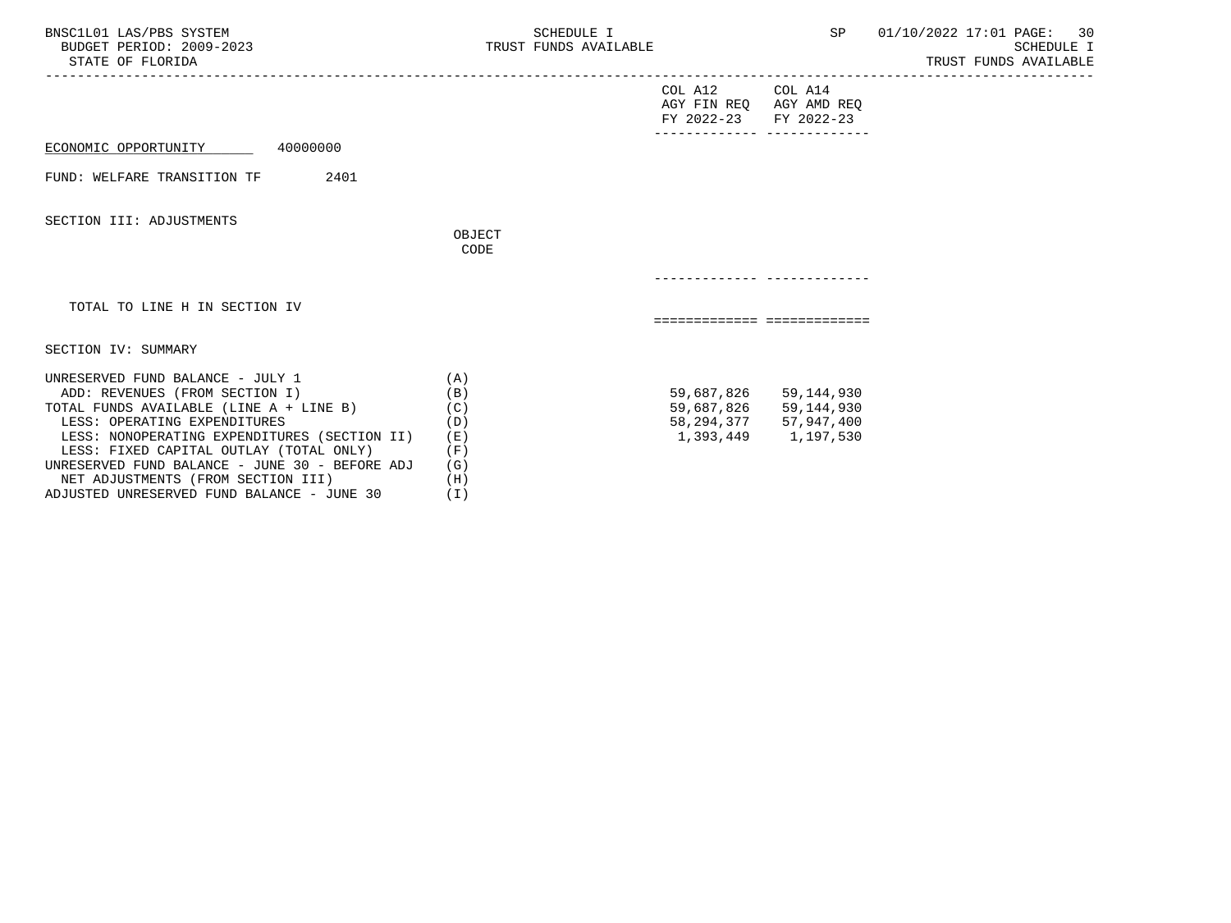| BNSC1L01 LAS/PBS SYSTEM<br>BUDGET PERIOD: 2009-2023<br>STATE OF FLORIDA                                                                                                                                                                                                                                                          | SCHEDULE I<br>TRUST FUNDS AVAILABLE                    |                                                             | SP                                                                                                 | 01/10/2022 17:01 PAGE: 30<br>SCHEDULE I<br>TRUST FUNDS AVAILABLE |
|----------------------------------------------------------------------------------------------------------------------------------------------------------------------------------------------------------------------------------------------------------------------------------------------------------------------------------|--------------------------------------------------------|-------------------------------------------------------------|----------------------------------------------------------------------------------------------------|------------------------------------------------------------------|
|                                                                                                                                                                                                                                                                                                                                  |                                                        | COL A12<br>AGY FIN REO AGY AMD REO<br>FY 2022-23 FY 2022-23 | COL A14                                                                                            |                                                                  |
| ECONOMIC OPPORTUNITY 40000000                                                                                                                                                                                                                                                                                                    |                                                        | ______________ _____________                                |                                                                                                    |                                                                  |
| 2401<br>FUND: WELFARE TRANSITION TF                                                                                                                                                                                                                                                                                              |                                                        |                                                             |                                                                                                    |                                                                  |
| SECTION III: ADJUSTMENTS                                                                                                                                                                                                                                                                                                         | OBJECT<br>CODE                                         |                                                             |                                                                                                    |                                                                  |
|                                                                                                                                                                                                                                                                                                                                  |                                                        |                                                             |                                                                                                    |                                                                  |
| TOTAL TO LINE H IN SECTION IV                                                                                                                                                                                                                                                                                                    |                                                        | ============================                                |                                                                                                    |                                                                  |
| SECTION IV: SUMMARY                                                                                                                                                                                                                                                                                                              |                                                        |                                                             |                                                                                                    |                                                                  |
| UNRESERVED FUND BALANCE - JULY 1<br>ADD: REVENUES (FROM SECTION I)<br>TOTAL FUNDS AVAILABLE (LINE A + LINE B)<br>LESS: OPERATING EXPENDITURES<br>LESS: NONOPERATING EXPENDITURES (SECTION II)<br>LESS: FIXED CAPITAL OUTLAY (TOTAL ONLY)<br>UNRESERVED FUND BALANCE - JUNE 30 - BEFORE ADJ<br>NET ADJUSTMENTS (FROM SECTION III) | (A)<br>(B)<br>(C)<br>(D)<br>( E )<br>(F)<br>(G)<br>(H) |                                                             | 59,687,826 59,144,930<br>59,687,826 59,144,930<br>58, 294, 377 57, 947, 400<br>1,393,449 1,197,530 |                                                                  |

ADJUSTED UNRESERVED FUND BALANCE - JUNE 30 (I)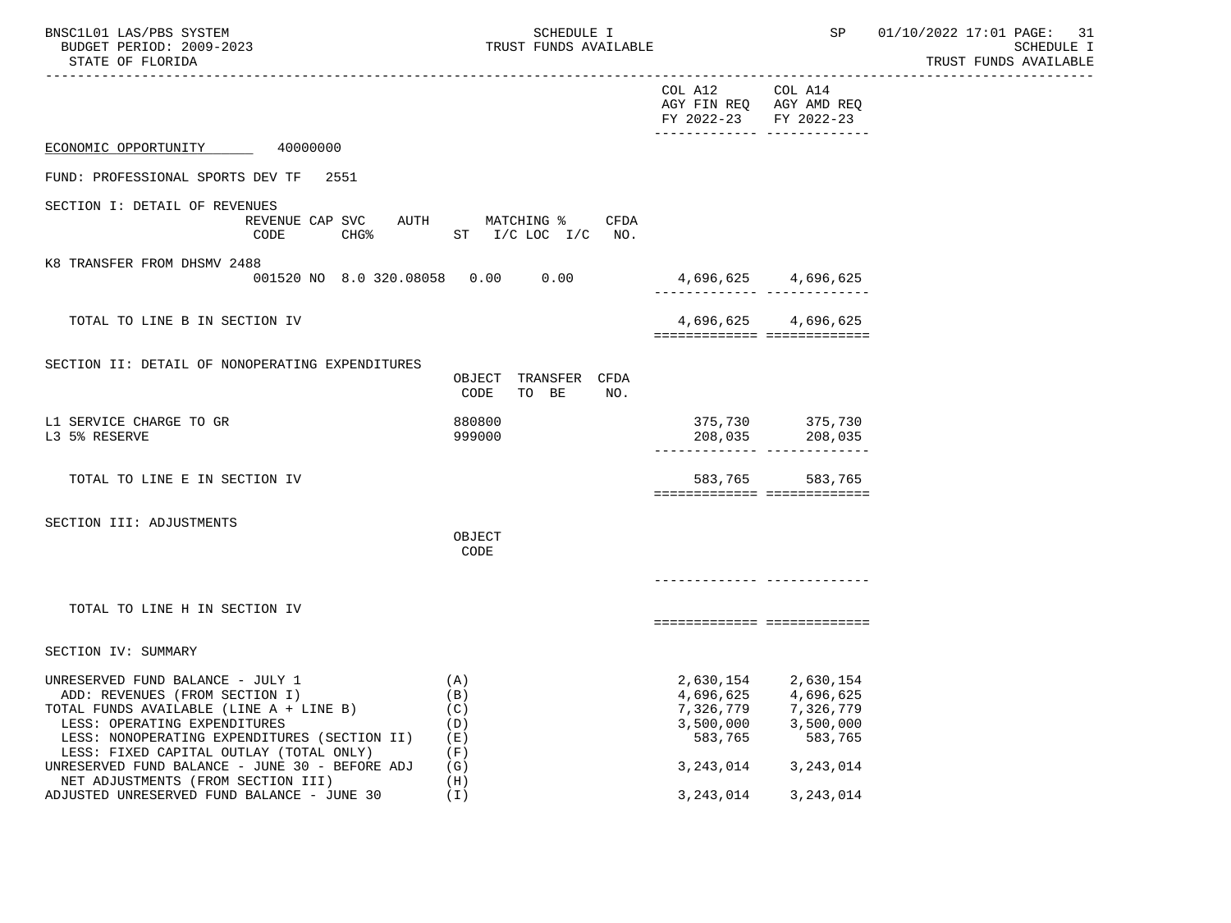| BNSC1L01 LAS/PBS SYSTEM<br>BUDGET PERIOD: 2009-2023<br>STATE OF FLORIDA                                                                                                                                                                                                                                                          | <b>SCHEDULE I</b><br>TRUST FUNDS AVAILABLE                                  |                                                             | SP                                                                                   | 01/10/2022 17:01 PAGE: 31<br>SCHEDULE I<br>TRUST FUNDS AVAILABLE |
|----------------------------------------------------------------------------------------------------------------------------------------------------------------------------------------------------------------------------------------------------------------------------------------------------------------------------------|-----------------------------------------------------------------------------|-------------------------------------------------------------|--------------------------------------------------------------------------------------|------------------------------------------------------------------|
|                                                                                                                                                                                                                                                                                                                                  |                                                                             | COL A12<br>FY 2022-23 FY 2022-23                            | COL A14<br>AGY FIN REQ AGY AMD REQ<br>-------------- --------------                  |                                                                  |
| ECONOMIC OPPORTUNITY 40000000                                                                                                                                                                                                                                                                                                    |                                                                             |                                                             |                                                                                      |                                                                  |
| FUND: PROFESSIONAL SPORTS DEV TF<br>2551                                                                                                                                                                                                                                                                                         |                                                                             |                                                             |                                                                                      |                                                                  |
| SECTION I: DETAIL OF REVENUES<br>CODE                                                                                                                                                                                                                                                                                            | REVENUE CAP SVC AUTH MATCHING % CFDA<br>CHG <sup>*</sup> ST I/C LOC I/C NO. |                                                             |                                                                                      |                                                                  |
| K8 TRANSFER FROM DHSMV 2488<br>001520 NO 8.0 320.08058 0.00 0.00                                                                                                                                                                                                                                                                 |                                                                             | 4,696,625 4,696,625                                         |                                                                                      |                                                                  |
| TOTAL TO LINE B IN SECTION IV                                                                                                                                                                                                                                                                                                    |                                                                             |                                                             | 4,696,625 4,696,625<br>===========================                                   |                                                                  |
| SECTION II: DETAIL OF NONOPERATING EXPENDITURES                                                                                                                                                                                                                                                                                  | OBJECT TRANSFER CFDA<br>CODE<br>TO BE<br>NO.                                |                                                             |                                                                                      |                                                                  |
| L1 SERVICE CHARGE TO GR<br>L3 5% RESERVE                                                                                                                                                                                                                                                                                         | 880800<br>999000                                                            |                                                             | 375,730 375,730<br>$208,035$ 208,035                                                 |                                                                  |
| TOTAL TO LINE E IN SECTION IV                                                                                                                                                                                                                                                                                                    |                                                                             | 583,765                                                     | 583,765<br>============================                                              |                                                                  |
| SECTION III: ADJUSTMENTS                                                                                                                                                                                                                                                                                                         | OBJECT<br>CODE                                                              |                                                             |                                                                                      |                                                                  |
| TOTAL TO LINE H IN SECTION IV                                                                                                                                                                                                                                                                                                    |                                                                             |                                                             | ============================                                                         |                                                                  |
| SECTION IV: SUMMARY                                                                                                                                                                                                                                                                                                              |                                                                             |                                                             |                                                                                      |                                                                  |
| UNRESERVED FUND BALANCE - JULY 1<br>ADD: REVENUES (FROM SECTION I)<br>TOTAL FUNDS AVAILABLE (LINE A + LINE B)<br>LESS: OPERATING EXPENDITURES<br>LESS: NONOPERATING EXPENDITURES (SECTION II)<br>LESS: FIXED CAPITAL OUTLAY (TOTAL ONLY)<br>UNRESERVED FUND BALANCE - JUNE 30 - BEFORE ADJ<br>NET ADJUSTMENTS (FROM SECTION III) | (A)<br>(B)<br>(C)<br>(D)<br>(E)<br>(F)<br>(G)<br>(H)                        | 4,696,625<br>7,326,779<br>3,500,000<br>583,765<br>3,243,014 | 2,630,154 2,630,154<br>4,696,625<br>7,326,779<br>3,500,000<br>583,765<br>3, 243, 014 |                                                                  |
| ADJUSTED UNRESERVED FUND BALANCE - JUNE 30                                                                                                                                                                                                                                                                                       | (I)                                                                         | 3, 243, 014                                                 | 3, 243, 014                                                                          |                                                                  |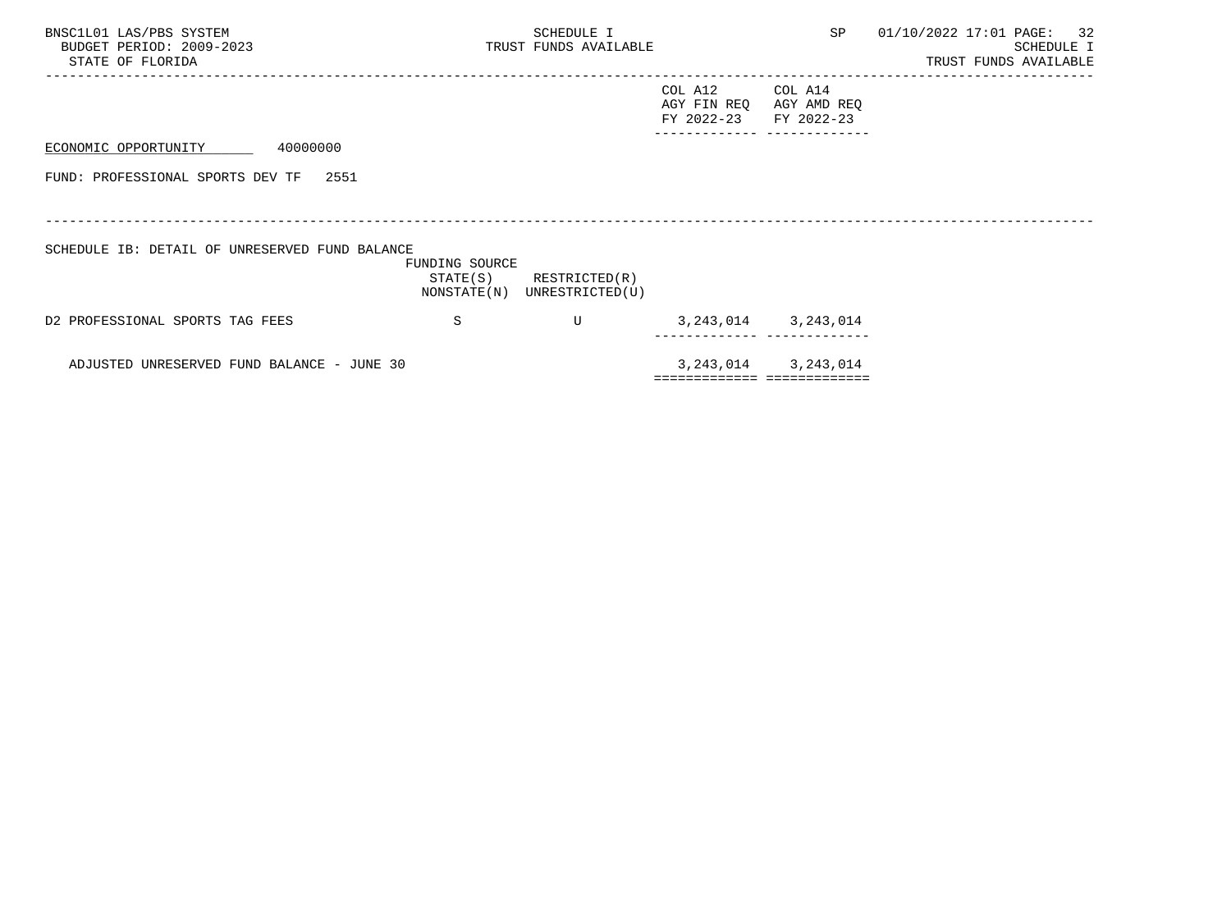| BNSC1L01 LAS/PBS SYSTEM<br>BUDGET PERIOD: 2009-2023<br>STATE OF FLORIDA |                | SCHEDULE I<br>TRUST FUNDS AVAILABLE                        |                                      | SP                                                      | 01/10/2022 17:01 PAGE: 32<br>SCHEDULE I<br>TRUST FUNDS AVAILABLE |
|-------------------------------------------------------------------------|----------------|------------------------------------------------------------|--------------------------------------|---------------------------------------------------------|------------------------------------------------------------------|
|                                                                         |                |                                                            | COL A12<br>AGY FIN REQ<br>FY 2022-23 | COL A14<br>AGY AMD REQ<br>FY 2022-23                    |                                                                  |
| ECONOMIC OPPORTUNITY 40000000                                           |                |                                                            |                                      |                                                         |                                                                  |
| FUND: PROFESSIONAL SPORTS DEV TF<br>2551                                |                |                                                            |                                      |                                                         |                                                                  |
| SCHEDULE IB: DETAIL OF UNRESERVED FUND BALANCE                          | FUNDING SOURCE | $STATE(S)$ RESTRICTED $(R)$<br>NONSTATE(N) UNRESTRICTED(U) |                                      |                                                         |                                                                  |
| D2 PROFESSIONAL SPORTS TAG FEES                                         | S              | U                                                          |                                      | 3, 243, 014 3, 243, 014                                 |                                                                  |
| ADJUSTED UNRESERVED FUND BALANCE - JUNE 30                              |                |                                                            |                                      | 3, 243, 014 3, 243, 014<br>============================ |                                                                  |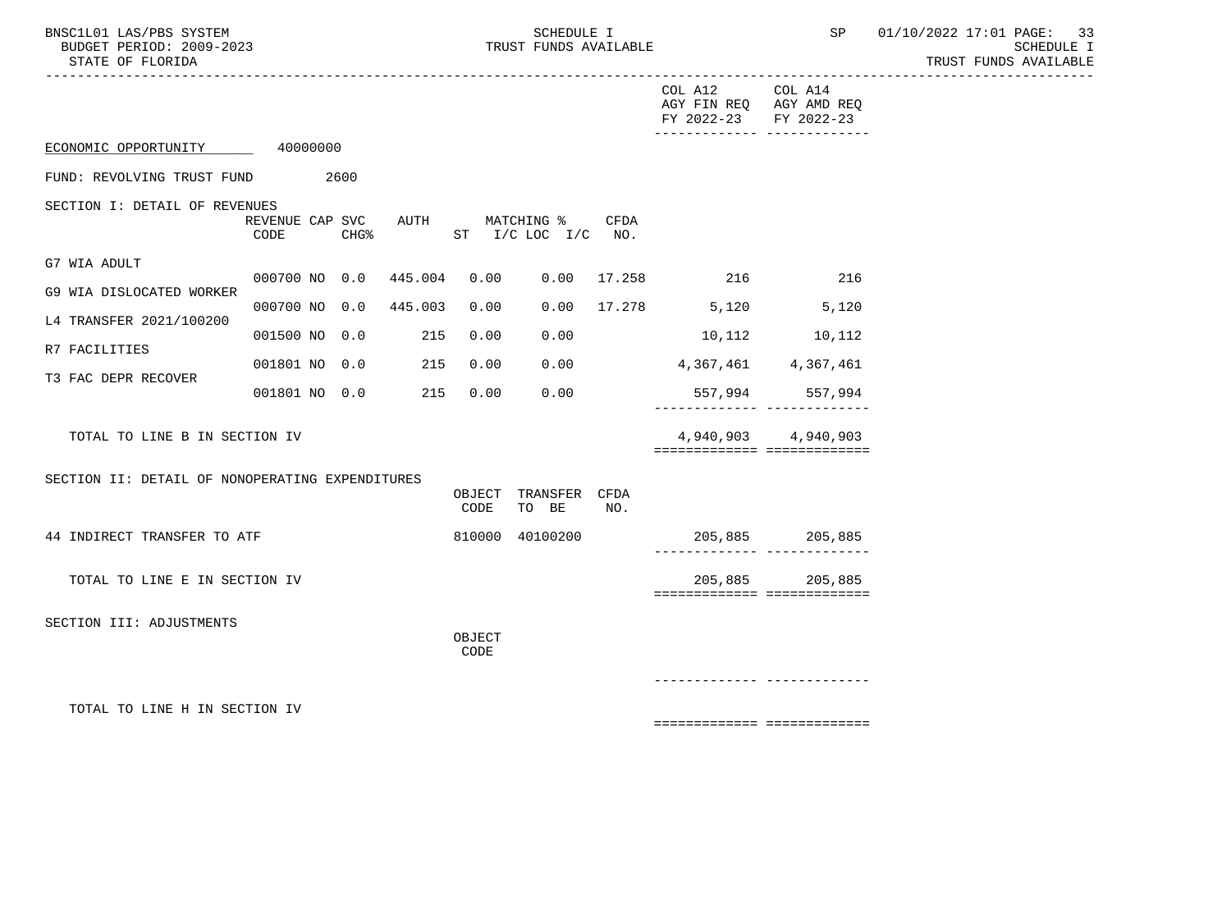BNSC1L01 LAS/PBS SYSTEM SOME SOMEDULE I SCHEDULE I SP 01/10/2022 17:01 PAGE: 33<br>BUDGET PERIOD: 2009-2023 TRUST FUNDS AVAILABLE

|                                                 |                                         |      |        |                        |      | COL A12 COL A14<br>FY 2022-23 FY 2022-23   | AGY FIN REQ AGY AMD REQ<br>-------------- -------------- |
|-------------------------------------------------|-----------------------------------------|------|--------|------------------------|------|--------------------------------------------|----------------------------------------------------------|
| ECONOMIC OPPORTUNITY 40000000                   |                                         |      |        |                        |      |                                            |                                                          |
| FUND: REVOLVING TRUST FUND                      | 2600                                    |      |        |                        |      |                                            |                                                          |
| SECTION I: DETAIL OF REVENUES                   |                                         |      |        |                        |      |                                            |                                                          |
|                                                 | REVENUE CAP SVC AUTH MATCHING %<br>CODE | CHG% |        | ST $I/C$ LOC $I/C$ NO. | CFDA |                                            |                                                          |
| G7 WIA ADULT                                    |                                         |      |        |                        |      |                                            |                                                          |
| G9 WIA DISLOCATED WORKER                        |                                         |      |        |                        |      | 000700 NO 0.0 445.004 0.00 0.00 17.258 216 | 216                                                      |
| L4 TRANSFER 2021/100200                         | 000700 NO 0.0 445.003                   |      | 0.00   |                        |      | $0.00$ 17.278 5,120 5,120                  |                                                          |
|                                                 | 001500 NO 0.0 215                       |      | 0.00   | 0.00                   |      | $10,112$ $10,112$                          |                                                          |
| R7 FACILITIES                                   | 001801 NO 0.0 215                       |      | 0.00   | 0.00                   |      | 4, 367, 461 4, 367, 461                    |                                                          |
| T3 FAC DEPR RECOVER                             | 001801 NO 0.0 215                       |      | 0.00   | 0.00                   |      |                                            | 557,994 557,994                                          |
|                                                 |                                         |      |        |                        |      |                                            |                                                          |
| TOTAL TO LINE B IN SECTION IV                   |                                         |      |        |                        |      |                                            | 4,940,903 4,940,903<br>============================      |
|                                                 |                                         |      |        |                        |      |                                            |                                                          |
| SECTION II: DETAIL OF NONOPERATING EXPENDITURES |                                         |      | OBJECT | TRANSFER CFDA          |      |                                            |                                                          |
|                                                 |                                         |      | CODE   | TO BE                  | NO.  |                                            |                                                          |
| 44 INDIRECT TRANSFER TO ATF                     |                                         |      |        | 810000 40100200        |      |                                            | 205,885 205,885<br>-------------- --------------         |
|                                                 |                                         |      |        |                        |      |                                            |                                                          |
| TOTAL TO LINE E IN SECTION IV                   |                                         |      |        |                        |      |                                            | 205,885 205,885<br>===========================           |
| SECTION III: ADJUSTMENTS                        |                                         |      |        |                        |      |                                            |                                                          |
|                                                 |                                         |      | OBJECT |                        |      |                                            |                                                          |
|                                                 |                                         |      | CODE   |                        |      |                                            |                                                          |
|                                                 |                                         |      |        |                        |      |                                            |                                                          |
| TOTAL TO LINE H IN SECTION IV                   |                                         |      |        |                        |      |                                            |                                                          |
|                                                 |                                         |      |        |                        |      |                                            | ============================                             |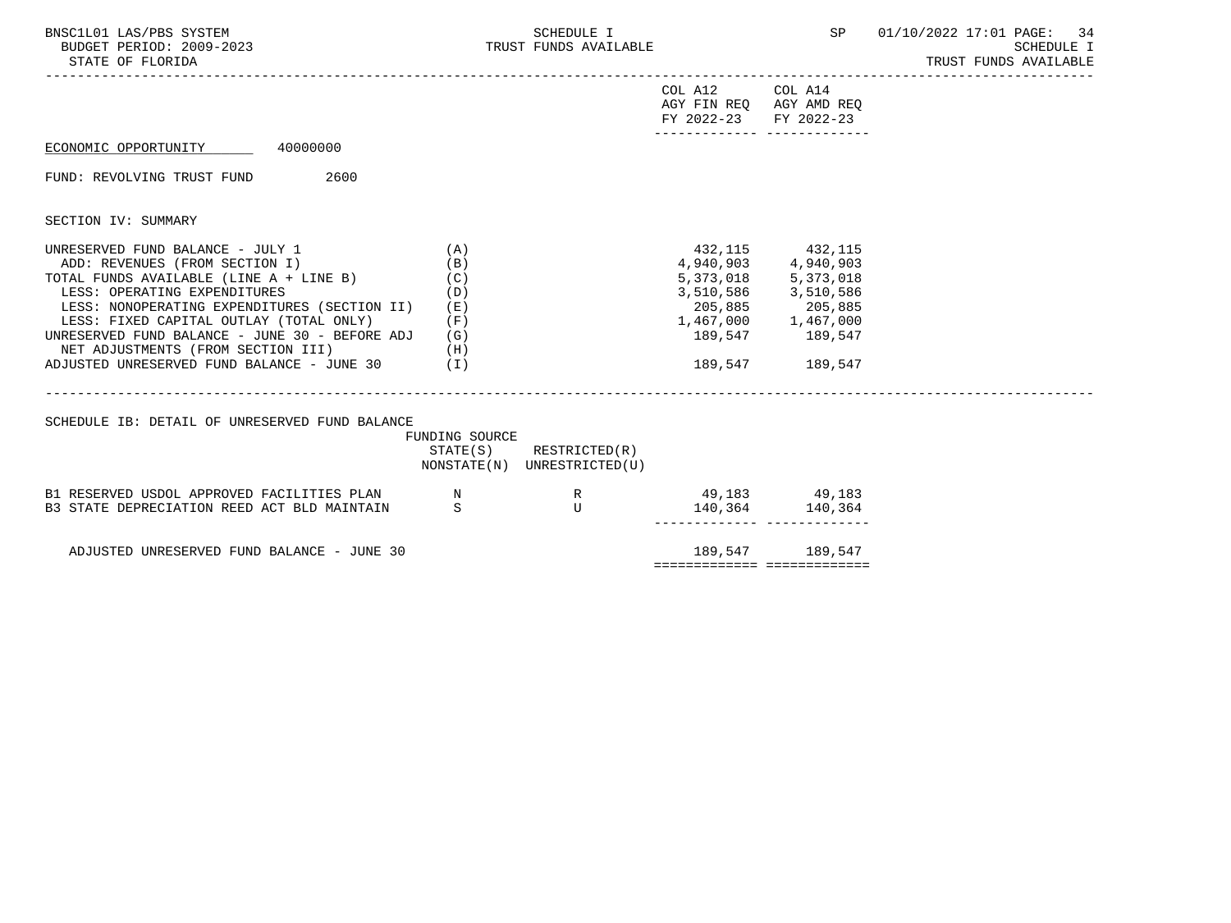| BNSC1L01 LAS/PBS SYSTEM<br>BUDGET PERIOD: 2009-2023<br>STATE OF FLORIDA                                                                                                                                                                                                                                                                                                                   |                                                 | SCHEDULE I<br>TRUST FUNDS AVAILABLE                        |                                          |                                                                                                                                                                                | SP 01/10/2022 17:01 PAGE: 34<br><b>SCHEDULE I</b><br>TRUST FUNDS AVAILABLE |
|-------------------------------------------------------------------------------------------------------------------------------------------------------------------------------------------------------------------------------------------------------------------------------------------------------------------------------------------------------------------------------------------|-------------------------------------------------|------------------------------------------------------------|------------------------------------------|--------------------------------------------------------------------------------------------------------------------------------------------------------------------------------|----------------------------------------------------------------------------|
|                                                                                                                                                                                                                                                                                                                                                                                           |                                                 |                                                            | COL A12 COL A14<br>FY 2022-23 FY 2022-23 | AGY FIN REQ AGY AMD REQ<br>________________________________                                                                                                                    |                                                                            |
| ECONOMIC OPPORTUNITY 40000000                                                                                                                                                                                                                                                                                                                                                             |                                                 |                                                            |                                          |                                                                                                                                                                                |                                                                            |
| FUND: REVOLVING TRUST FUND 2600                                                                                                                                                                                                                                                                                                                                                           |                                                 |                                                            |                                          |                                                                                                                                                                                |                                                                            |
| SECTION IV: SUMMARY                                                                                                                                                                                                                                                                                                                                                                       |                                                 |                                                            |                                          |                                                                                                                                                                                |                                                                            |
| UNRESERVED FUND BALANCE - JULY 1<br>ADD: REVENUES (FROM SECTION I)<br>TOTAL FUNDS AVAILABLE (LINE A + LINE B)<br>LESS: OPERATING EXPENDITURES<br>LESS: NONOPERATING EXPENDITURES (SECTION II)<br>LESS: FIXED CAPITAL OUTLAY (TOTAL ONLY)<br>UNRESERVED FUND BALANCE - JUNE 30 - BEFORE ADJ<br>(H)<br>NET ADJUSTMENTS (FROM SECTION III)<br>ADJUSTED UNRESERVED FUND BALANCE - JUNE 30 (I) | (A)<br>(B)<br>(C)<br>(D)<br>( E )<br>(F)<br>(G) |                                                            |                                          | 432, 115 432, 115<br>4,940,903 4,940,903<br>5, 373, 018 5, 373, 018<br>3,510,586 3,510,586<br>205,885 205,885<br>$1,467,000$ $1,467,000$<br>189,547 189,547<br>189,547 189,547 |                                                                            |
| SCHEDULE IB: DETAIL OF UNRESERVED FUND BALANCE                                                                                                                                                                                                                                                                                                                                            | FUNDING SOURCE                                  | $STATE(S)$ RESTRICTED $(R)$<br>NONSTATE(N) UNRESTRICTED(U) |                                          |                                                                                                                                                                                |                                                                            |
| B1 RESERVED USDOL APPROVED FACILITIES PLAN N<br>B3 STATE DEPRECIATION REED ACT BLD MAINTAIN                                                                                                                                                                                                                                                                                               | -S                                              | R<br><b>Example 19</b>                                     |                                          | 49, 183 49, 183<br>140,364 140,364                                                                                                                                             |                                                                            |
| ADJUSTED UNRESERVED FUND BALANCE - JUNE 30                                                                                                                                                                                                                                                                                                                                                |                                                 |                                                            |                                          | 189,547 189,547<br>sessessessess sessessessess                                                                                                                                 |                                                                            |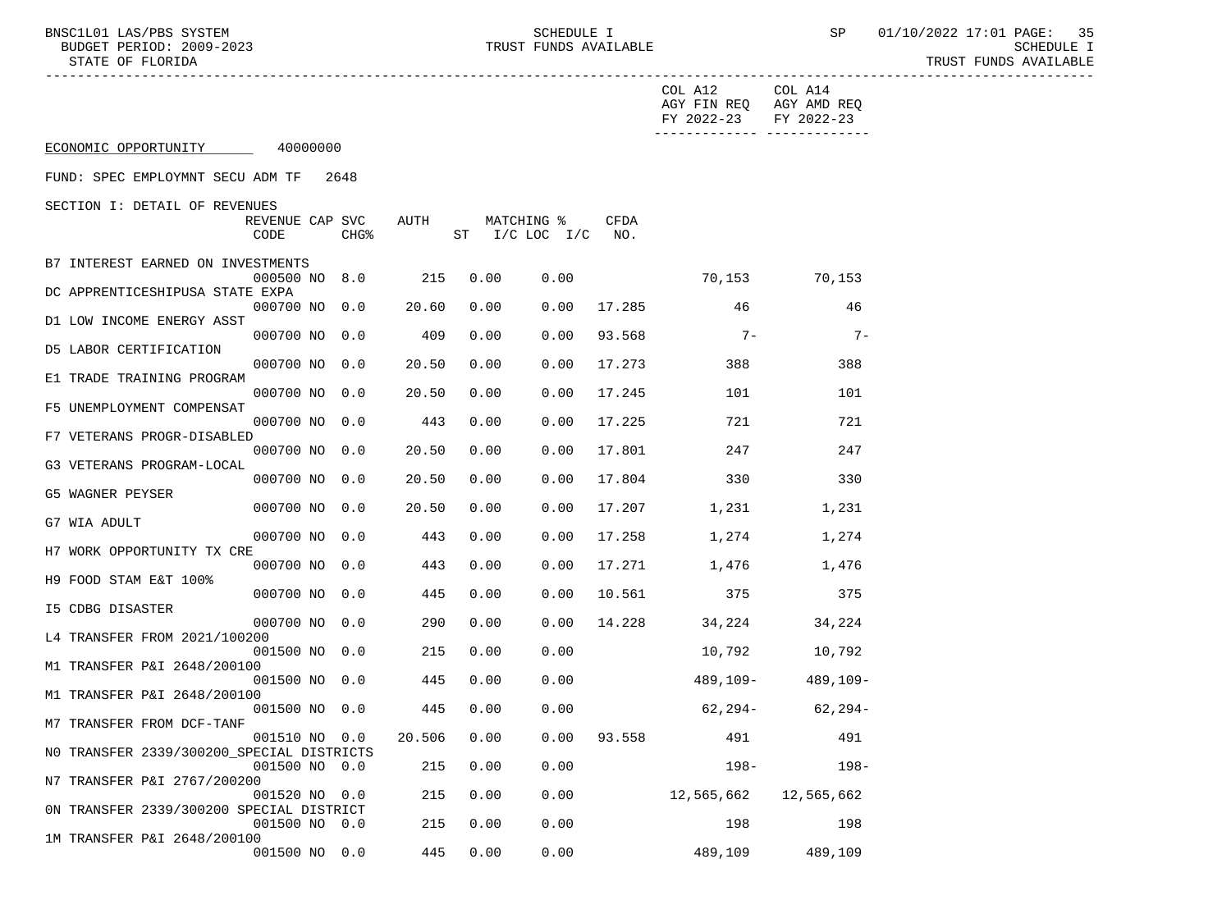BNSC1L01 LAS/PBS SYSTEM SCHEDULE I SP 01/10/2022 17:01 PAGE: 35

|                                                                                        |       |      |                              |             | COL A12 COL A14<br>AGY FIN REQ AGY AMD REQ<br>FY 2022-23 FY 2022-23 | ------------ -------------- |
|----------------------------------------------------------------------------------------|-------|------|------------------------------|-------------|---------------------------------------------------------------------|-----------------------------|
| ECONOMIC OPPORTUNITY 40000000                                                          |       |      |                              |             |                                                                     |                             |
| FUND: SPEC EMPLOYMNT SECU ADM TF 2648                                                  |       |      |                              |             |                                                                     |                             |
| SECTION I: DETAIL OF REVENUES<br>REVENUE CAP SVC<br>CODE<br>CHG <sup>8</sup>           | AUTH  |      | MATCHING %<br>ST I/C LOC I/C | CFDA<br>NO. |                                                                     |                             |
| B7 INTEREST EARNED ON INVESTMENTS<br>000500 NO 8.0                                     | 215   | 0.00 | 0.00                         |             | 70,153 70,153                                                       |                             |
| DC APPRENTICESHIPUSA STATE EXPA<br>000700 NO 0.0                                       | 20.60 | 0.00 | 0.00                         |             | 17.285 46                                                           | 46                          |
| D1 LOW INCOME ENERGY ASST<br>000700 NO 0.0                                             | 409   | 0.00 | 0.00                         | 93.568      | $7-$                                                                | $7-$                        |
| D5 LABOR CERTIFICATION<br>000700 NO 0.0                                                | 20.50 | 0.00 | 0.00                         | 17.273      | 388                                                                 | 388                         |
| E1 TRADE TRAINING PROGRAM<br>000700 NO 0.0                                             | 20.50 | 0.00 | 0.00                         | 17.245      | 101                                                                 | 101                         |
| F5 UNEMPLOYMENT COMPENSAT<br>000700 NO 0.0                                             | 443   | 0.00 | 0.00                         | 17.225      | 721                                                                 | 721                         |
| F7 VETERANS PROGR-DISABLED<br>000700 NO 0.0                                            | 20.50 | 0.00 | 0.00                         |             | 17.801 247                                                          | 247                         |
| G3 VETERANS PROGRAM-LOCAL<br>000700 NO 0.0                                             | 20.50 | 0.00 | 0.00                         |             | 17.804 330                                                          | 330                         |
| G5 WAGNER PEYSER<br>000700 NO 0.0                                                      | 20.50 | 0.00 | 0.00                         |             | 17.207 1,231                                                        | 1,231                       |
| G7 WIA ADULT<br>000700 NO 0.0                                                          | 443   | 0.00 | 0.00                         | 17.258      | 1,274                                                               | 1,274                       |
| H7 WORK OPPORTUNITY TX CRE<br>000700 NO 0.0                                            | 443   | 0.00 | 0.00                         |             | 17.271 1,476 1,476                                                  |                             |
| H9 FOOD STAM E&T 100%<br>000700 NO 0.0<br>I5 CDBG DISASTER                             | 445   | 0.00 | 0.00                         | 10.561      | 375                                                                 | 375                         |
| 000700 NO 0.0<br>L4 TRANSFER FROM 2021/100200                                          | 290   | 0.00 | 0.00                         |             | 14.228 34,224 34,224                                                |                             |
| 001500 NO 0.0<br>M1 TRANSFER P&I 2648/200100                                           | 215   | 0.00 | 0.00                         |             | 10,792                                                              | 10,792                      |
| 001500 NO 0.0<br>M1 TRANSFER P&I 2648/200100                                           | 445   | 0.00 | 0.00                         |             |                                                                     | 489,109- 489,109-           |
| 001500 NO 0.0<br>M7 TRANSFER FROM DCF-TANF                                             | 445   | 0.00 | 0.00                         |             | $62,294-62,294-$                                                    |                             |
| 001510 NO 0.0 20.506 0.00 0.00 93.558 491<br>NO TRANSFER 2339/300200 SPECIAL DISTRICTS |       |      |                              |             |                                                                     | 491                         |
| 001500 NO 0.0<br>N7 TRANSFER P&I 2767/200200                                           | 215   | 0.00 | 0.00                         |             | $198 -$                                                             | $198 -$                     |
| 001520 NO 0.0<br>ON TRANSFER 2339/300200 SPECIAL DISTRICT                              | 215   | 0.00 | 0.00                         |             | 12,565,662                                                          | 12,565,662                  |
| 001500 NO 0.0<br>1M TRANSFER P&I 2648/200100                                           | 215   | 0.00 | 0.00                         |             | 198                                                                 | 198                         |
| 001500 NO 0.0                                                                          | 445   | 0.00 | 0.00                         |             | 489,109                                                             | 489,109                     |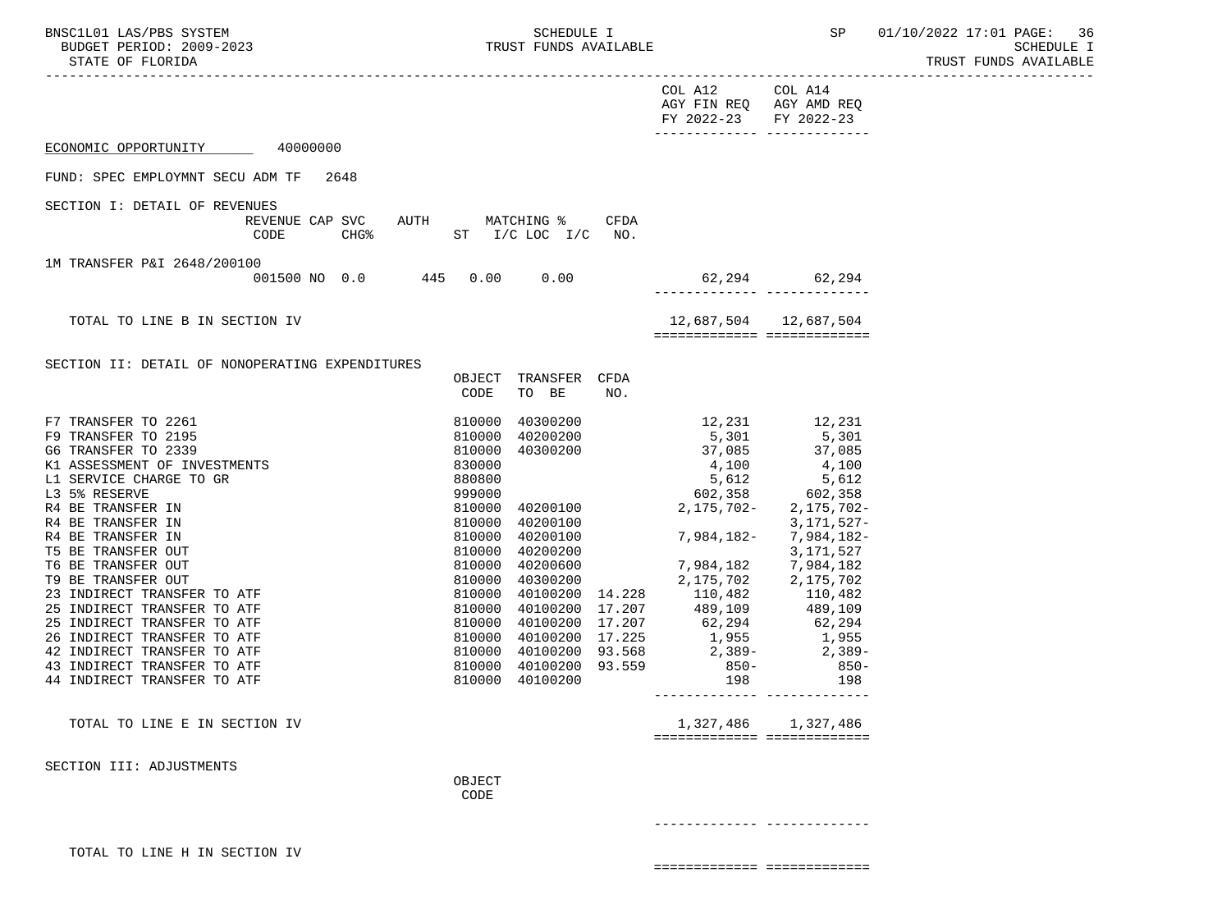| VSC1L01 LAS/PBS SYSTEM<br>BUDGET PERIOD: 2009-2023<br>BNSC1L01 LAS/PBS SYSTEM<br>STATE OF FLORIDA                                                                                                                                                                                                                                |                                                                                                                                                   | SCHEDULE I<br>TRUST FUNDS AVAILABLE |                                                                                                                                                                                                                                                                                                                                                                                                                                                                                                                                                                                                                            |                                                                             | SP 01/10/2022 17:01 PAGE: 36<br>SCHEDULE I<br>TRUST FUNDS AVAILABLE<br>------------------ |
|----------------------------------------------------------------------------------------------------------------------------------------------------------------------------------------------------------------------------------------------------------------------------------------------------------------------------------|---------------------------------------------------------------------------------------------------------------------------------------------------|-------------------------------------|----------------------------------------------------------------------------------------------------------------------------------------------------------------------------------------------------------------------------------------------------------------------------------------------------------------------------------------------------------------------------------------------------------------------------------------------------------------------------------------------------------------------------------------------------------------------------------------------------------------------------|-----------------------------------------------------------------------------|-------------------------------------------------------------------------------------------|
|                                                                                                                                                                                                                                                                                                                                  |                                                                                                                                                   |                                     | COL A12 COL A14<br>AGY FIN REQ AGY AMD REQ<br>FY 2022-23 FY 2022-23<br>________________________________                                                                                                                                                                                                                                                                                                                                                                                                                                                                                                                    |                                                                             |                                                                                           |
| ECONOMIC OPPORTUNITY 40000000                                                                                                                                                                                                                                                                                                    |                                                                                                                                                   |                                     |                                                                                                                                                                                                                                                                                                                                                                                                                                                                                                                                                                                                                            |                                                                             |                                                                                           |
| FUND: SPEC EMPLOYMNT SECU ADM TF 2648                                                                                                                                                                                                                                                                                            |                                                                                                                                                   |                                     |                                                                                                                                                                                                                                                                                                                                                                                                                                                                                                                                                                                                                            |                                                                             |                                                                                           |
| SECTION I: DETAIL OF REVENUES<br>REVENUE CAP SVC AUTH MATCHING %<br>CODE                                                                                                                                                                                                                                                         | CHG $%$ ST I/C LOC I/C NO.                                                                                                                        | CFDA                                |                                                                                                                                                                                                                                                                                                                                                                                                                                                                                                                                                                                                                            |                                                                             |                                                                                           |
| 1M TRANSFER P&I 2648/200100<br>001500 NO 0.0 445 0.00 0.00                                                                                                                                                                                                                                                                       |                                                                                                                                                   |                                     | $62,294$ $62,294$                                                                                                                                                                                                                                                                                                                                                                                                                                                                                                                                                                                                          |                                                                             |                                                                                           |
| TOTAL TO LINE B IN SECTION IV                                                                                                                                                                                                                                                                                                    |                                                                                                                                                   |                                     | 12,687,504   12,687,504<br>============== ==============                                                                                                                                                                                                                                                                                                                                                                                                                                                                                                                                                                   |                                                                             |                                                                                           |
| SECTION II: DETAIL OF NONOPERATING EXPENDITURES                                                                                                                                                                                                                                                                                  | OBJECT TRANSFER CFDA<br>TO BE<br>CODE                                                                                                             | NO.                                 |                                                                                                                                                                                                                                                                                                                                                                                                                                                                                                                                                                                                                            |                                                                             |                                                                                           |
| F7 TRANSFER TO 2261<br>F9 TRANSFER TO 2195<br>G6 TRANSFER TO 2339<br>G6 TRANSFER TO 2339<br>K1 ASSESSMENT OF INVESTMENTS<br>L1 SERVICE CHARGE TO GR<br>L3 5% RESERVE<br>R4 BE TRANSFER IN<br>R4 BE TRANSFER IN<br>R4 BE TRANSFER IN<br>T5 BE TRANSFER OUT<br>T6 BE TRANSFER OUT<br>T6 BE TRANSFER OUT<br>23 INDIRECT TRANSFER TO | 810000<br>810000 40200200<br>810000 40200100<br>810000<br>40200100<br>810000 40200200<br>40200600<br>810000<br>810000 40300200<br>810000 40100200 |                                     | $40300200$ $12,231$ $12,231$ $12,231$ $12,231$<br>810000 40300200 37,085 37,085<br>$\begin{array}{cccc} 830000 & 4,100 & 37,005 \\ 8080800 & 4,100 & 4,100 \\ 999000 & 5,612 & 5,612 \\ 999000 & 40200100 & 2,175,702 - 2,175,702 - 1 \\ 810000 & 40200100 & 1 \end{array}$<br>-3,171,527<br>-3,182, 7,984,182<br>7,984,182 7,984,182<br>810000 40100200 14.228 110,482<br>810000 40100200 17.207 489,109 489,109<br>810000 40100200 17.207 62,294 62,294<br>810000 40100200 17.207 62,294 62,294<br>810000 40100200 17.225 1,955 1,955<br>810000 40100200 93.568 2,389-<br>810000 40100200 93.559 850-<br>850-<br>198 198 | 2,175,702-<br>3,171,527-<br>3,171,527<br>2, 175, 702 2, 175, 702<br>110,482 |                                                                                           |
| TOTAL TO LINE E IN SECTION IV                                                                                                                                                                                                                                                                                                    |                                                                                                                                                   |                                     | 1,327,486<br>============================                                                                                                                                                                                                                                                                                                                                                                                                                                                                                                                                                                                  | 1,327,486                                                                   |                                                                                           |
| SECTION III: ADJUSTMENTS                                                                                                                                                                                                                                                                                                         | OBJECT<br>CODE                                                                                                                                    |                                     |                                                                                                                                                                                                                                                                                                                                                                                                                                                                                                                                                                                                                            |                                                                             |                                                                                           |
| TOTAL TO LINE H IN SECTION IV                                                                                                                                                                                                                                                                                                    |                                                                                                                                                   |                                     |                                                                                                                                                                                                                                                                                                                                                                                                                                                                                                                                                                                                                            |                                                                             |                                                                                           |

============= =============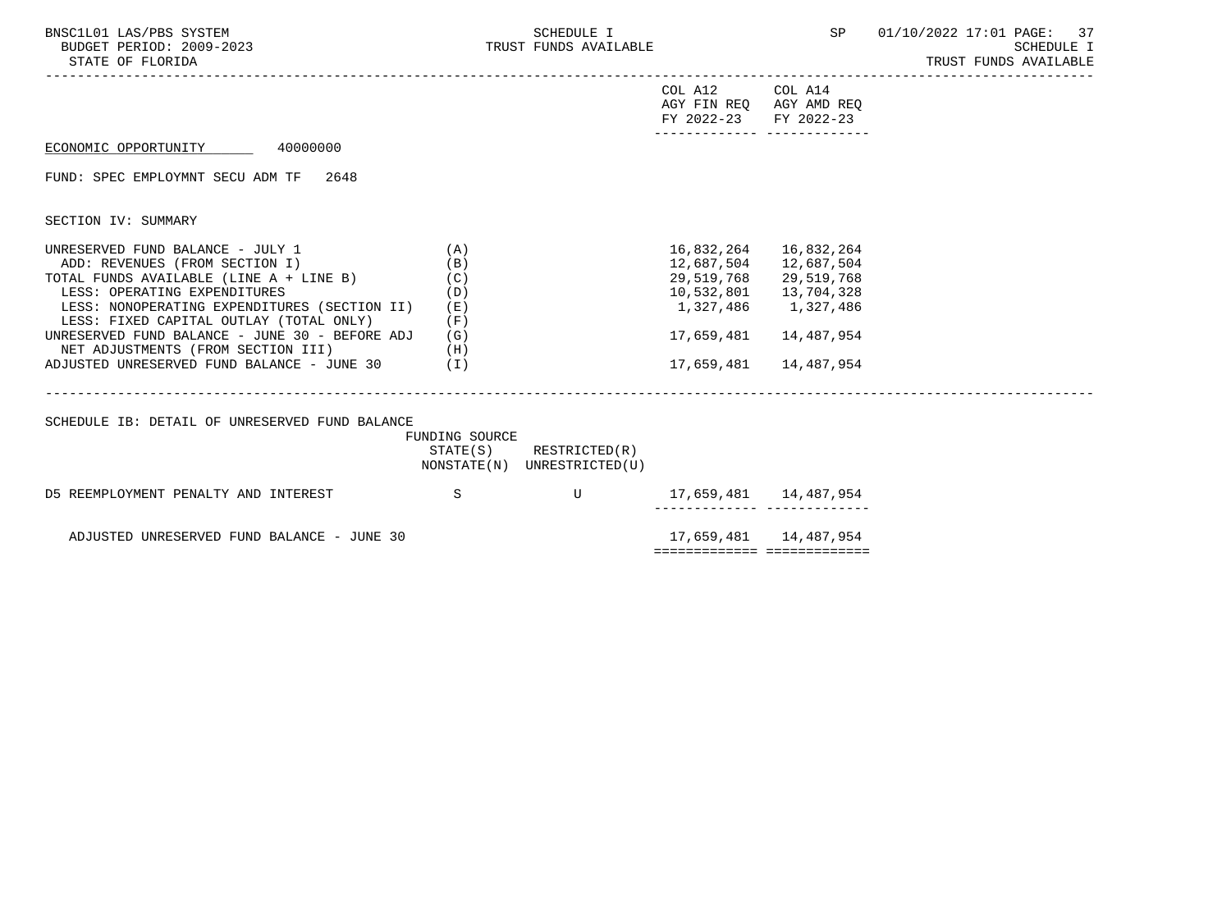| BNSC1L01 LAS/PBS SYSTEM<br>BUDGET PERIOD: 2009-2023<br>STATE OF FLORIDA                                                                                                                                                                                                                                                                                                                      |                                          | SCHEDULE I<br>TRUST FUNDS AVAILABLE                        |                                                                                                     |                                                                                               | SP 01/10/2022 17:01 PAGE: 37<br><b>SCHEDULE I</b><br>TRUST FUNDS AVAILABLE |
|----------------------------------------------------------------------------------------------------------------------------------------------------------------------------------------------------------------------------------------------------------------------------------------------------------------------------------------------------------------------------------------------|------------------------------------------|------------------------------------------------------------|-----------------------------------------------------------------------------------------------------|-----------------------------------------------------------------------------------------------|----------------------------------------------------------------------------|
|                                                                                                                                                                                                                                                                                                                                                                                              |                                          |                                                            | COL A12 COL A14<br>AGY FIN REO AGY AMD REO<br>FY 2022-23 FY 2022-23<br>-------------- ------------- |                                                                                               |                                                                            |
| ECONOMIC OPPORTUNITY 40000000                                                                                                                                                                                                                                                                                                                                                                |                                          |                                                            |                                                                                                     |                                                                                               |                                                                            |
| FUND: SPEC EMPLOYMNT SECU ADM TF<br>2648                                                                                                                                                                                                                                                                                                                                                     |                                          |                                                            |                                                                                                     |                                                                                               |                                                                            |
| SECTION IV: SUMMARY                                                                                                                                                                                                                                                                                                                                                                          |                                          |                                                            |                                                                                                     |                                                                                               |                                                                            |
| UNRESERVED FUND BALANCE - JULY 1<br>ADD: REVENUES (FROM SECTION I)<br>TOTAL FUNDS AVAILABLE (LINE A + LINE B) $(C)$<br>LESS: OPERATING EXPENDITURES<br>LESS: NONOPERATING EXPENDITURES (SECTION II)<br>LESS: FIXED CAPITAL OUTLAY (TOTAL ONLY)<br>UNRESERVED FUND BALANCE - JUNE 30 - BEFORE ADJ<br>NET ADJUSTMENTS (FROM SECTION III) (H)<br>ADJUSTED UNRESERVED FUND BALANCE - JUNE 30 (I) | (A)<br>(B)<br>(D)<br>( E )<br>(F)<br>(G) |                                                            | 16,832,264<br>12,687,504<br>29,519,768<br>10,532,801<br>1,327,486<br>17,659,481<br>17,659,481       | 16,832,264<br>12,687,504<br>29,519,768<br>13,704,328<br>1,327,486<br>14,487,954<br>14,487,954 |                                                                            |
| SCHEDULE IB: DETAIL OF UNRESERVED FUND BALANCE                                                                                                                                                                                                                                                                                                                                               | FUNDING SOURCE                           | $STATE(S)$ RESTRICTED $(R)$<br>NONSTATE(N) UNRESTRICTED(U) |                                                                                                     |                                                                                               |                                                                            |
| D5 REEMPLOYMENT PENALTY AND INTEREST S                                                                                                                                                                                                                                                                                                                                                       |                                          | $\mathbf U$                                                | 17,659,481   14,487,954                                                                             |                                                                                               |                                                                            |
| ADJUSTED UNRESERVED FUND BALANCE - JUNE 30                                                                                                                                                                                                                                                                                                                                                   |                                          |                                                            |                                                                                                     |                                                                                               |                                                                            |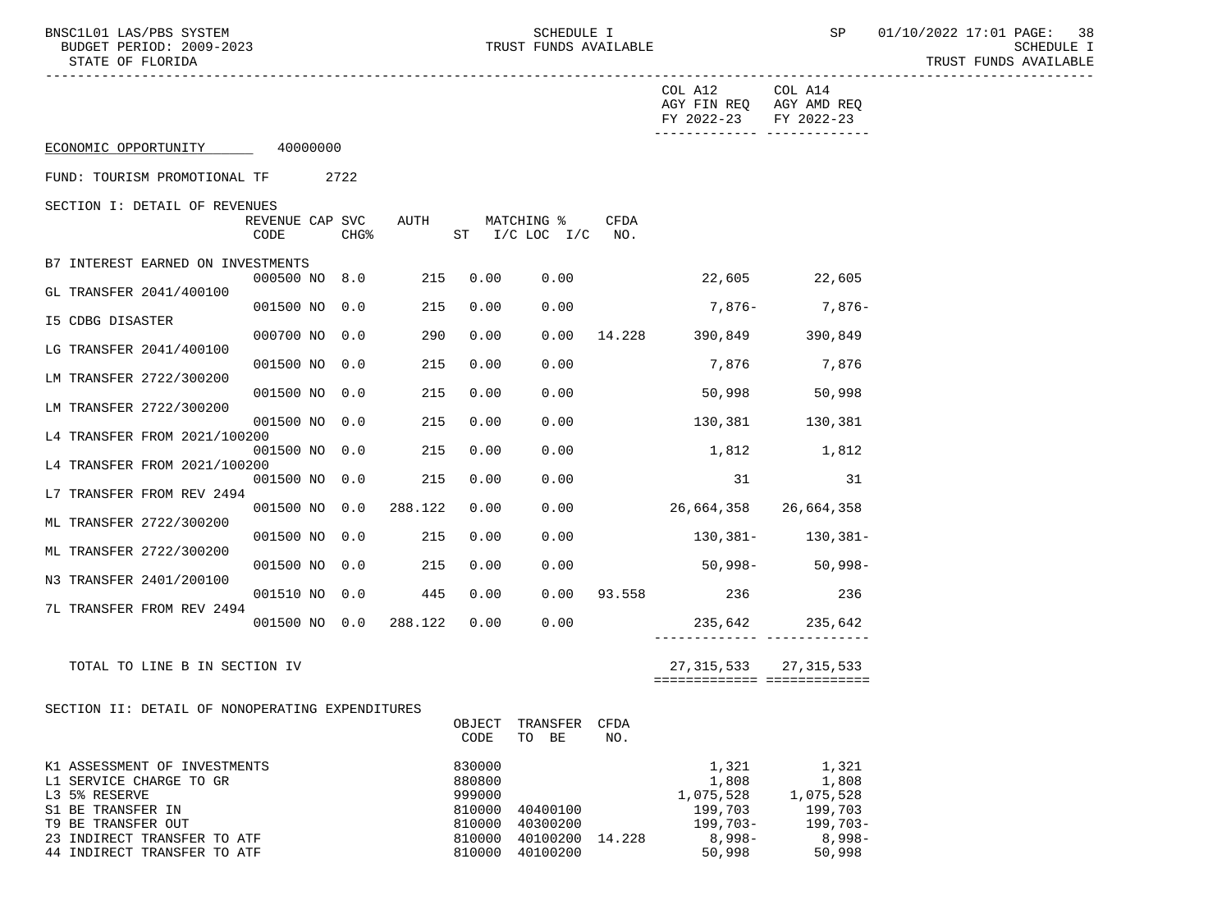BUDGET PERIOD: 2009-2023 TRUST FUNDS AVAILABLE SCHEDULE I

BNSC1L01 LAS/PBS SYSTEM SOME SOMEDULE I SCHEDULE I SP 01/10/2022 17:01 PAGE: 38<br>BUDGET PERIOD: 2009-2023 TRUST FUNDS AVAILABLE

| COL A14<br>COL A12<br>AGY FIN REQ AGY AMD REQ<br>FY 2022-23<br>FY 2022-23<br>-------------- --------------<br>ECONOMIC OPPORTUNITY 40000000<br>FUND: TOURISM PROMOTIONAL TF<br>2722<br>SECTION I: DETAIL OF REVENUES<br>REVENUE CAP SVC<br>AUTH<br>MATCHING %<br>CFDA<br>CHG <sup>8</sup><br>ST I/C LOC I/C<br>CODE<br>NO <sub>z</sub><br>B7 INTEREST EARNED ON INVESTMENTS<br>22,605 22,605<br>215<br>000500 NO 8.0<br>0.00<br>0.00<br>GL TRANSFER 2041/400100<br>7,876-7,876-<br>001500 NO 0.0<br>215<br>0.00<br>0.00<br>I5 CDBG DISASTER<br>000700 NO 0.0<br>290<br>0.00<br>0.00<br>14.228 390,849 390,849<br>LG TRANSFER 2041/400100<br>215<br>7,876<br>001500 NO 0.0<br>0.00<br>0.00<br>7,876<br>LM TRANSFER 2722/300200<br>215<br>0.00<br>50,998<br>001500 NO 0.0<br>0.00<br>50,998<br>LM TRANSFER 2722/300200<br>215<br>130,381 130,381<br>001500 NO 0.0<br>0.00<br>0.00<br>L4 TRANSFER FROM 2021/100200<br>215<br>0.00<br>1,812 1,812<br>001500 NO 0.0<br>0.00 |  |  |  |  |  |  |  |  |
|------------------------------------------------------------------------------------------------------------------------------------------------------------------------------------------------------------------------------------------------------------------------------------------------------------------------------------------------------------------------------------------------------------------------------------------------------------------------------------------------------------------------------------------------------------------------------------------------------------------------------------------------------------------------------------------------------------------------------------------------------------------------------------------------------------------------------------------------------------------------------------------------------------------------------------------------------------------------|--|--|--|--|--|--|--|--|
|                                                                                                                                                                                                                                                                                                                                                                                                                                                                                                                                                                                                                                                                                                                                                                                                                                                                                                                                                                        |  |  |  |  |  |  |  |  |
|                                                                                                                                                                                                                                                                                                                                                                                                                                                                                                                                                                                                                                                                                                                                                                                                                                                                                                                                                                        |  |  |  |  |  |  |  |  |
|                                                                                                                                                                                                                                                                                                                                                                                                                                                                                                                                                                                                                                                                                                                                                                                                                                                                                                                                                                        |  |  |  |  |  |  |  |  |
|                                                                                                                                                                                                                                                                                                                                                                                                                                                                                                                                                                                                                                                                                                                                                                                                                                                                                                                                                                        |  |  |  |  |  |  |  |  |
|                                                                                                                                                                                                                                                                                                                                                                                                                                                                                                                                                                                                                                                                                                                                                                                                                                                                                                                                                                        |  |  |  |  |  |  |  |  |
|                                                                                                                                                                                                                                                                                                                                                                                                                                                                                                                                                                                                                                                                                                                                                                                                                                                                                                                                                                        |  |  |  |  |  |  |  |  |
|                                                                                                                                                                                                                                                                                                                                                                                                                                                                                                                                                                                                                                                                                                                                                                                                                                                                                                                                                                        |  |  |  |  |  |  |  |  |
|                                                                                                                                                                                                                                                                                                                                                                                                                                                                                                                                                                                                                                                                                                                                                                                                                                                                                                                                                                        |  |  |  |  |  |  |  |  |
|                                                                                                                                                                                                                                                                                                                                                                                                                                                                                                                                                                                                                                                                                                                                                                                                                                                                                                                                                                        |  |  |  |  |  |  |  |  |
|                                                                                                                                                                                                                                                                                                                                                                                                                                                                                                                                                                                                                                                                                                                                                                                                                                                                                                                                                                        |  |  |  |  |  |  |  |  |
|                                                                                                                                                                                                                                                                                                                                                                                                                                                                                                                                                                                                                                                                                                                                                                                                                                                                                                                                                                        |  |  |  |  |  |  |  |  |
| L4 TRANSFER FROM 2021/100200                                                                                                                                                                                                                                                                                                                                                                                                                                                                                                                                                                                                                                                                                                                                                                                                                                                                                                                                           |  |  |  |  |  |  |  |  |
| 215<br>0.00<br>31<br>31<br>001500 NO 0.0<br>0.00<br>L7 TRANSFER FROM REV 2494                                                                                                                                                                                                                                                                                                                                                                                                                                                                                                                                                                                                                                                                                                                                                                                                                                                                                          |  |  |  |  |  |  |  |  |
| 001500 NO 0.0<br>288.122<br>0.00<br>0.00<br>26,664,358 26,664,358                                                                                                                                                                                                                                                                                                                                                                                                                                                                                                                                                                                                                                                                                                                                                                                                                                                                                                      |  |  |  |  |  |  |  |  |
| ML TRANSFER 2722/300200<br>130,381- 130,381-<br>001500 NO 0.0<br>215<br>0.00<br>0.00                                                                                                                                                                                                                                                                                                                                                                                                                                                                                                                                                                                                                                                                                                                                                                                                                                                                                   |  |  |  |  |  |  |  |  |
| ML TRANSFER 2722/300200<br>001500 NO 0.0<br>215<br>0.00<br>50,998- 50,998-<br>0.00                                                                                                                                                                                                                                                                                                                                                                                                                                                                                                                                                                                                                                                                                                                                                                                                                                                                                     |  |  |  |  |  |  |  |  |
| N3 TRANSFER 2401/200100<br>0.00 93.558 236<br>0.00<br>236<br>001510 NO 0.0 445                                                                                                                                                                                                                                                                                                                                                                                                                                                                                                                                                                                                                                                                                                                                                                                                                                                                                         |  |  |  |  |  |  |  |  |
| 7L TRANSFER FROM REV 2494<br>001500 NO 0.0 288.122<br>0.00<br>0.00<br>235,642 235,642                                                                                                                                                                                                                                                                                                                                                                                                                                                                                                                                                                                                                                                                                                                                                                                                                                                                                  |  |  |  |  |  |  |  |  |
| ------------ -------------                                                                                                                                                                                                                                                                                                                                                                                                                                                                                                                                                                                                                                                                                                                                                                                                                                                                                                                                             |  |  |  |  |  |  |  |  |
| 27,315,533<br>TOTAL TO LINE B IN SECTION IV<br>27,315,533<br>===========================                                                                                                                                                                                                                                                                                                                                                                                                                                                                                                                                                                                                                                                                                                                                                                                                                                                                               |  |  |  |  |  |  |  |  |
| SECTION II: DETAIL OF NONOPERATING EXPENDITURES                                                                                                                                                                                                                                                                                                                                                                                                                                                                                                                                                                                                                                                                                                                                                                                                                                                                                                                        |  |  |  |  |  |  |  |  |
| OBJECT TRANSFER CFDA<br>CODE<br>TO BE<br>NO.                                                                                                                                                                                                                                                                                                                                                                                                                                                                                                                                                                                                                                                                                                                                                                                                                                                                                                                           |  |  |  |  |  |  |  |  |
| 830000<br>1,321<br>1,321<br>K1 ASSESSMENT OF INVESTMENTS<br>880800<br>1,808<br>L1 SERVICE CHARGE TO GR<br>1,808<br>L3 5% RESERVE<br>999000<br>1,075,528<br>1,075,528<br>199,703<br>S1 BE TRANSFER IN<br>810000<br>40400100<br>199,703<br>199,703-<br>T9 BE TRANSFER OUT<br>40300200<br>$199,703-$<br>810000<br>$8,998-$<br>$8,998-$<br>23 INDIRECT TRANSFER TO ATF<br>810000<br>40100200 14.228<br>40100200<br>50,998<br>50,998<br>44 INDIRECT TRANSFER TO ATF<br>810000                                                                                                                                                                                                                                                                                                                                                                                                                                                                                               |  |  |  |  |  |  |  |  |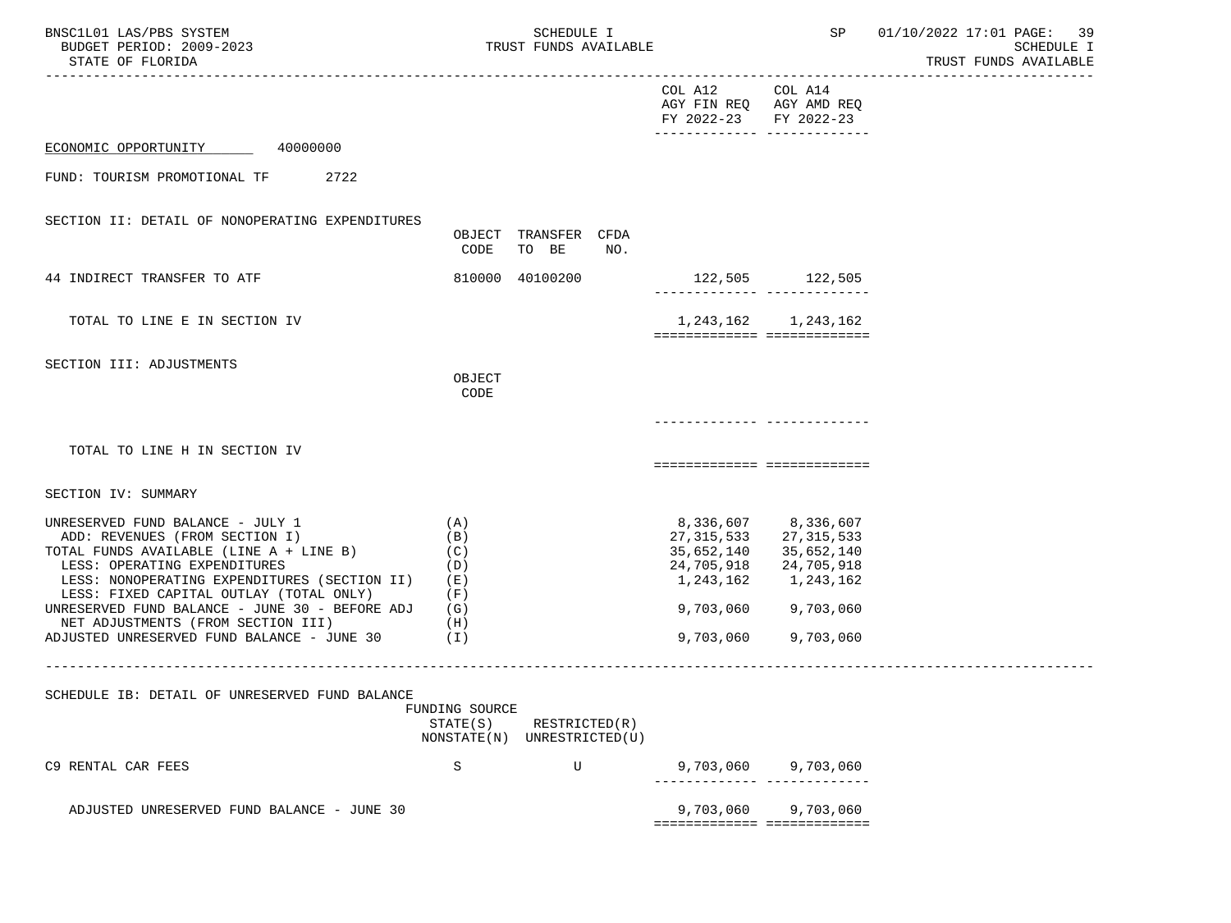| BNSC1L01 LAS/PBS SYSTEM<br>BUDGET PERIOD: 2009-2023<br>STATE OF FLORIDA                                                                                                                                                                                                                                                                                                                             |                                                           | <b>SCHEDULE I</b><br>TRUST FUNDS AVAILABLE |     |                                                                     | SP                                                                                                             | 01/10/2022 17:01 PAGE: 39<br>SCHEDULE I<br>TRUST FUNDS AVAILABLE |
|-----------------------------------------------------------------------------------------------------------------------------------------------------------------------------------------------------------------------------------------------------------------------------------------------------------------------------------------------------------------------------------------------------|-----------------------------------------------------------|--------------------------------------------|-----|---------------------------------------------------------------------|----------------------------------------------------------------------------------------------------------------|------------------------------------------------------------------|
|                                                                                                                                                                                                                                                                                                                                                                                                     |                                                           |                                            |     | COL A12 COL A14<br>AGY FIN REQ AGY AMD REQ<br>FY 2022-23 FY 2022-23 |                                                                                                                |                                                                  |
| ECONOMIC OPPORTUNITY 40000000                                                                                                                                                                                                                                                                                                                                                                       |                                                           |                                            |     |                                                                     |                                                                                                                |                                                                  |
| FUND: TOURISM PROMOTIONAL TF 2722                                                                                                                                                                                                                                                                                                                                                                   |                                                           |                                            |     |                                                                     |                                                                                                                |                                                                  |
| SECTION II: DETAIL OF NONOPERATING EXPENDITURES                                                                                                                                                                                                                                                                                                                                                     | CODE                                                      | OBJECT TRANSFER CFDA<br>TO BE              | NO. |                                                                     |                                                                                                                |                                                                  |
| 44 INDIRECT TRANSFER TO ATF                                                                                                                                                                                                                                                                                                                                                                         |                                                           | 810000 40100200                            |     | 122,505 122,505                                                     |                                                                                                                |                                                                  |
| TOTAL TO LINE E IN SECTION IV                                                                                                                                                                                                                                                                                                                                                                       |                                                           |                                            |     | ============================                                        | 1, 243, 162 1, 243, 162                                                                                        |                                                                  |
| SECTION III: ADJUSTMENTS                                                                                                                                                                                                                                                                                                                                                                            | OBJECT<br>CODE                                            |                                            |     |                                                                     |                                                                                                                |                                                                  |
| TOTAL TO LINE H IN SECTION IV                                                                                                                                                                                                                                                                                                                                                                       |                                                           |                                            |     | ===========================                                         |                                                                                                                |                                                                  |
| SECTION IV: SUMMARY                                                                                                                                                                                                                                                                                                                                                                                 |                                                           |                                            |     |                                                                     |                                                                                                                |                                                                  |
| UNRESERVED FUND BALANCE - JULY 1<br>ADD: REVENUES (FROM SECTION I)<br>TOTAL FUNDS AVAILABLE (LINE A + LINE B)<br>(C)<br>LESS: OPERATING EXPENDITURES<br>LESS: NONOPERATING EXPENDITURES (SECTION II) (E)<br>LESS: FIXED CAPITAL OUTLAY (TOTAL ONLY)<br>UNRESERVED FUND BALANCE - JUNE 30 - BEFORE ADJ (G)<br>NET ADJUSTMENTS (FROM SECTION III)<br>ADJUSTED UNRESERVED FUND BALANCE - JUNE 30 $(1)$ | (A)<br>(B)<br>(D)<br>(F)<br>(H)                           |                                            |     | 27,315,533<br>35,652,140<br>24,705,918<br>1,243,162<br>9,703,060    | 8,336,607 8,336,607<br>27,315,533<br>35,652,140<br>24,705,918<br>1,243,162<br>9,703,060 9,703,060<br>9,703,060 |                                                                  |
| SCHEDULE IB: DETAIL OF UNRESERVED FUND BALANCE                                                                                                                                                                                                                                                                                                                                                      | FUNDING SOURCE<br>STATE(S)<br>NONSTATE(N) UNRESTRICTED(U) | RESTRICTED(R)                              |     |                                                                     |                                                                                                                |                                                                  |
| C9 RENTAL CAR FEES                                                                                                                                                                                                                                                                                                                                                                                  | S                                                         | U                                          |     | 9,703,060                                                           | 9,703,060                                                                                                      |                                                                  |
| ADJUSTED UNRESERVED FUND BALANCE - JUNE 30                                                                                                                                                                                                                                                                                                                                                          |                                                           |                                            |     | 9,703,060<br>============================                           | 9,703,060                                                                                                      |                                                                  |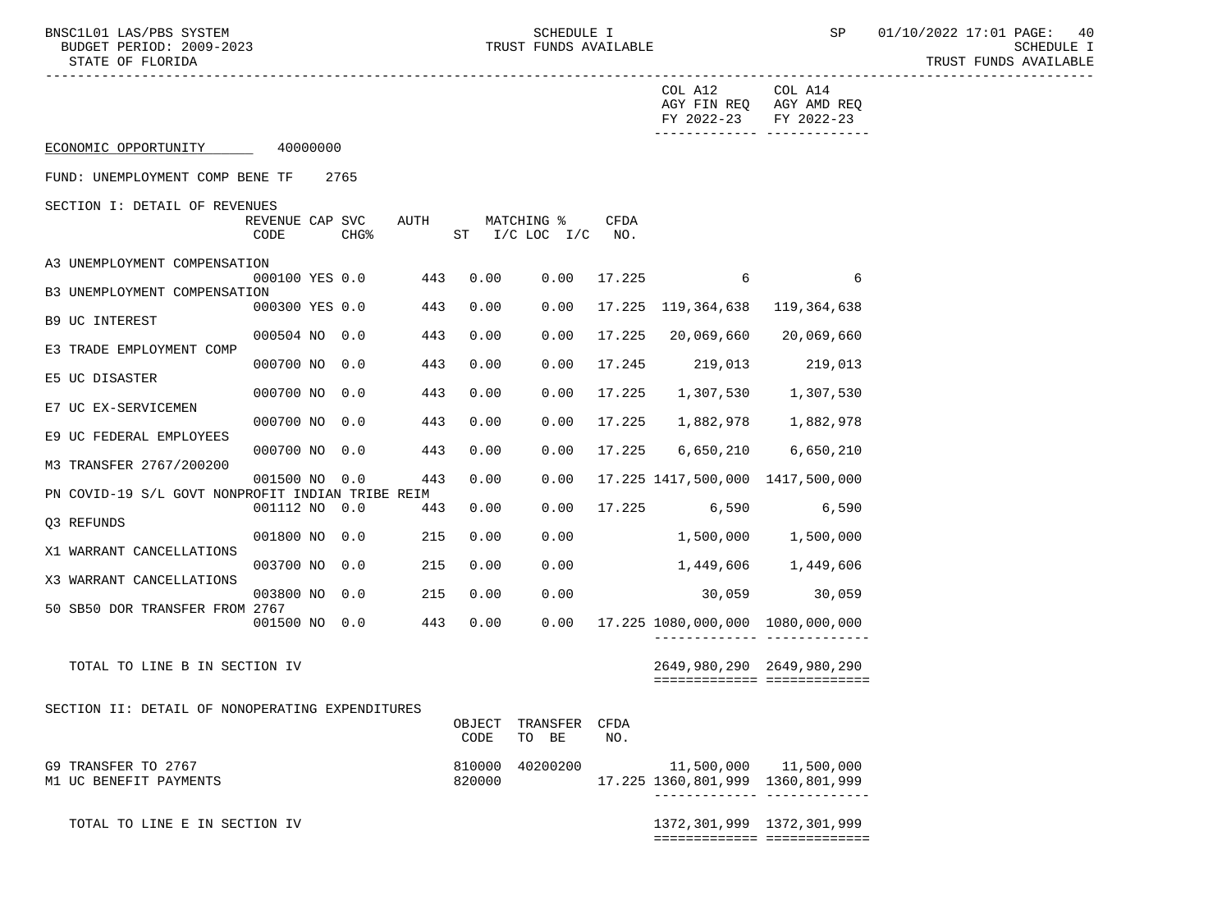-----------------------------------------------------------------------------------------------------------------------------------

COL A12 COL A14

BNSC1L01 LAS/PBS SYSTEM SALL SOMEDULE I SCHEDULE I SP 01/10/2022 17:01 PAGE: 40 BUDGET PERIOD: 2009-2023 TRUST FUNDS AVAILABLE SCHEDULE I STATE OF FLORIDA AND INTERNATIONAL STATE OF FUNDS AVAILABLE STATE OF FUNDS AVAILABLE

 AGY FIN REQ AGY AMD REQ FY 2022-23 FY 2022-23 ------------- ------------- ECONOMIC OPPORTUNITY 40000000 FUND: UNEMPLOYMENT COMP BENE TF 2765 SECTION I: DETAIL OF REVENUES REVENUE CAP SVC AUTH MATCHING % CFDA CODE CHG<sup>&</sup> ST I/C LOC I/C NO. A3 UNEMPLOYMENT COMPENSATION<br>000100 YES 0.0 443 0.00  $0.00 \t 17.225 \t 6$  6 B3 UNEMPLOYMENT COMPENSATION<br>000300 YES 0.0 443 0.00 0.00 17.225 119,364,638 119,364,638 B9 UC INTEREST 000504 NO 0.0 443 0.00 0.00 17.225 20,069,660 20,069,660 E3 TRADE EMPLOYMENT COMP 000700 NO 0.0 443 0.00 0.00 17.245 219,013 219,013 E5 UC DISASTER 000700 NO 0.0 443 0.00 0.00 17.225 1,307,530 1,307,530 E7 UC EX-SERVICEMEN 000700 NO 0.0 443 0.00 0.00 17.225 1,882,978 1,882,978 E9 UC FEDERAL EMPLOYEES 000700 NO 0.0 443 0.00 0.00 17.225 6,650,210 6,650,210 M3 TRANSFER 2767/200200 001500 NO 0.0 443 0.00 0.00 17.225 1417,500,000 1417,500,000 PN COVID-19 S/L GOVT NONPROFIT INDIAN TRIBE REIM 001112 NO 0.0 443 0.00 0.00 17.225 6,590 6,590 Q3 REFUNDS 001800 NO 0.0 215 0.00 0.00 1,500,000 1,500,000 X1 WARRANT CANCELLATIONS 003700 NO 0.0 215 0.00 0.00 1,449,606 1,449,606 X3 WARRANT CANCELLATIONS 003800 NO 0.0 215 0.00 0.00 30,059 30,059 50 SB50 DOR TRANSFER FROM 2767 001500 NO 0.0 443 0.00 0.00 17.225 1080,000,000 1080,000,000 ------------- ------------- TOTAL TO LINE B IN SECTION IV 2649,980,290 2649,980,290 ============= ============= SECTION II: DETAIL OF NONOPERATING EXPENDITURES OBJECT TRANSFER CFDA CODE TO BE NO. G9 TRANSFER TO 2767 (30 AM CHEAR OF STOLE 310000 40200200 11,500,000 11,500,000 11,500,000 11,500,000 CHEAR OF<br>820000 17.225 1360,801,999 1360,801,999 820000 17.225 1360,801,999 1360,801,999 ------------- ------------- TOTAL TO LINE E IN SECTION IV 1372,301,999 1372,301,999 ============= =============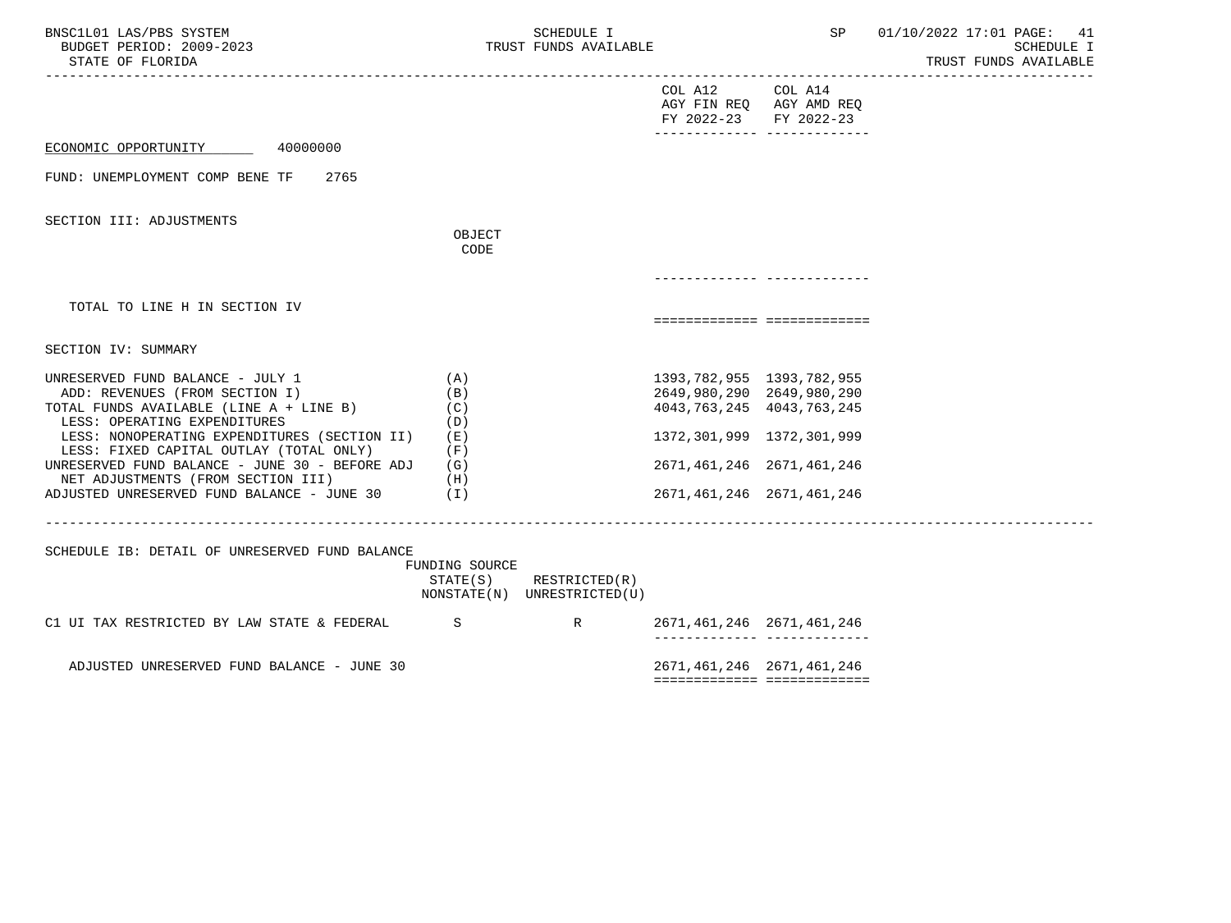| BNSC1L01 LAS/PBS SYSTEM<br>BUDGET PERIOD: 2009-2023<br>STATE OF FLORIDA<br>________________________________                                                                                                                                                                                                                      |                                                        | SCHEDULE I<br>TRUST FUNDS AVAILABLE          |                                                                                                                                                       | SP                                                           | 01/10/2022 17:01 PAGE: 41<br>SCHEDULE I<br>TRUST FUNDS AVAILABLE |
|----------------------------------------------------------------------------------------------------------------------------------------------------------------------------------------------------------------------------------------------------------------------------------------------------------------------------------|--------------------------------------------------------|----------------------------------------------|-------------------------------------------------------------------------------------------------------------------------------------------------------|--------------------------------------------------------------|------------------------------------------------------------------|
|                                                                                                                                                                                                                                                                                                                                  |                                                        |                                              | COL A12 COL A14<br>FY 2022-23 FY 2022-23                                                                                                              | AGY FIN REQ AGY AMD REQ<br>_________________________________ |                                                                  |
| ECONOMIC OPPORTUNITY<br>40000000                                                                                                                                                                                                                                                                                                 |                                                        |                                              |                                                                                                                                                       |                                                              |                                                                  |
| FUND: UNEMPLOYMENT COMP BENE TF<br>2765                                                                                                                                                                                                                                                                                          |                                                        |                                              |                                                                                                                                                       |                                                              |                                                                  |
| SECTION III: ADJUSTMENTS                                                                                                                                                                                                                                                                                                         | OBJECT<br>CODE                                         |                                              |                                                                                                                                                       |                                                              |                                                                  |
|                                                                                                                                                                                                                                                                                                                                  |                                                        |                                              |                                                                                                                                                       |                                                              |                                                                  |
| TOTAL TO LINE H IN SECTION IV                                                                                                                                                                                                                                                                                                    |                                                        |                                              |                                                                                                                                                       | ===========================                                  |                                                                  |
| SECTION IV: SUMMARY                                                                                                                                                                                                                                                                                                              |                                                        |                                              |                                                                                                                                                       |                                                              |                                                                  |
| UNRESERVED FUND BALANCE - JULY 1<br>ADD: REVENUES (FROM SECTION I)<br>TOTAL FUNDS AVAILABLE (LINE A + LINE B)<br>LESS: OPERATING EXPENDITURES<br>LESS: NONOPERATING EXPENDITURES (SECTION II)<br>LESS: FIXED CAPITAL OUTLAY (TOTAL ONLY)<br>UNRESERVED FUND BALANCE - JUNE 30 - BEFORE ADJ<br>NET ADJUSTMENTS (FROM SECTION III) | (A)<br>(B)<br>(C)<br>(D)<br>( E )<br>(F)<br>(G)<br>(H) |                                              | 1393,782,955 1393,782,955<br>2649,980,290 2649,980,290<br>4043, 763, 245 4043, 763, 245<br>1372,301,999 1372,301,999<br>2671, 461, 246 2671, 461, 246 |                                                              |                                                                  |
| ADJUSTED UNRESERVED FUND BALANCE - JUNE 30                                                                                                                                                                                                                                                                                       | (1)                                                    |                                              | 2671, 461, 246 2671, 461, 246                                                                                                                         |                                                              |                                                                  |
| SCHEDULE IB: DETAIL OF UNRESERVED FUND BALANCE                                                                                                                                                                                                                                                                                   | FUNDING SOURCE<br>STATE(S)                             | RESTRICTED(R)<br>NONSTATE(N) UNRESTRICTED(U) |                                                                                                                                                       |                                                              |                                                                  |
| C1 UI TAX RESTRICTED BY LAW STATE & FEDERAL S                                                                                                                                                                                                                                                                                    |                                                        | $R = \sqrt{R}$                               | 2671, 461, 246 2671, 461, 246                                                                                                                         | -------------- --------------                                |                                                                  |
| ADJUSTED UNRESERVED FUND BALANCE - JUNE 30                                                                                                                                                                                                                                                                                       |                                                        |                                              | 2671, 461, 246 2671, 461, 246                                                                                                                         | ===========================                                  |                                                                  |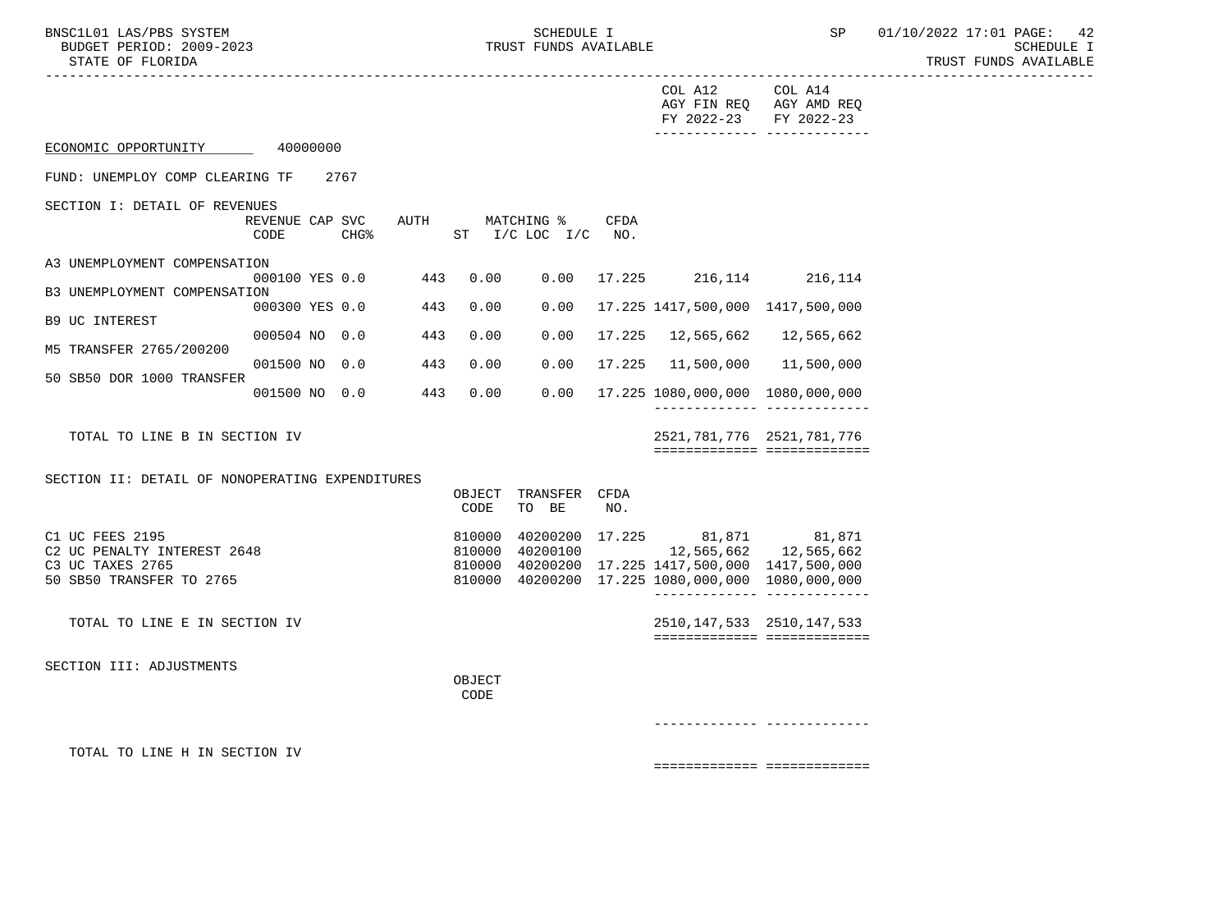-----------------------------------------------------------------------------------------------------------------------------------

BNSC1L01 LAS/PBS SYSTEM SOHEDULE I SCHEDULE I SEREDULE I SP 01/10/2022 17:01 PAGE: 42 TRUST FUNDS AVAILABLE

|                                                 |                         |          |                  |      |                  |                               |             | COL A12<br>AGY FIN REQ<br>FY 2022-23                                                                                  | COL A14<br>AGY AMD REQ<br>FY 2022-23                          |
|-------------------------------------------------|-------------------------|----------|------------------|------|------------------|-------------------------------|-------------|-----------------------------------------------------------------------------------------------------------------------|---------------------------------------------------------------|
| ECONOMIC OPPORTUNITY                            |                         | 40000000 |                  |      |                  |                               |             |                                                                                                                       |                                                               |
| FUND: UNEMPLOY COMP CLEARING TF                 |                         |          | 2767             |      |                  |                               |             |                                                                                                                       |                                                               |
| SECTION I: DETAIL OF REVENUES                   | REVENUE CAP SVC<br>CODE |          | CHG <sup>8</sup> | AUTH | ST               | MATCHING %<br>$I/C$ LOC $I/C$ | CFDA<br>NO. |                                                                                                                       |                                                               |
| A3 UNEMPLOYMENT COMPENSATION                    |                         |          |                  | 443  |                  | 0.00                          |             |                                                                                                                       |                                                               |
| B3 UNEMPLOYMENT COMPENSATION                    | 000100 YES 0.0          |          |                  |      | 0.00             |                               |             | 17.225 216,114 216,114                                                                                                |                                                               |
| <b>B9 UC INTEREST</b>                           | 000300 YES 0.0          |          |                  | 443  | 0.00             | 0.00                          |             | 17.225 1417,500,000 1417,500,000                                                                                      |                                                               |
| M5 TRANSFER 2765/200200                         | 000504 NO 0.0           |          |                  | 443  | 0.00             | 0.00                          | 17.225      |                                                                                                                       | 12,565,662 12,565,662                                         |
|                                                 | 001500 NO               |          | 0.0              | 443  | 0.00             | 0.00                          | 17.225      |                                                                                                                       | 11,500,000 11,500,000                                         |
| 50 SB50 DOR 1000 TRANSFER                       | 001500 NO 0.0           |          |                  | 443  | 0.00             | 0.00                          |             | 17.225 1080,000,000 1080,000,000                                                                                      | _______________________________                               |
| TOTAL TO LINE B IN SECTION IV                   |                         |          |                  |      |                  |                               |             | 2521, 781, 776 2521, 781, 776                                                                                         | ============================                                  |
| SECTION II: DETAIL OF NONOPERATING EXPENDITURES |                         |          |                  |      | CODE             | OBJECT TRANSFER CFDA<br>TO BE | NO.         |                                                                                                                       |                                                               |
| C1 UC FEES 2195                                 |                         |          |                  |      | 810000           |                               |             | $\begin{array}{cccc} 40200200 & 17.225 & & 81,871 & & 81,871 \\ 40200100 & & & 12,565,662 & & 12,565,662 \end{array}$ |                                                               |
| C2 UC PENALTY INTEREST 2648<br>C3 UC TAXES 2765 |                         |          |                  |      | 810000<br>810000 |                               |             | 40200200 17.225 1417,500,000 1417,500,000                                                                             |                                                               |
| 50 SB50 TRANSFER TO 2765                        |                         |          |                  |      |                  |                               |             | 810000 40200200 17.225 1080,000,000 1080,000,000                                                                      |                                                               |
| TOTAL TO LINE E IN SECTION IV                   |                         |          |                  |      |                  |                               |             |                                                                                                                       | 2510, 147, 533 2510, 147, 533<br>============================ |
| SECTION III: ADJUSTMENTS                        |                         |          |                  |      |                  |                               |             |                                                                                                                       |                                                               |
|                                                 |                         |          |                  |      | OBJECT<br>CODE   |                               |             |                                                                                                                       |                                                               |
|                                                 |                         |          |                  |      |                  |                               |             |                                                                                                                       |                                                               |
| TOTAL TO LINE H IN SECTION IV                   |                         |          |                  |      |                  |                               |             |                                                                                                                       |                                                               |